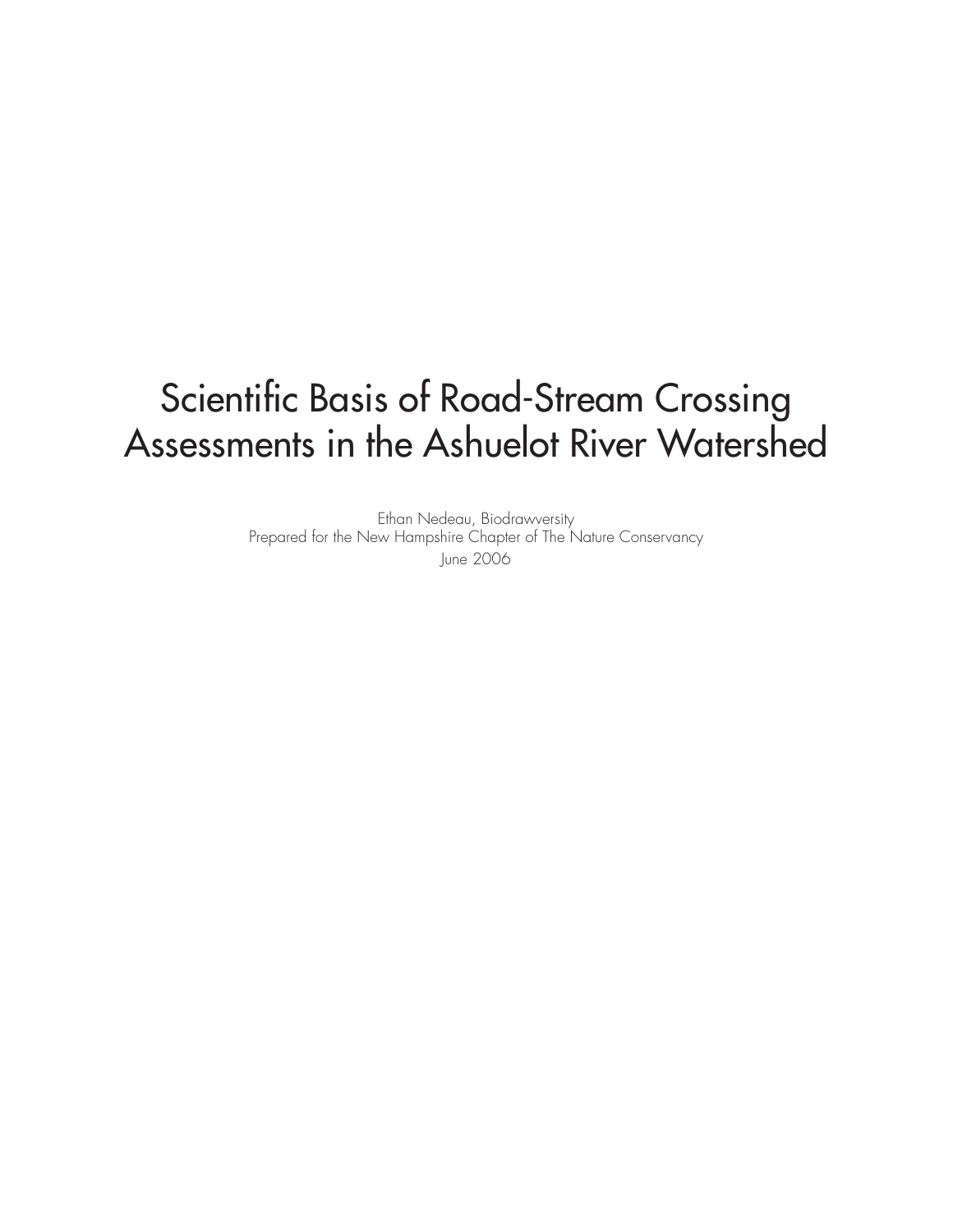# Scientific Basis of Road-Stream Crossing Assessments in the Ashuelot River Watershed

Ethan Nedeau, Biodrawversity Prepared for the New Hampshire Chapter of The Nature Conservancy June 2006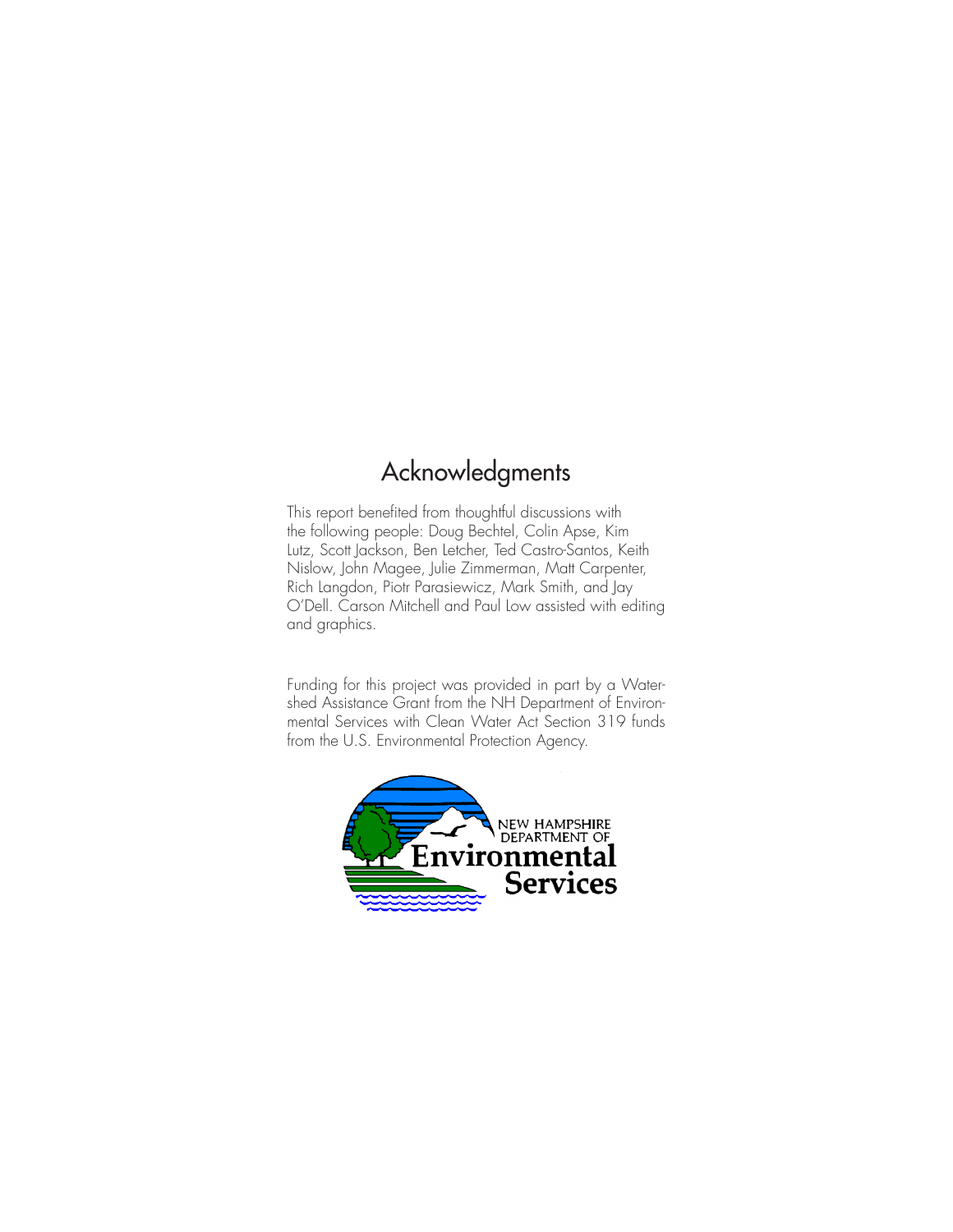# Acknowledgments

This report benefited from thoughtful discussions with the following people: Doug Bechtel, Colin Apse, Kim Lutz, Scott Jackson, Ben Letcher, Ted Castro-Santos, Keith Nislow, John Magee, Julie Zimmerman, Matt Carpenter, Rich Langdon, Piotr Parasiewicz, Mark Smith, and Jay O'Dell. Carson Mitchell and Paul Low assisted with editing and graphics.

Funding for this project was provided in part by a Watershed Assistance Grant from the NH Department of Environmental Services with Clean Water Act Section 319 funds from the U.S. Environmental Protection Agency.

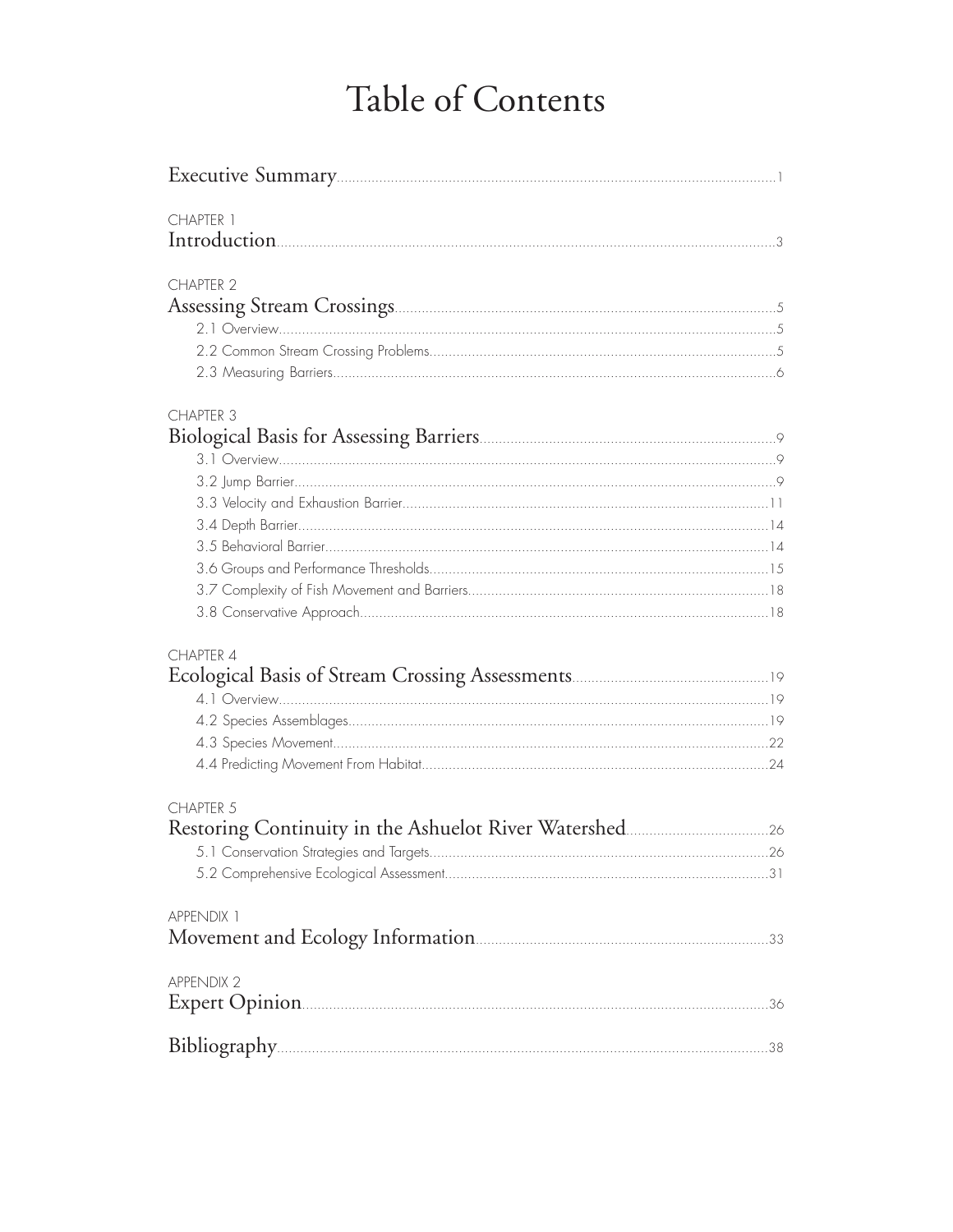# Table of Contents

| CHAPTER 1         |  |
|-------------------|--|
|                   |  |
|                   |  |
| <b>CHAPTER 2</b>  |  |
|                   |  |
|                   |  |
|                   |  |
|                   |  |
| <b>CHAPTER 3</b>  |  |
|                   |  |
|                   |  |
|                   |  |
|                   |  |
|                   |  |
|                   |  |
|                   |  |
|                   |  |
|                   |  |
| CHAPTER 4         |  |
|                   |  |
|                   |  |
|                   |  |
|                   |  |
|                   |  |
| CHAPTER 5         |  |
|                   |  |
|                   |  |
|                   |  |
| APPENDIX 1        |  |
|                   |  |
| <b>APPENDIX 2</b> |  |
|                   |  |
|                   |  |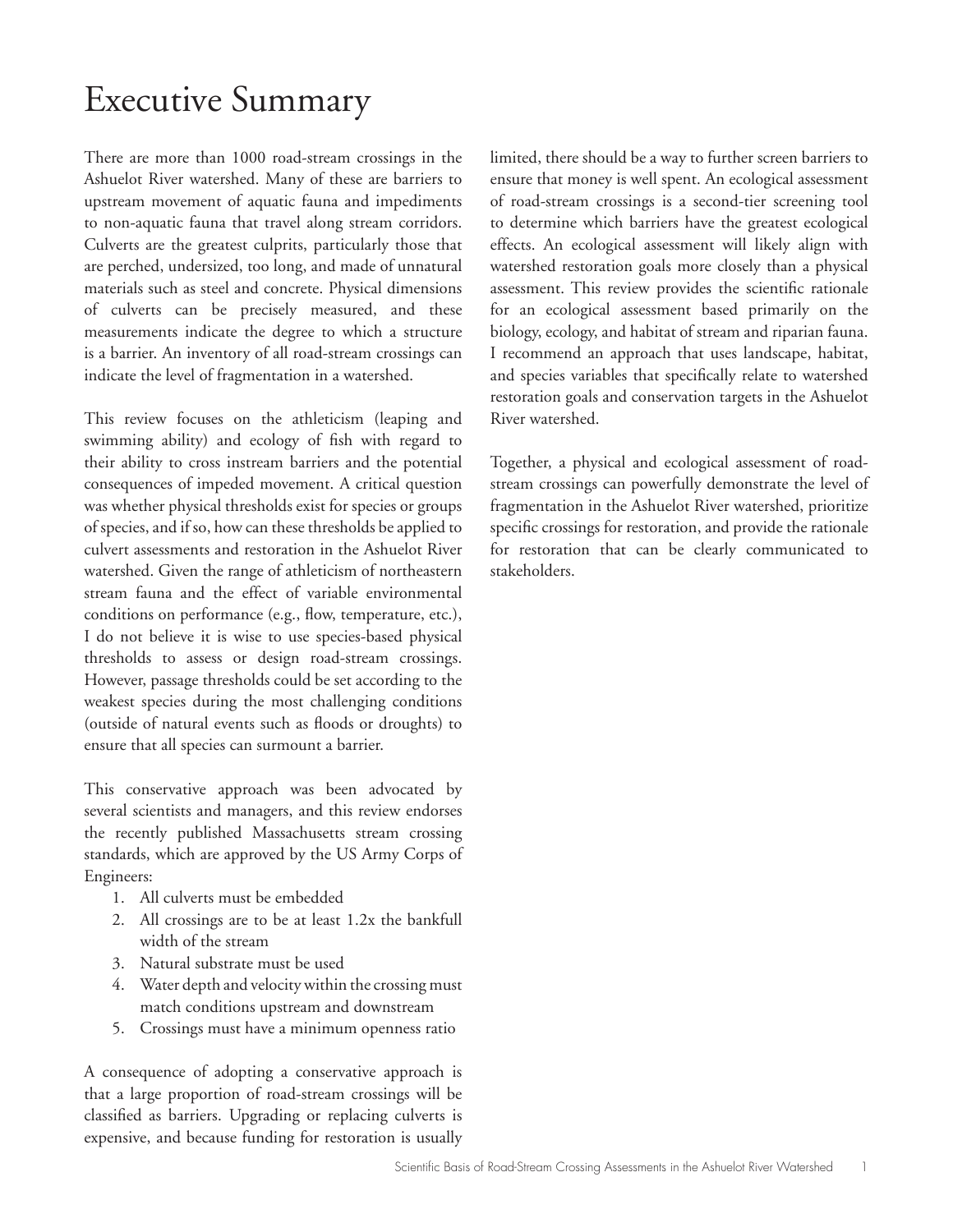# Executive Summary

There are more than 1000 road-stream crossings in the Ashuelot River watershed. Many of these are barriers to upstream movement of aquatic fauna and impediments to non-aquatic fauna that travel along stream corridors. Culverts are the greatest culprits, particularly those that are perched, undersized, too long, and made of unnatural materials such as steel and concrete. Physical dimensions of culverts can be precisely measured, and these measurements indicate the degree to which a structure is a barrier. An inventory of all road-stream crossings can indicate the level of fragmentation in a watershed.

This review focuses on the athleticism (leaping and swimming ability) and ecology of fish with regard to their ability to cross instream barriers and the potential consequences of impeded movement. A critical question was whether physical thresholds exist for species or groups of species, and if so, how can these thresholds be applied to culvert assessments and restoration in the Ashuelot River watershed. Given the range of athleticism of northeastern stream fauna and the effect of variable environmental conditions on performance (e.g., flow, temperature, etc.), I do not believe it is wise to use species-based physical thresholds to assess or design road-stream crossings. However, passage thresholds could be set according to the weakest species during the most challenging conditions (outside of natural events such as floods or droughts) to ensure that all species can surmount a barrier.

This conservative approach was been advocated by several scientists and managers, and this review endorses the recently published Massachusetts stream crossing standards, which are approved by the US Army Corps of Engineers:

- 1. All culverts must be embedded
- 2. All crossings are to be at least 1.2x the bankfull width of the stream
- 3. Natural substrate must be used
- 4. Water depth and velocity within the crossing must match conditions upstream and downstream
- 5. Crossings must have a minimum openness ratio

A consequence of adopting a conservative approach is that a large proportion of road-stream crossings will be classified as barriers. Upgrading or replacing culverts is expensive, and because funding for restoration is usually limited, there should be a way to further screen barriers to ensure that money is well spent. An ecological assessment of road-stream crossings is a second-tier screening tool to determine which barriers have the greatest ecological effects. An ecological assessment will likely align with watershed restoration goals more closely than a physical assessment. This review provides the scientific rationale for an ecological assessment based primarily on the biology, ecology, and habitat of stream and riparian fauna. I recommend an approach that uses landscape, habitat, and species variables that specifically relate to watershed restoration goals and conservation targets in the Ashuelot River watershed.

Together, a physical and ecological assessment of roadstream crossings can powerfully demonstrate the level of fragmentation in the Ashuelot River watershed, prioritize specific crossings for restoration, and provide the rationale for restoration that can be clearly communicated to stakeholders.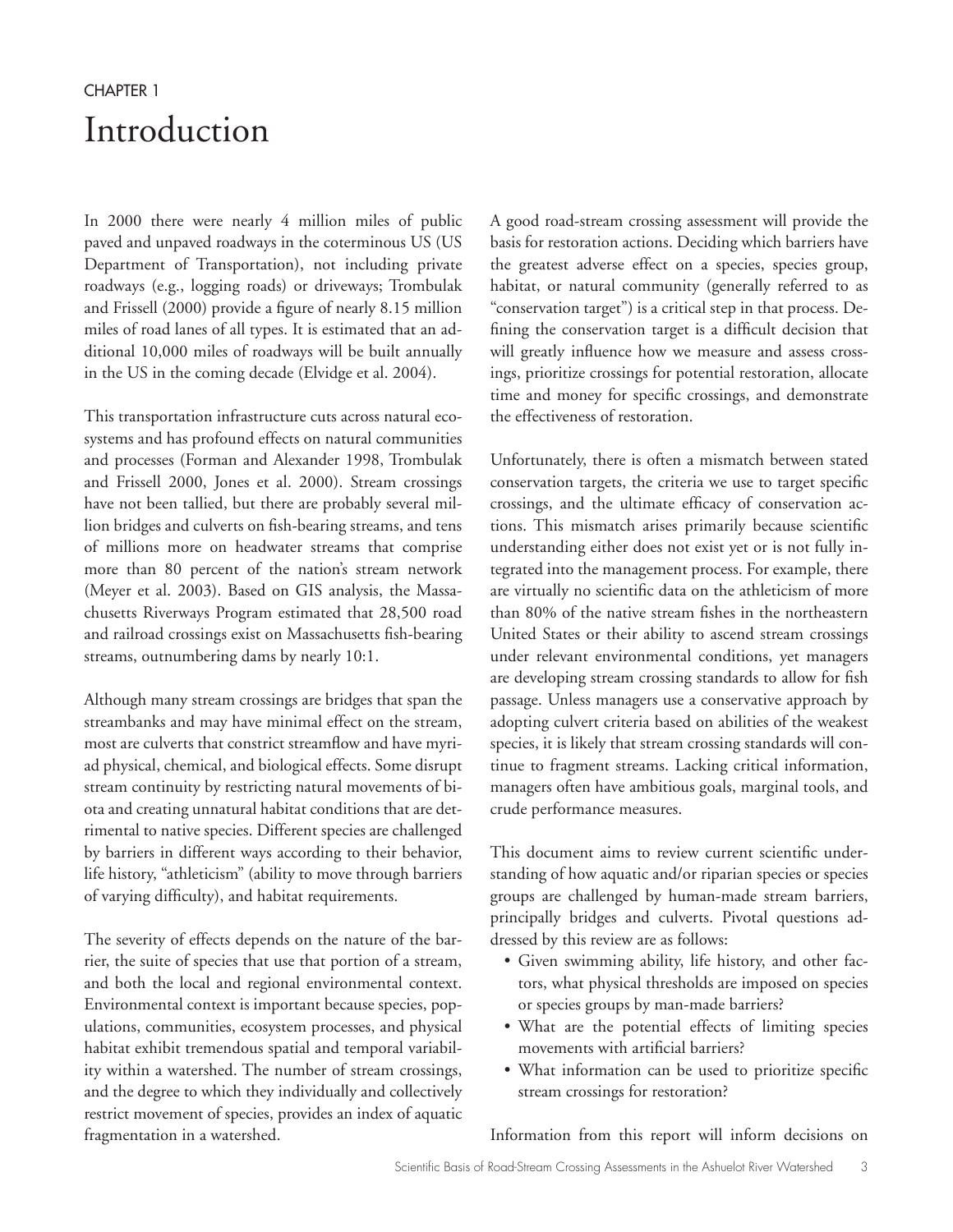# CHAPTER 1 Introduction

In 2000 there were nearly 4 million miles of public paved and unpaved roadways in the coterminous US (US Department of Transportation), not including private roadways (e.g., logging roads) or driveways; Trombulak and Frissell (2000) provide a figure of nearly 8.15 million miles of road lanes of all types. It is estimated that an additional 10,000 miles of roadways will be built annually in the US in the coming decade (Elvidge et al. 2004).

This transportation infrastructure cuts across natural ecosystems and has profound effects on natural communities and processes (Forman and Alexander 1998, Trombulak and Frissell 2000, Jones et al. 2000). Stream crossings have not been tallied, but there are probably several million bridges and culverts on fish-bearing streams, and tens of millions more on headwater streams that comprise more than 80 percent of the nation's stream network (Meyer et al. 2003). Based on GIS analysis, the Massachusetts Riverways Program estimated that 28,500 road and railroad crossings exist on Massachusetts fish-bearing streams, outnumbering dams by nearly 10:1.

Although many stream crossings are bridges that span the streambanks and may have minimal effect on the stream, most are culverts that constrict streamflow and have myriad physical, chemical, and biological effects. Some disrupt stream continuity by restricting natural movements of biota and creating unnatural habitat conditions that are detrimental to native species. Different species are challenged by barriers in different ways according to their behavior, life history, "athleticism" (ability to move through barriers of varying difficulty), and habitat requirements.

The severity of effects depends on the nature of the barrier, the suite of species that use that portion of a stream, and both the local and regional environmental context. Environmental context is important because species, populations, communities, ecosystem processes, and physical habitat exhibit tremendous spatial and temporal variability within a watershed. The number of stream crossings, and the degree to which they individually and collectively restrict movement of species, provides an index of aquatic fragmentation in a watershed.

A good road-stream crossing assessment will provide the basis for restoration actions. Deciding which barriers have the greatest adverse effect on a species, species group, habitat, or natural community (generally referred to as "conservation target") is a critical step in that process. Defining the conservation target is a difficult decision that will greatly influence how we measure and assess crossings, prioritize crossings for potential restoration, allocate time and money for specific crossings, and demonstrate the effectiveness of restoration.

Unfortunately, there is often a mismatch between stated conservation targets, the criteria we use to target specific crossings, and the ultimate efficacy of conservation actions. This mismatch arises primarily because scientific understanding either does not exist yet or is not fully integrated into the management process. For example, there are virtually no scientific data on the athleticism of more than 80% of the native stream fishes in the northeastern United States or their ability to ascend stream crossings under relevant environmental conditions, yet managers are developing stream crossing standards to allow for fish passage. Unless managers use a conservative approach by adopting culvert criteria based on abilities of the weakest species, it is likely that stream crossing standards will continue to fragment streams. Lacking critical information, managers often have ambitious goals, marginal tools, and crude performance measures.

This document aims to review current scientific understanding of how aquatic and/or riparian species or species groups are challenged by human-made stream barriers, principally bridges and culverts. Pivotal questions addressed by this review are as follows:

- Given swimming ability, life history, and other factors, what physical thresholds are imposed on species or species groups by man-made barriers?
- What are the potential effects of limiting species movements with artificial barriers?
- What information can be used to prioritize specific stream crossings for restoration?

Information from this report will inform decisions on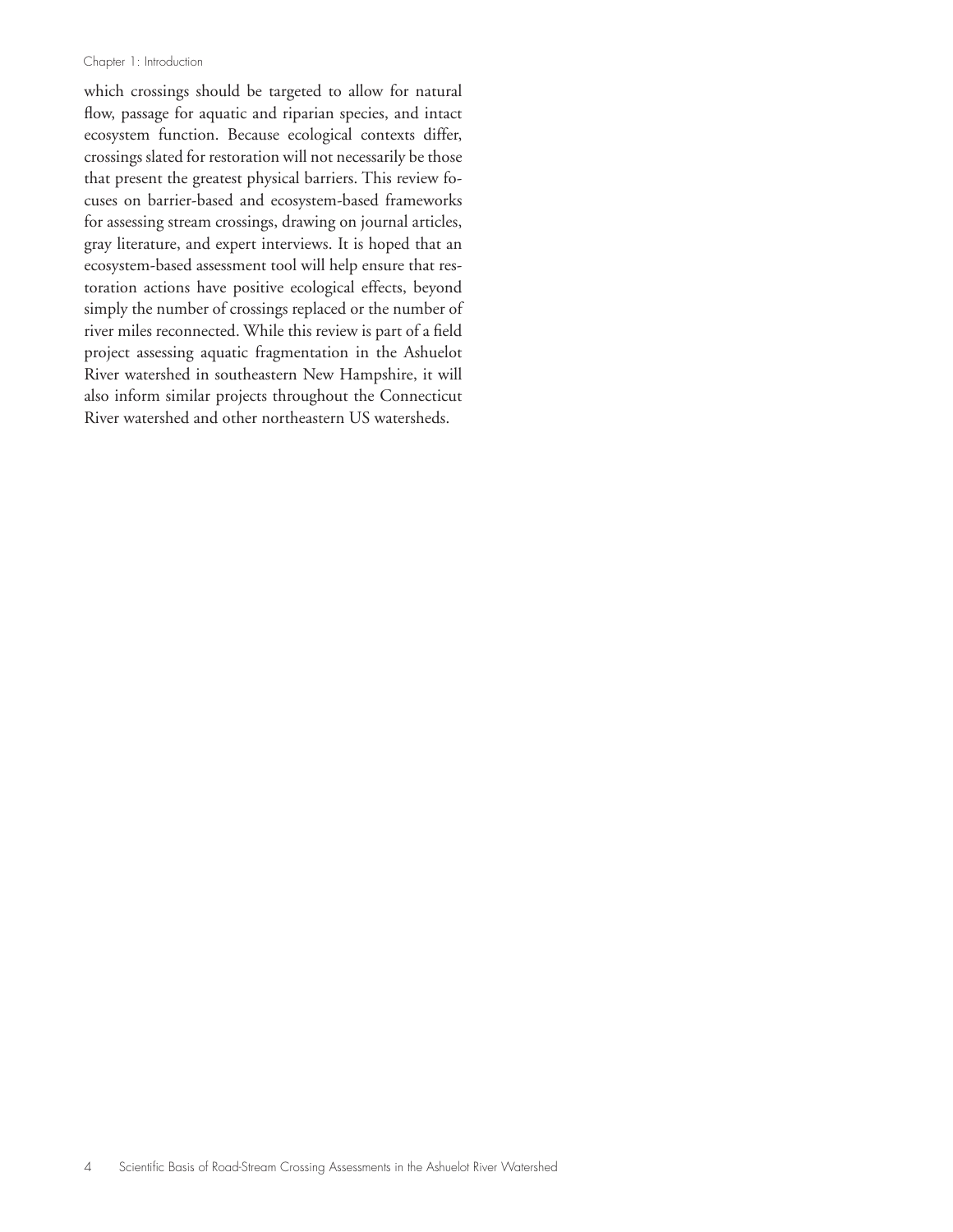#### Chapter 1: Introduction

which crossings should be targeted to allow for natural flow, passage for aquatic and riparian species, and intact ecosystem function. Because ecological contexts differ, crossings slated for restoration will not necessarily be those that present the greatest physical barriers. This review focuses on barrier-based and ecosystem-based frameworks for assessing stream crossings, drawing on journal articles, gray literature, and expert interviews. It is hoped that an ecosystem-based assessment tool will help ensure that restoration actions have positive ecological effects, beyond simply the number of crossings replaced or the number of river miles reconnected. While this review is part of a field project assessing aquatic fragmentation in the Ashuelot River watershed in southeastern New Hampshire, it will also inform similar projects throughout the Connecticut River watershed and other northeastern US watersheds.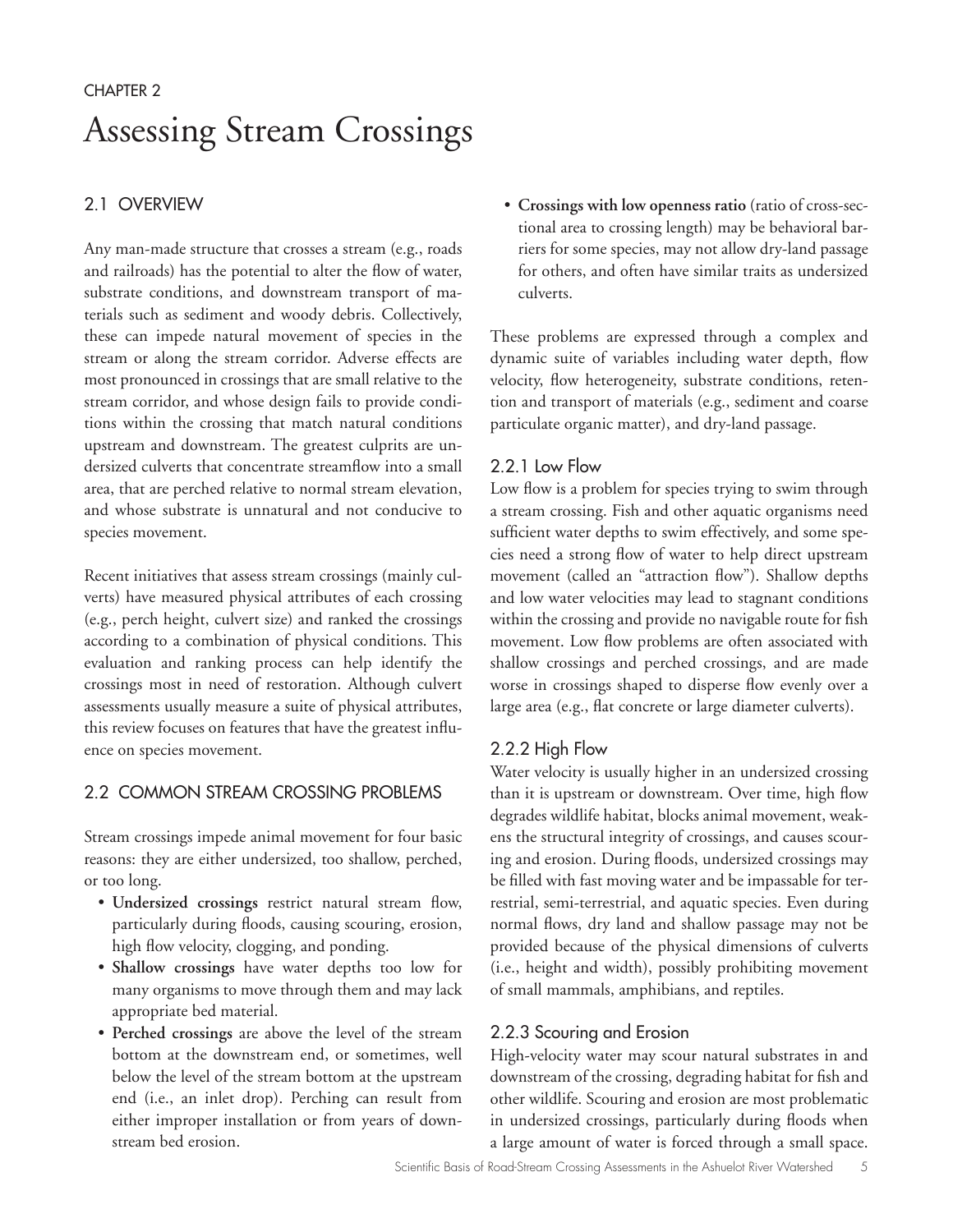# CHAPTER 2 Assessing Stream Crossings

# 2.1 OVERVIEW

Any man-made structure that crosses a stream (e.g., roads and railroads) has the potential to alter the flow of water, substrate conditions, and downstream transport of materials such as sediment and woody debris. Collectively, these can impede natural movement of species in the stream or along the stream corridor. Adverse effects are most pronounced in crossings that are small relative to the stream corridor, and whose design fails to provide conditions within the crossing that match natural conditions upstream and downstream. The greatest culprits are undersized culverts that concentrate streamflow into a small area, that are perched relative to normal stream elevation, and whose substrate is unnatural and not conducive to species movement.

Recent initiatives that assess stream crossings (mainly culverts) have measured physical attributes of each crossing (e.g., perch height, culvert size) and ranked the crossings according to a combination of physical conditions. This evaluation and ranking process can help identify the crossings most in need of restoration. Although culvert assessments usually measure a suite of physical attributes, this review focuses on features that have the greatest influence on species movement.

# 2.2 COMMON STREAM CROSSING PROBLEMS

Stream crossings impede animal movement for four basic reasons: they are either undersized, too shallow, perched, or too long.

- **Undersized crossings** restrict natural stream flow, particularly during floods, causing scouring, erosion, high flow velocity, clogging, and ponding.
- **Shallow crossings** have water depths too low for many organisms to move through them and may lack appropriate bed material.
- **Perched crossings** are above the level of the stream bottom at the downstream end, or sometimes, well below the level of the stream bottom at the upstream end (i.e., an inlet drop). Perching can result from either improper installation or from years of downstream bed erosion.

• **Crossings with low openness ratio** (ratio of cross-sectional area to crossing length) may be behavioral barriers for some species, may not allow dry-land passage for others, and often have similar traits as undersized culverts.

These problems are expressed through a complex and dynamic suite of variables including water depth, flow velocity, flow heterogeneity, substrate conditions, retention and transport of materials (e.g., sediment and coarse particulate organic matter), and dry-land passage.

# 2.2.1 Low Flow

Low flow is a problem for species trying to swim through a stream crossing. Fish and other aquatic organisms need sufficient water depths to swim effectively, and some species need a strong flow of water to help direct upstream movement (called an "attraction flow"). Shallow depths and low water velocities may lead to stagnant conditions within the crossing and provide no navigable route for fish movement. Low flow problems are often associated with shallow crossings and perched crossings, and are made worse in crossings shaped to disperse flow evenly over a large area (e.g., flat concrete or large diameter culverts).

# 2.2.2 High Flow

Water velocity is usually higher in an undersized crossing than it is upstream or downstream. Over time, high flow degrades wildlife habitat, blocks animal movement, weakens the structural integrity of crossings, and causes scouring and erosion. During floods, undersized crossings may be filled with fast moving water and be impassable for terrestrial, semi-terrestrial, and aquatic species. Even during normal flows, dry land and shallow passage may not be provided because of the physical dimensions of culverts (i.e., height and width), possibly prohibiting movement of small mammals, amphibians, and reptiles.

# 2.2.3 Scouring and Erosion

High-velocity water may scour natural substrates in and downstream of the crossing, degrading habitat for fish and other wildlife. Scouring and erosion are most problematic in undersized crossings, particularly during floods when a large amount of water is forced through a small space.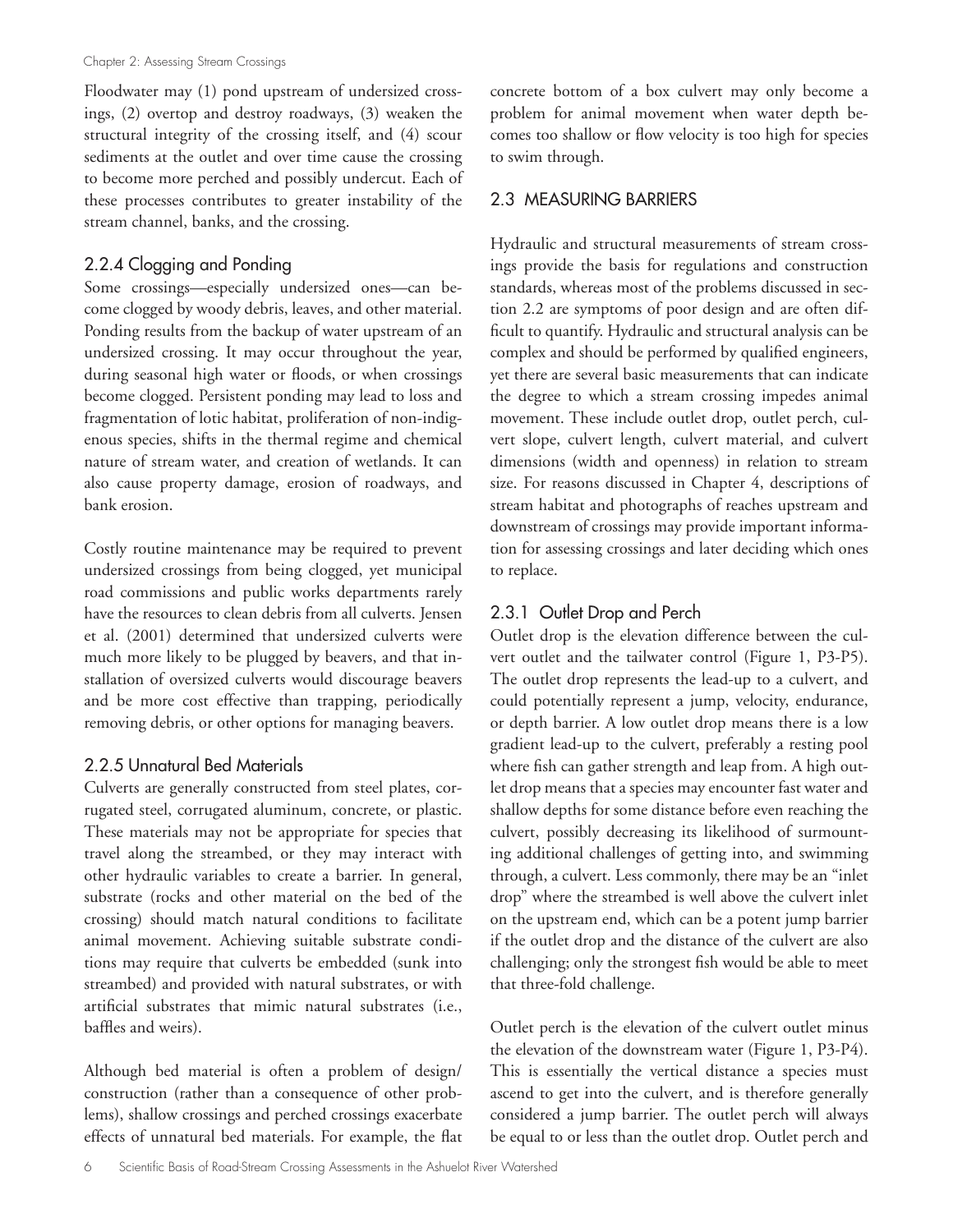Floodwater may (1) pond upstream of undersized crossings, (2) overtop and destroy roadways, (3) weaken the structural integrity of the crossing itself, and (4) scour sediments at the outlet and over time cause the crossing to become more perched and possibly undercut. Each of these processes contributes to greater instability of the stream channel, banks, and the crossing.

# 2.2.4 Clogging and Ponding

Some crossings—especially undersized ones—can become clogged by woody debris, leaves, and other material. Ponding results from the backup of water upstream of an undersized crossing. It may occur throughout the year, during seasonal high water or floods, or when crossings become clogged. Persistent ponding may lead to loss and fragmentation of lotic habitat, proliferation of non-indigenous species, shifts in the thermal regime and chemical nature of stream water, and creation of wetlands. It can also cause property damage, erosion of roadways, and bank erosion.

Costly routine maintenance may be required to prevent undersized crossings from being clogged, yet municipal road commissions and public works departments rarely have the resources to clean debris from all culverts. Jensen et al. (2001) determined that undersized culverts were much more likely to be plugged by beavers, and that installation of oversized culverts would discourage beavers and be more cost effective than trapping, periodically removing debris, or other options for managing beavers.

## 2.2.5 Unnatural Bed Materials

Culverts are generally constructed from steel plates, corrugated steel, corrugated aluminum, concrete, or plastic. These materials may not be appropriate for species that travel along the streambed, or they may interact with other hydraulic variables to create a barrier. In general, substrate (rocks and other material on the bed of the crossing) should match natural conditions to facilitate animal movement. Achieving suitable substrate conditions may require that culverts be embedded (sunk into streambed) and provided with natural substrates, or with artificial substrates that mimic natural substrates (i.e., baffles and weirs).

Although bed material is often a problem of design/ construction (rather than a consequence of other problems), shallow crossings and perched crossings exacerbate effects of unnatural bed materials. For example, the flat concrete bottom of a box culvert may only become a problem for animal movement when water depth becomes too shallow or flow velocity is too high for species to swim through.

## 2.3 MEASURING BARRIERS

Hydraulic and structural measurements of stream crossings provide the basis for regulations and construction standards, whereas most of the problems discussed in section 2.2 are symptoms of poor design and are often difficult to quantify. Hydraulic and structural analysis can be complex and should be performed by qualified engineers, yet there are several basic measurements that can indicate the degree to which a stream crossing impedes animal movement. These include outlet drop, outlet perch, culvert slope, culvert length, culvert material, and culvert dimensions (width and openness) in relation to stream size. For reasons discussed in Chapter 4, descriptions of stream habitat and photographs of reaches upstream and downstream of crossings may provide important information for assessing crossings and later deciding which ones to replace.

# 2.3.1 Outlet Drop and Perch

Outlet drop is the elevation difference between the culvert outlet and the tailwater control (Figure 1, P3-P5). The outlet drop represents the lead-up to a culvert, and could potentially represent a jump, velocity, endurance, or depth barrier. A low outlet drop means there is a low gradient lead-up to the culvert, preferably a resting pool where fish can gather strength and leap from. A high outlet drop means that a species may encounter fast water and shallow depths for some distance before even reaching the culvert, possibly decreasing its likelihood of surmounting additional challenges of getting into, and swimming through, a culvert. Less commonly, there may be an "inlet drop" where the streambed is well above the culvert inlet on the upstream end, which can be a potent jump barrier if the outlet drop and the distance of the culvert are also challenging; only the strongest fish would be able to meet that three-fold challenge.

Outlet perch is the elevation of the culvert outlet minus the elevation of the downstream water (Figure 1, P3-P4). This is essentially the vertical distance a species must ascend to get into the culvert, and is therefore generally considered a jump barrier. The outlet perch will always be equal to or less than the outlet drop. Outlet perch and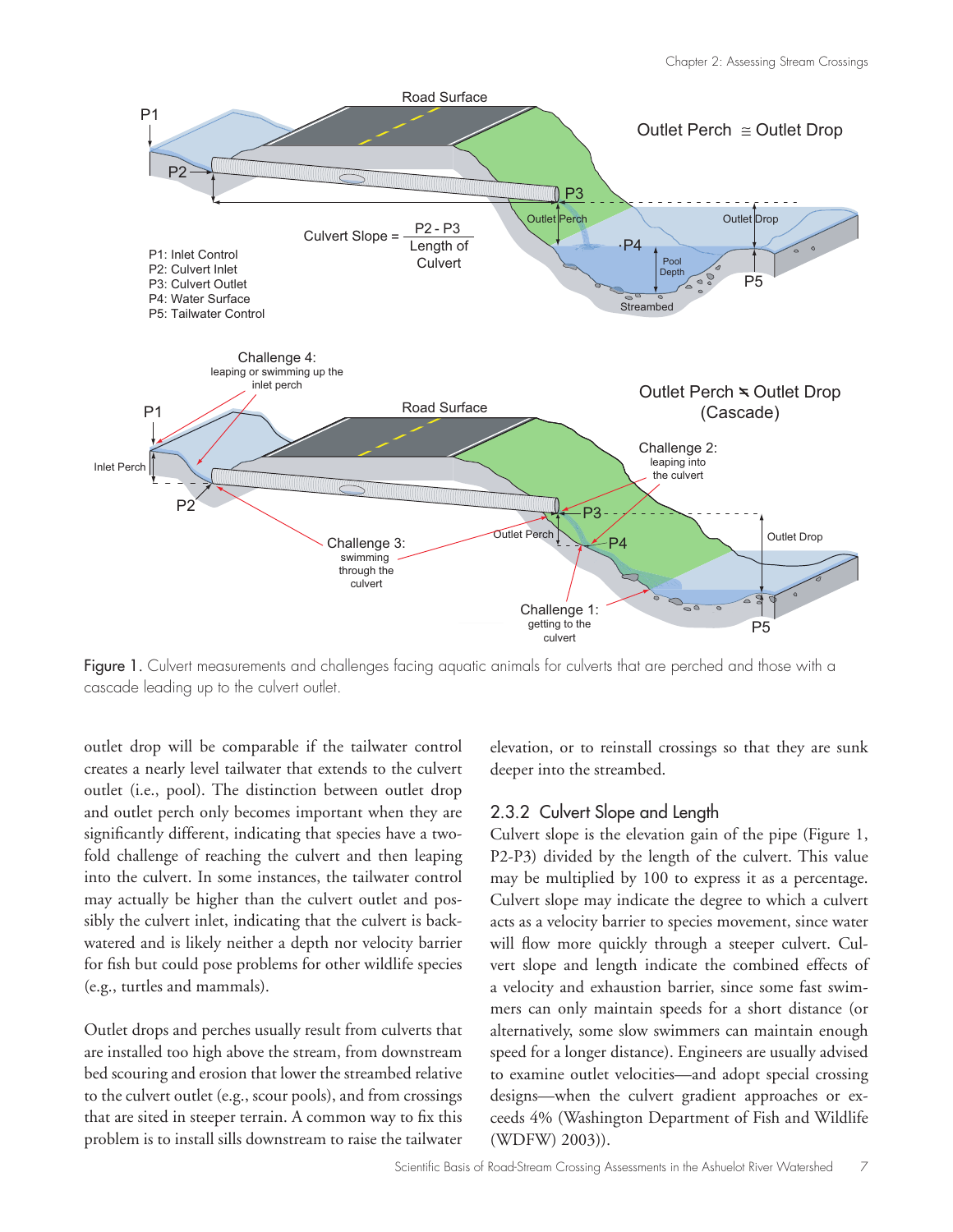

Figure 1. Culvert measurements and challenges facing aquatic animals for culverts that are perched and those with a cascade leading up to the culvert outlet.

outlet drop will be comparable if the tailwater control creates a nearly level tailwater that extends to the culvert outlet (i.e., pool). The distinction between outlet drop and outlet perch only becomes important when they are significantly different, indicating that species have a twofold challenge of reaching the culvert and then leaping into the culvert. In some instances, the tailwater control may actually be higher than the culvert outlet and possibly the culvert inlet, indicating that the culvert is backwatered and is likely neither a depth nor velocity barrier for fish but could pose problems for other wildlife species (e.g., turtles and mammals).

Outlet drops and perches usually result from culverts that are installed too high above the stream, from downstream bed scouring and erosion that lower the streambed relative to the culvert outlet (e.g., scour pools), and from crossings that are sited in steeper terrain. A common way to fix this problem is to install sills downstream to raise the tailwater

elevation, or to reinstall crossings so that they are sunk deeper into the streambed.

#### 2.3.2 Culvert Slope and Length

Culvert slope is the elevation gain of the pipe (Figure 1, P2-P3) divided by the length of the culvert. This value may be multiplied by 100 to express it as a percentage. Culvert slope may indicate the degree to which a culvert acts as a velocity barrier to species movement, since water will flow more quickly through a steeper culvert. Culvert slope and length indicate the combined effects of a velocity and exhaustion barrier, since some fast swimmers can only maintain speeds for a short distance (or alternatively, some slow swimmers can maintain enough speed for a longer distance). Engineers are usually advised to examine outlet velocities—and adopt special crossing designs—when the culvert gradient approaches or exceeds 4% (Washington Department of Fish and Wildlife (WDFW) 2003)).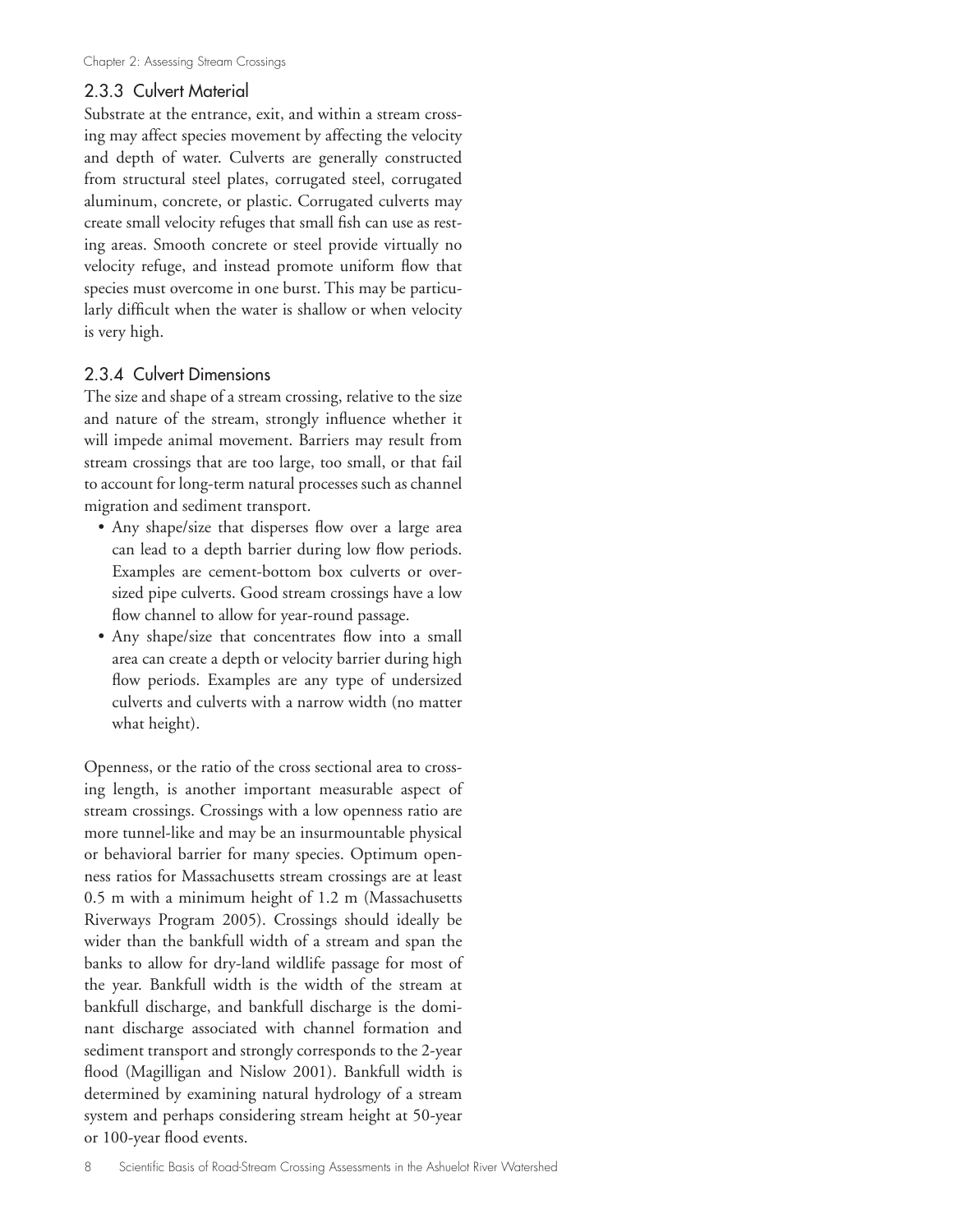### 2.3.3 Culvert Material

Substrate at the entrance, exit, and within a stream crossing may affect species movement by affecting the velocity and depth of water. Culverts are generally constructed from structural steel plates, corrugated steel, corrugated aluminum, concrete, or plastic. Corrugated culverts may create small velocity refuges that small fish can use as resting areas. Smooth concrete or steel provide virtually no velocity refuge, and instead promote uniform flow that species must overcome in one burst. This may be particularly difficult when the water is shallow or when velocity is very high.

### 2.3.4 Culvert Dimensions

The size and shape of a stream crossing, relative to the size and nature of the stream, strongly influence whether it will impede animal movement. Barriers may result from stream crossings that are too large, too small, or that fail to account for long-term natural processes such as channel migration and sediment transport.

- Any shape/size that disperses flow over a large area can lead to a depth barrier during low flow periods. Examples are cement-bottom box culverts or oversized pipe culverts. Good stream crossings have a low flow channel to allow for year-round passage.
- Any shape/size that concentrates flow into a small area can create a depth or velocity barrier during high flow periods. Examples are any type of undersized culverts and culverts with a narrow width (no matter what height).

Openness, or the ratio of the cross sectional area to crossing length, is another important measurable aspect of stream crossings. Crossings with a low openness ratio are more tunnel-like and may be an insurmountable physical or behavioral barrier for many species. Optimum openness ratios for Massachusetts stream crossings are at least 0.5 m with a minimum height of 1.2 m (Massachusetts Riverways Program 2005). Crossings should ideally be wider than the bankfull width of a stream and span the banks to allow for dry-land wildlife passage for most of the year. Bankfull width is the width of the stream at bankfull discharge, and bankfull discharge is the dominant discharge associated with channel formation and sediment transport and strongly corresponds to the 2-year flood (Magilligan and Nislow 2001). Bankfull width is determined by examining natural hydrology of a stream system and perhaps considering stream height at 50-year or 100-year flood events.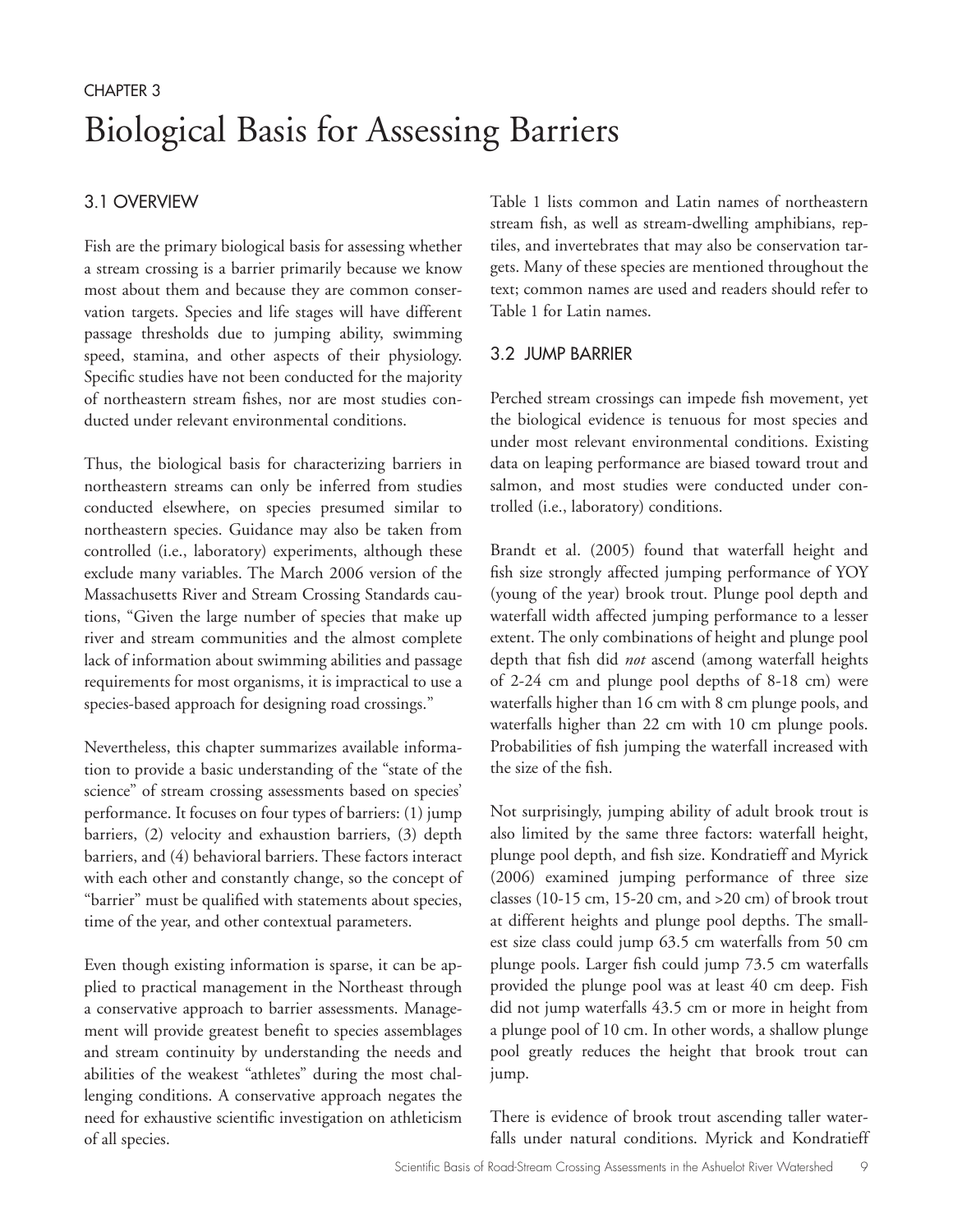# CHAPTER 3 Biological Basis for Assessing Barriers

# 3.1 OVERVIEW

Fish are the primary biological basis for assessing whether a stream crossing is a barrier primarily because we know most about them and because they are common conservation targets. Species and life stages will have different passage thresholds due to jumping ability, swimming speed, stamina, and other aspects of their physiology. Specific studies have not been conducted for the majority of northeastern stream fishes, nor are most studies conducted under relevant environmental conditions.

Thus, the biological basis for characterizing barriers in northeastern streams can only be inferred from studies conducted elsewhere, on species presumed similar to northeastern species. Guidance may also be taken from controlled (i.e., laboratory) experiments, although these exclude many variables. The March 2006 version of the Massachusetts River and Stream Crossing Standards cautions, "Given the large number of species that make up river and stream communities and the almost complete lack of information about swimming abilities and passage requirements for most organisms, it is impractical to use a species-based approach for designing road crossings."

Nevertheless, this chapter summarizes available information to provide a basic understanding of the "state of the science" of stream crossing assessments based on species' performance. It focuses on four types of barriers: (1) jump barriers, (2) velocity and exhaustion barriers, (3) depth barriers, and (4) behavioral barriers. These factors interact with each other and constantly change, so the concept of "barrier" must be qualified with statements about species, time of the year, and other contextual parameters.

Even though existing information is sparse, it can be applied to practical management in the Northeast through a conservative approach to barrier assessments. Management will provide greatest benefit to species assemblages and stream continuity by understanding the needs and abilities of the weakest "athletes" during the most challenging conditions. A conservative approach negates the need for exhaustive scientific investigation on athleticism of all species.

Table 1 lists common and Latin names of northeastern stream fish, as well as stream-dwelling amphibians, reptiles, and invertebrates that may also be conservation targets. Many of these species are mentioned throughout the text; common names are used and readers should refer to Table 1 for Latin names.

# 3.2 JUMP BARRIER

Perched stream crossings can impede fish movement, yet the biological evidence is tenuous for most species and under most relevant environmental conditions. Existing data on leaping performance are biased toward trout and salmon, and most studies were conducted under controlled (i.e., laboratory) conditions.

Brandt et al. (2005) found that waterfall height and fish size strongly affected jumping performance of YOY (young of the year) brook trout. Plunge pool depth and waterfall width affected jumping performance to a lesser extent. The only combinations of height and plunge pool depth that fish did *not* ascend (among waterfall heights of 2-24 cm and plunge pool depths of 8-18 cm) were waterfalls higher than 16 cm with 8 cm plunge pools, and waterfalls higher than 22 cm with 10 cm plunge pools. Probabilities of fish jumping the waterfall increased with the size of the fish.

Not surprisingly, jumping ability of adult brook trout is also limited by the same three factors: waterfall height, plunge pool depth, and fish size. Kondratieff and Myrick (2006) examined jumping performance of three size classes (10-15 cm, 15-20 cm, and >20 cm) of brook trout at different heights and plunge pool depths. The smallest size class could jump 63.5 cm waterfalls from 50 cm plunge pools. Larger fish could jump 73.5 cm waterfalls provided the plunge pool was at least 40 cm deep. Fish did not jump waterfalls 43.5 cm or more in height from a plunge pool of 10 cm. In other words, a shallow plunge pool greatly reduces the height that brook trout can jump.

There is evidence of brook trout ascending taller waterfalls under natural conditions. Myrick and Kondratieff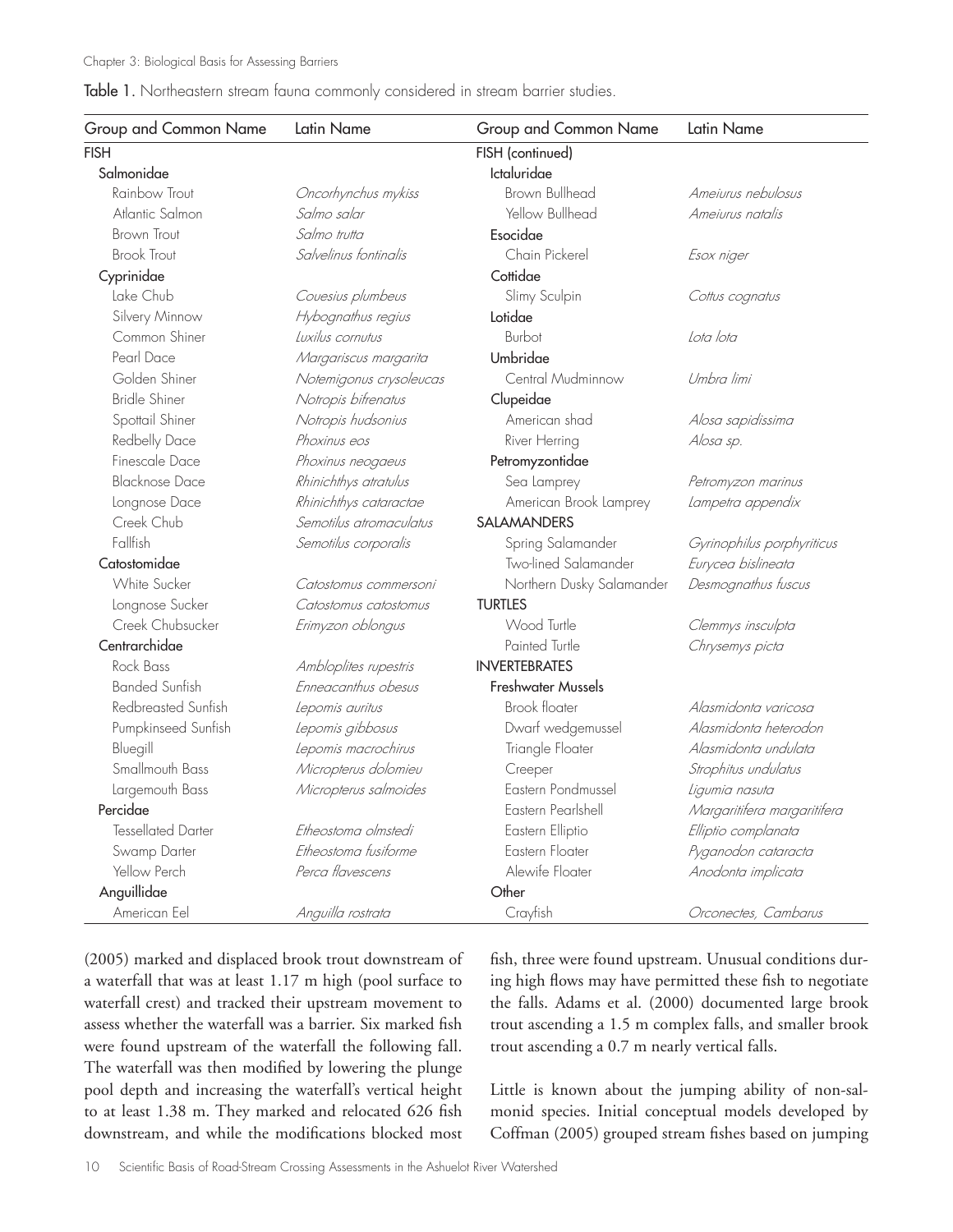#### Table 1. Northeastern stream fauna commonly considered in stream barrier studies.

| Group and Common Name | Latin Name              | Group and Common Name     | Latin Name                  |
|-----------------------|-------------------------|---------------------------|-----------------------------|
| <b>FISH</b>           |                         | FISH (continued)          |                             |
| Salmonidae            |                         | Ictaluridae               |                             |
| Rainbow Trout         | Oncorhynchus mykiss     | Brown Bullhead            | Ameiurus nebulosus          |
| Atlantic Salmon       | Salmo salar             | Yellow Bullhead           | Ameiurus natalis            |
| <b>Brown Trout</b>    | Salmo trutta            | Esocidae                  |                             |
| <b>Brook Trout</b>    | Salvelinus fontinalis   | Chain Pickerel            | Esox niger                  |
| Cyprinidae            |                         | Cottidae                  |                             |
| Lake Chub             | Couesius plumbeus       | Slimy Sculpin             | Cottus cognatus             |
| Silvery Minnow        | Hybognathus regius      | Lotidae                   |                             |
| Common Shiner         | Luxilus cornutus        | Burbot                    | Lota lota                   |
| Pearl Dace            | Margariscus margarita   | Umbridae                  |                             |
| Golden Shiner         | Notemigonus crysoleucas | Central Mudminnow         | Umbra limi                  |
| <b>Bridle Shiner</b>  | Notropis bifrenatus     | Clupeidae                 |                             |
| Spottail Shiner       | Notropis hudsonius      | American shad             | Alosa sapidissima           |
| Redbelly Dace         | Phoxinus eos            | River Herring             | Alosa sp.                   |
| Finescale Dace        | Phoxinus neogaeus       | Petromyzontidae           |                             |
| <b>Blacknose Dace</b> | Rhinichthys atratulus   | Sea Lamprey               | Petromyzon marinus          |
| Longnose Dace         | Rhinichthys cataractae  | American Brook Lamprey    | Lampetra appendix           |
| Creek Chub            | Semotilus atromaculatus | SALAMANDERS               |                             |
| Fallfish              | Semotilus corporalis    | Spring Salamander         | Gyrinophilus porphyriticus  |
| Catostomidae          |                         | Two-lined Salamander      | Eurycea bislineata          |
| <b>White Sucker</b>   | Catostomus commersoni   | Northern Dusky Salamander | Desmognathus fuscus         |
| Longnose Sucker       | Catostomus catostomus   | <b>TURTLES</b>            |                             |
| Creek Chubsucker      | Erimyzon oblongus       | Wood Turtle               | Clemmys insculpta           |
| Centrarchidae         |                         | Painted Turtle            | Chrysemys picta             |
| Rock Bass             | Ambloplites rupestris   | <b>INVERTEBRATES</b>      |                             |
| <b>Banded Sunfish</b> | Enneacanthus obesus     | Freshwater Mussels        |                             |
| Redbreasted Sunfish   | Lepomis auritus         | <b>Brook floater</b>      | Alasmidonta varicosa        |
| Pumpkinseed Sunfish   | Lepomis gibbosus        | Dwarf wedgemussel         | Alasmidonta heterodon       |
| Bluegill              | Lepomis macrochirus     | Triangle Floater          | Alasmidonta undulata        |
| Smallmouth Bass       | Micropterus dolomieu    | Creeper                   | Strophitus undulatus        |
| Largemouth Bass       | Micropterus salmoides   | Eastern Pondmussel        | Ligumia nasuta              |
| Percidae              |                         | Eastern Pearlshell        | Margaritifera margaritifera |
| Tessellated Darter    | Etheostoma olmstedi     | Eastern Elliptio          | Elliptio complanata         |
| Swamp Darter          | Etheostoma fusiforme    | Eastern Floater           | Pyganodon cataracta         |
| Yellow Perch          | Perca flavescens        | Alewife Floater           | Anodonta implicata          |
| Anguillidae           |                         | Other                     |                             |
| American Eel          | Anguilla rostrata       | Crayfish                  | Orconectes, Cambarus        |

(2005) marked and displaced brook trout downstream of a waterfall that was at least 1.17 m high (pool surface to waterfall crest) and tracked their upstream movement to assess whether the waterfall was a barrier. Six marked fish were found upstream of the waterfall the following fall. The waterfall was then modified by lowering the plunge pool depth and increasing the waterfall's vertical height to at least 1.38 m. They marked and relocated 626 fish downstream, and while the modifications blocked most

fish, three were found upstream. Unusual conditions during high flows may have permitted these fish to negotiate the falls. Adams et al. (2000) documented large brook trout ascending a 1.5 m complex falls, and smaller brook trout ascending a 0.7 m nearly vertical falls.

Little is known about the jumping ability of non-salmonid species. Initial conceptual models developed by Coffman (2005) grouped stream fishes based on jumping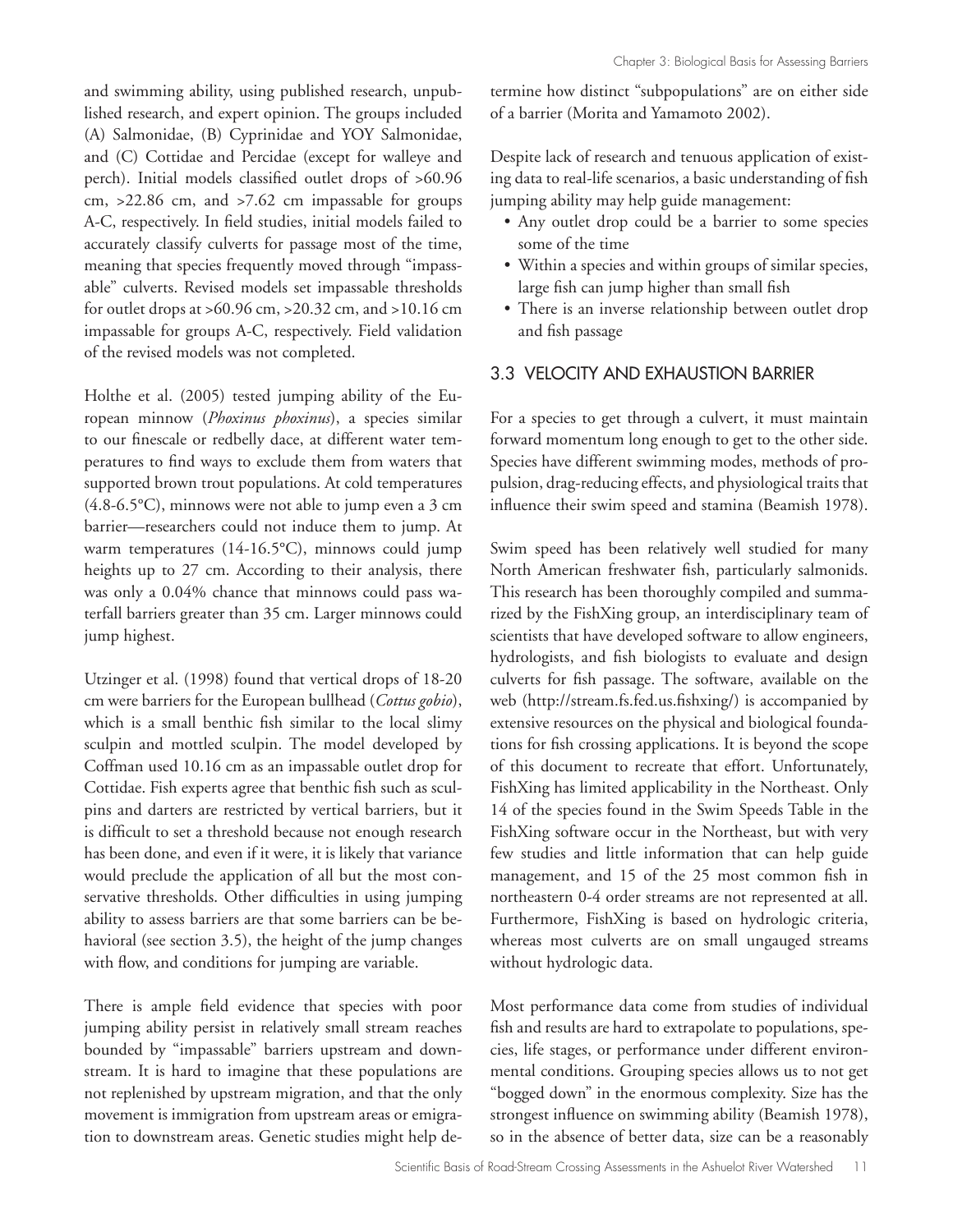and swimming ability, using published research, unpublished research, and expert opinion. The groups included (A) Salmonidae, (B) Cyprinidae and YOY Salmonidae, and (C) Cottidae and Percidae (except for walleye and perch). Initial models classified outlet drops of >60.96 cm, >22.86 cm, and >7.62 cm impassable for groups A-C, respectively. In field studies, initial models failed to accurately classify culverts for passage most of the time, meaning that species frequently moved through "impassable" culverts. Revised models set impassable thresholds for outlet drops at >60.96 cm, >20.32 cm, and >10.16 cm impassable for groups A-C, respectively. Field validation of the revised models was not completed.

Holthe et al. (2005) tested jumping ability of the European minnow (*Phoxinus phoxinus*), a species similar to our finescale or redbelly dace, at different water temperatures to find ways to exclude them from waters that supported brown trout populations. At cold temperatures (4.8-6.5°C), minnows were not able to jump even a 3 cm barrier—researchers could not induce them to jump. At warm temperatures (14-16.5°C), minnows could jump heights up to 27 cm. According to their analysis, there was only a 0.04% chance that minnows could pass waterfall barriers greater than 35 cm. Larger minnows could jump highest.

Utzinger et al. (1998) found that vertical drops of 18-20 cm were barriers for the European bullhead (*Cottus gobio*), which is a small benthic fish similar to the local slimy sculpin and mottled sculpin. The model developed by Coffman used 10.16 cm as an impassable outlet drop for Cottidae. Fish experts agree that benthic fish such as sculpins and darters are restricted by vertical barriers, but it is difficult to set a threshold because not enough research has been done, and even if it were, it is likely that variance would preclude the application of all but the most conservative thresholds. Other difficulties in using jumping ability to assess barriers are that some barriers can be behavioral (see section 3.5), the height of the jump changes with flow, and conditions for jumping are variable.

There is ample field evidence that species with poor jumping ability persist in relatively small stream reaches bounded by "impassable" barriers upstream and downstream. It is hard to imagine that these populations are not replenished by upstream migration, and that the only movement is immigration from upstream areas or emigration to downstream areas. Genetic studies might help determine how distinct "subpopulations" are on either side of a barrier (Morita and Yamamoto 2002).

Despite lack of research and tenuous application of existing data to real-life scenarios, a basic understanding of fish jumping ability may help guide management:

- Any outlet drop could be a barrier to some species some of the time
- Within a species and within groups of similar species, large fish can jump higher than small fish
- There is an inverse relationship between outlet drop and fish passage

#### 3.3 VELOCITY AND EXHAUSTION BARRIER

For a species to get through a culvert, it must maintain forward momentum long enough to get to the other side. Species have different swimming modes, methods of propulsion, drag-reducing effects, and physiological traits that influence their swim speed and stamina (Beamish 1978).

Swim speed has been relatively well studied for many North American freshwater fish, particularly salmonids. This research has been thoroughly compiled and summarized by the FishXing group, an interdisciplinary team of scientists that have developed software to allow engineers, hydrologists, and fish biologists to evaluate and design culverts for fish passage. The software, available on the web (http://stream.fs.fed.us.fishxing/) is accompanied by extensive resources on the physical and biological foundations for fish crossing applications. It is beyond the scope of this document to recreate that effort. Unfortunately, FishXing has limited applicability in the Northeast. Only 14 of the species found in the Swim Speeds Table in the FishXing software occur in the Northeast, but with very few studies and little information that can help guide management, and 15 of the 25 most common fish in northeastern 0-4 order streams are not represented at all. Furthermore, FishXing is based on hydrologic criteria, whereas most culverts are on small ungauged streams without hydrologic data.

Most performance data come from studies of individual fish and results are hard to extrapolate to populations, species, life stages, or performance under different environmental conditions. Grouping species allows us to not get "bogged down" in the enormous complexity. Size has the strongest influence on swimming ability (Beamish 1978), so in the absence of better data, size can be a reasonably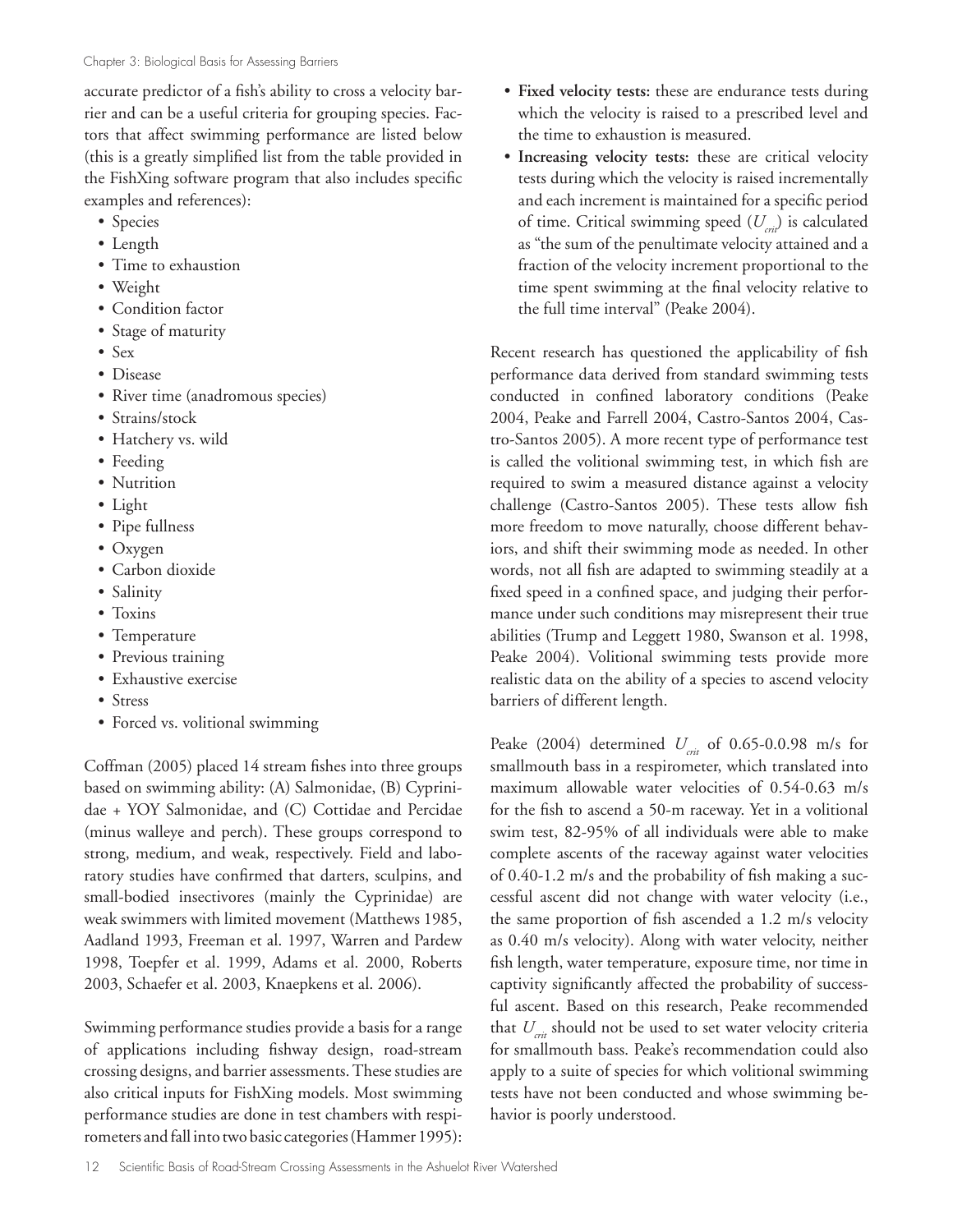accurate predictor of a fish's ability to cross a velocity barrier and can be a useful criteria for grouping species. Factors that affect swimming performance are listed below (this is a greatly simplified list from the table provided in the FishXing software program that also includes specific examples and references):

- Species
- Length
- Time to exhaustion
- Weight
- Condition factor
- Stage of maturity
- Sex
- Disease
- River time (anadromous species)
- Strains/stock
- Hatchery vs. wild
- Feeding
- Nutrition
- Light
- Pipe fullness
- Oxygen
- Carbon dioxide
- Salinity
- Toxins
- Temperature
- Previous training
- Exhaustive exercise
- Stress
- Forced vs. volitional swimming

Coffman (2005) placed 14 stream fishes into three groups based on swimming ability: (A) Salmonidae, (B) Cyprinidae + YOY Salmonidae, and (C) Cottidae and Percidae (minus walleye and perch). These groups correspond to strong, medium, and weak, respectively. Field and laboratory studies have confirmed that darters, sculpins, and small-bodied insectivores (mainly the Cyprinidae) are weak swimmers with limited movement (Matthews 1985, Aadland 1993, Freeman et al. 1997, Warren and Pardew 1998, Toepfer et al. 1999, Adams et al. 2000, Roberts 2003, Schaefer et al. 2003, Knaepkens et al. 2006).

Swimming performance studies provide a basis for a range of applications including fishway design, road-stream crossing designs, and barrier assessments. These studies are also critical inputs for FishXing models. Most swimming performance studies are done in test chambers with respirometers and fall into two basic categories (Hammer 1995):

- **Fixed velocity tests:** these are endurance tests during which the velocity is raised to a prescribed level and the time to exhaustion is measured.
- **Increasing velocity tests:** these are critical velocity tests during which the velocity is raised incrementally and each increment is maintained for a specific period of time. Critical swimming speed ( $U_{crit}$ ) is calculated as "the sum of the penultimate velocity attained and a fraction of the velocity increment proportional to the time spent swimming at the final velocity relative to the full time interval" (Peake 2004).

Recent research has questioned the applicability of fish performance data derived from standard swimming tests conducted in confined laboratory conditions (Peake 2004, Peake and Farrell 2004, Castro-Santos 2004, Castro-Santos 2005). A more recent type of performance test is called the volitional swimming test, in which fish are required to swim a measured distance against a velocity challenge (Castro-Santos 2005). These tests allow fish more freedom to move naturally, choose different behaviors, and shift their swimming mode as needed. In other words, not all fish are adapted to swimming steadily at a fixed speed in a confined space, and judging their performance under such conditions may misrepresent their true abilities (Trump and Leggett 1980, Swanson et al. 1998, Peake 2004). Volitional swimming tests provide more realistic data on the ability of a species to ascend velocity barriers of different length.

Peake (2004) determined *U<sub>crit</sub>* of 0.65-0.0.98 m/s for smallmouth bass in a respirometer, which translated into maximum allowable water velocities of 0.54-0.63 m/s for the fish to ascend a 50-m raceway. Yet in a volitional swim test, 82-95% of all individuals were able to make complete ascents of the raceway against water velocities of 0.40-1.2 m/s and the probability of fish making a successful ascent did not change with water velocity (i.e., the same proportion of fish ascended a 1.2 m/s velocity as 0.40 m/s velocity). Along with water velocity, neither fish length, water temperature, exposure time, nor time in captivity significantly affected the probability of successful ascent. Based on this research, Peake recommended that *U<sub>nit</sub>* should not be used to set water velocity criteria for smallmouth bass. Peake's recommendation could also apply to a suite of species for which volitional swimming tests have not been conducted and whose swimming behavior is poorly understood.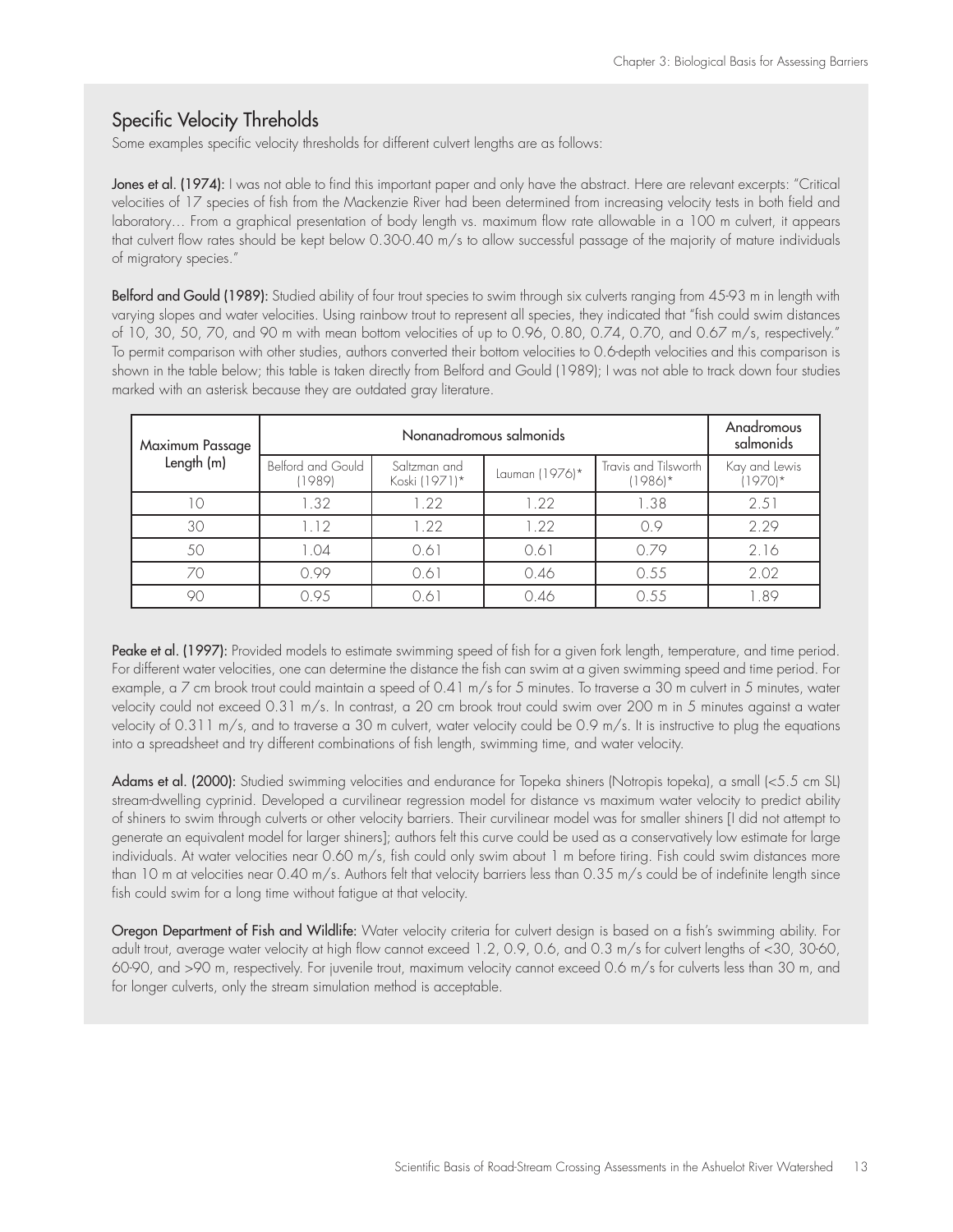# Specific Velocity Threholds

Some examples specific velocity thresholds for different culvert lengths are as follows:

Jones et al. (1974): I was not able to find this important paper and only have the abstract. Here are relevant excerpts: "Critical velocities of 17 species of fish from the Mackenzie River had been determined from increasing velocity tests in both field and laboratory… From a graphical presentation of body length vs. maximum flow rate allowable in a 100 m culvert, it appears that culvert flow rates should be kept below 0.30-0.40 m/s to allow successful passage of the majority of mature individuals of migratory species."

Belford and Gould (1989): Studied ability of four trout species to swim through six culverts ranging from 45-93 m in length with varying slopes and water velocities. Using rainbow trout to represent all species, they indicated that "fish could swim distances of 10, 30, 50, 70, and 90 m with mean bottom velocities of up to 0.96, 0.80, 0.74, 0.70, and 0.67 m/s, respectively." To permit comparison with other studies, authors converted their bottom velocities to 0.6-depth velocities and this comparison is shown in the table below; this table is taken directly from Belford and Gould (1989); I was not able to track down four studies marked with an asterisk because they are outdated gray literature.

| Maximum Passage |                             | Anadromous<br>salmonids       |                |                                   |                          |
|-----------------|-----------------------------|-------------------------------|----------------|-----------------------------------|--------------------------|
| Length (m)      | Belford and Gould<br>(1989) | Saltzman and<br>Koski (1971)* | Lauman (1976)* | Travis and Tilsworth<br>$(1986)*$ | Kay and Lewis<br>$1970*$ |
| IС              | 1.32                        | 1.22                          | 1.22           | 1.38                              | 2.51                     |
| 30              | 1.12                        | 1.22                          | 122            | 0.9                               | 2.29                     |
| 50              | 1.04                        | 0.61                          | 0.61           | 0.79                              | 2.16                     |
| 70              | 0.99                        | 0.61                          | 0.46           | 0.55                              | 2.02                     |
|                 | 0.95                        | 0.61                          | 0.46           | 0.55                              | 1.89                     |

Peake et al. (1997): Provided models to estimate swimming speed of fish for a given fork length, temperature, and time period. For different water velocities, one can determine the distance the fish can swim at a given swimming speed and time period. For example, a 7 cm brook trout could maintain a speed of 0.41 m/s for 5 minutes. To traverse a 30 m culvert in 5 minutes, water velocity could not exceed 0.31 m/s. In contrast, a 20 cm brook trout could swim over 200 m in 5 minutes against a water velocity of 0.311 m/s, and to traverse a 30 m culvert, water velocity could be 0.9 m/s. It is instructive to plug the equations into a spreadsheet and try different combinations of fish length, swimming time, and water velocity.

Adams et al. (2000): Studied swimming velocities and endurance for Topeka shiners (Notropis topeka), a small (<5.5 cm SL) stream-dwelling cyprinid. Developed a curvilinear regression model for distance vs maximum water velocity to predict ability of shiners to swim through culverts or other velocity barriers. Their curvilinear model was for smaller shiners [I did not attempt to generate an equivalent model for larger shiners]; authors felt this curve could be used as a conservatively low estimate for large individuals. At water velocities near 0.60 m/s, fish could only swim about 1 m before tiring. Fish could swim distances more than 10 m at velocities near 0.40 m/s. Authors felt that velocity barriers less than 0.35 m/s could be of indefinite length since fish could swim for a long time without fatigue at that velocity.

Oregon Department of Fish and Wildlife: Water velocity criteria for culvert design is based on a fish's swimming ability. For adult trout, average water velocity at high flow cannot exceed 1.2, 0.9, 0.6, and 0.3 m/s for culvert lengths of <30, 30-60, 60-90, and >90 m, respectively. For juvenile trout, maximum velocity cannot exceed 0.6 m/s for culverts less than 30 m, and for longer culverts, only the stream simulation method is acceptable.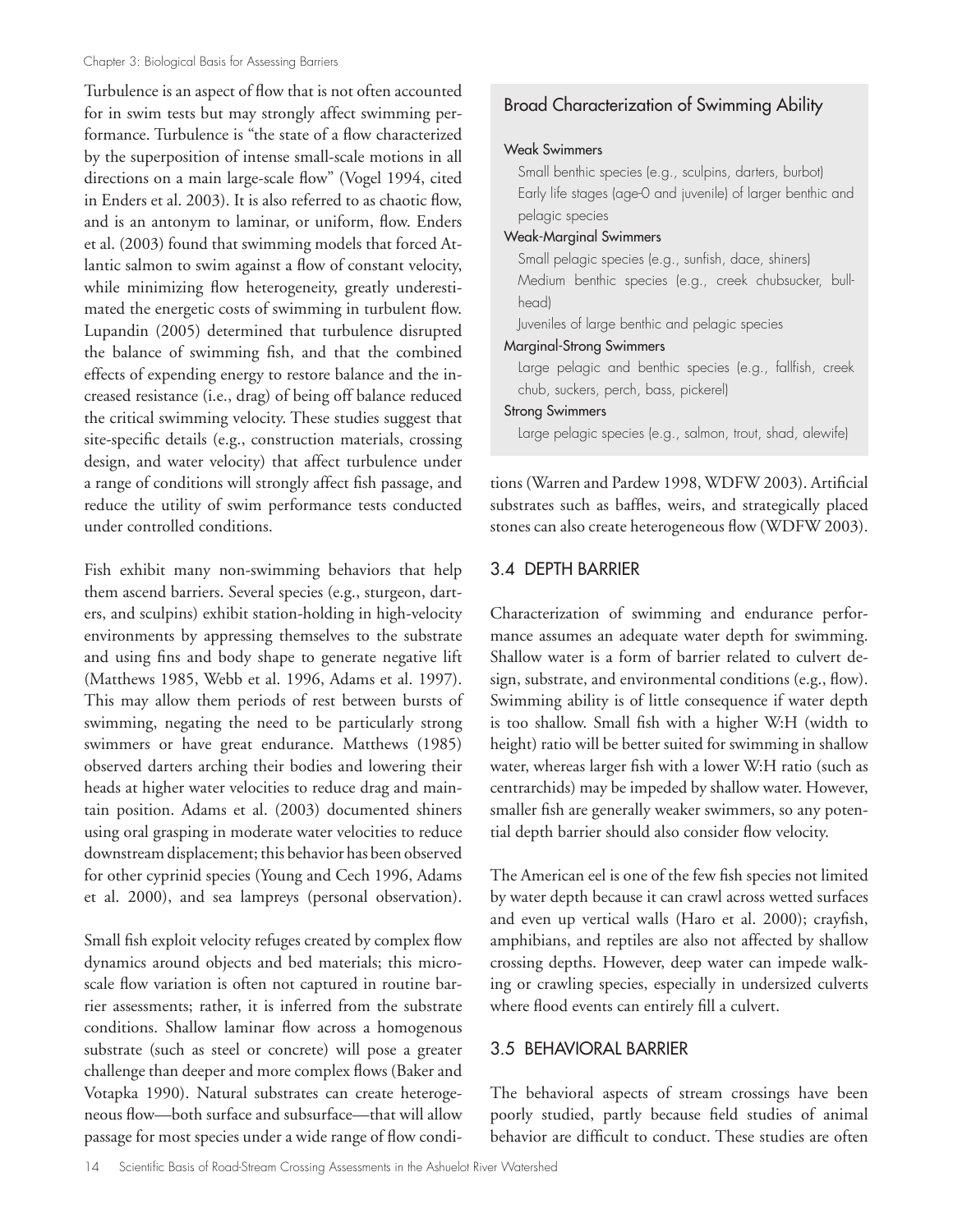Turbulence is an aspect of flow that is not often accounted for in swim tests but may strongly affect swimming performance. Turbulence is "the state of a flow characterized by the superposition of intense small-scale motions in all directions on a main large-scale flow" (Vogel 1994, cited in Enders et al. 2003). It is also referred to as chaotic flow, and is an antonym to laminar, or uniform, flow. Enders et al. (2003) found that swimming models that forced Atlantic salmon to swim against a flow of constant velocity, while minimizing flow heterogeneity, greatly underestimated the energetic costs of swimming in turbulent flow. Lupandin (2005) determined that turbulence disrupted the balance of swimming fish, and that the combined effects of expending energy to restore balance and the increased resistance (i.e., drag) of being off balance reduced the critical swimming velocity. These studies suggest that site-specific details (e.g., construction materials, crossing design, and water velocity) that affect turbulence under a range of conditions will strongly affect fish passage, and reduce the utility of swim performance tests conducted under controlled conditions.

Fish exhibit many non-swimming behaviors that help them ascend barriers. Several species (e.g., sturgeon, darters, and sculpins) exhibit station-holding in high-velocity environments by appressing themselves to the substrate and using fins and body shape to generate negative lift (Matthews 1985, Webb et al. 1996, Adams et al. 1997). This may allow them periods of rest between bursts of swimming, negating the need to be particularly strong swimmers or have great endurance. Matthews (1985) observed darters arching their bodies and lowering their heads at higher water velocities to reduce drag and maintain position. Adams et al. (2003) documented shiners using oral grasping in moderate water velocities to reduce downstream displacement; this behavior has been observed for other cyprinid species (Young and Cech 1996, Adams et al. 2000), and sea lampreys (personal observation).

Small fish exploit velocity refuges created by complex flow dynamics around objects and bed materials; this microscale flow variation is often not captured in routine barrier assessments; rather, it is inferred from the substrate conditions. Shallow laminar flow across a homogenous substrate (such as steel or concrete) will pose a greater challenge than deeper and more complex flows (Baker and Votapka 1990). Natural substrates can create heterogeneous flow—both surface and subsurface—that will allow passage for most species under a wide range of flow condi-

# Broad Characterization of Swimming Ability

#### Weak Swimmers

Small benthic species (e.g., sculpins, darters, burbot) Early life stages (age-0 and juvenile) of larger benthic and pelagic species

#### Weak-Marginal Swimmers

Small pelagic species (e.g., sunfish, dace, shiners) Medium benthic species (e.g., creek chubsucker, bullhead) Juveniles of large benthic and pelagic species Marginal-Strong Swimmers Large pelagic and benthic species (e.g., fallfish, creek chub, suckers, perch, bass, pickerel)

### Strong Swimmers

Large pelagic species (e.g., salmon, trout, shad, alewife)

tions (Warren and Pardew 1998, WDFW 2003). Artificial substrates such as baffles, weirs, and strategically placed stones can also create heterogeneous flow (WDFW 2003).

# 3.4 DEPTH BARRIER

Characterization of swimming and endurance performance assumes an adequate water depth for swimming. Shallow water is a form of barrier related to culvert design, substrate, and environmental conditions (e.g., flow). Swimming ability is of little consequence if water depth is too shallow. Small fish with a higher W:H (width to height) ratio will be better suited for swimming in shallow water, whereas larger fish with a lower W:H ratio (such as centrarchids) may be impeded by shallow water. However, smaller fish are generally weaker swimmers, so any potential depth barrier should also consider flow velocity.

The American eel is one of the few fish species not limited by water depth because it can crawl across wetted surfaces and even up vertical walls (Haro et al. 2000); crayfish, amphibians, and reptiles are also not affected by shallow crossing depths. However, deep water can impede walking or crawling species, especially in undersized culverts where flood events can entirely fill a culvert.

## 3.5 BEHAVIORAL BARRIER

The behavioral aspects of stream crossings have been poorly studied, partly because field studies of animal behavior are difficult to conduct. These studies are often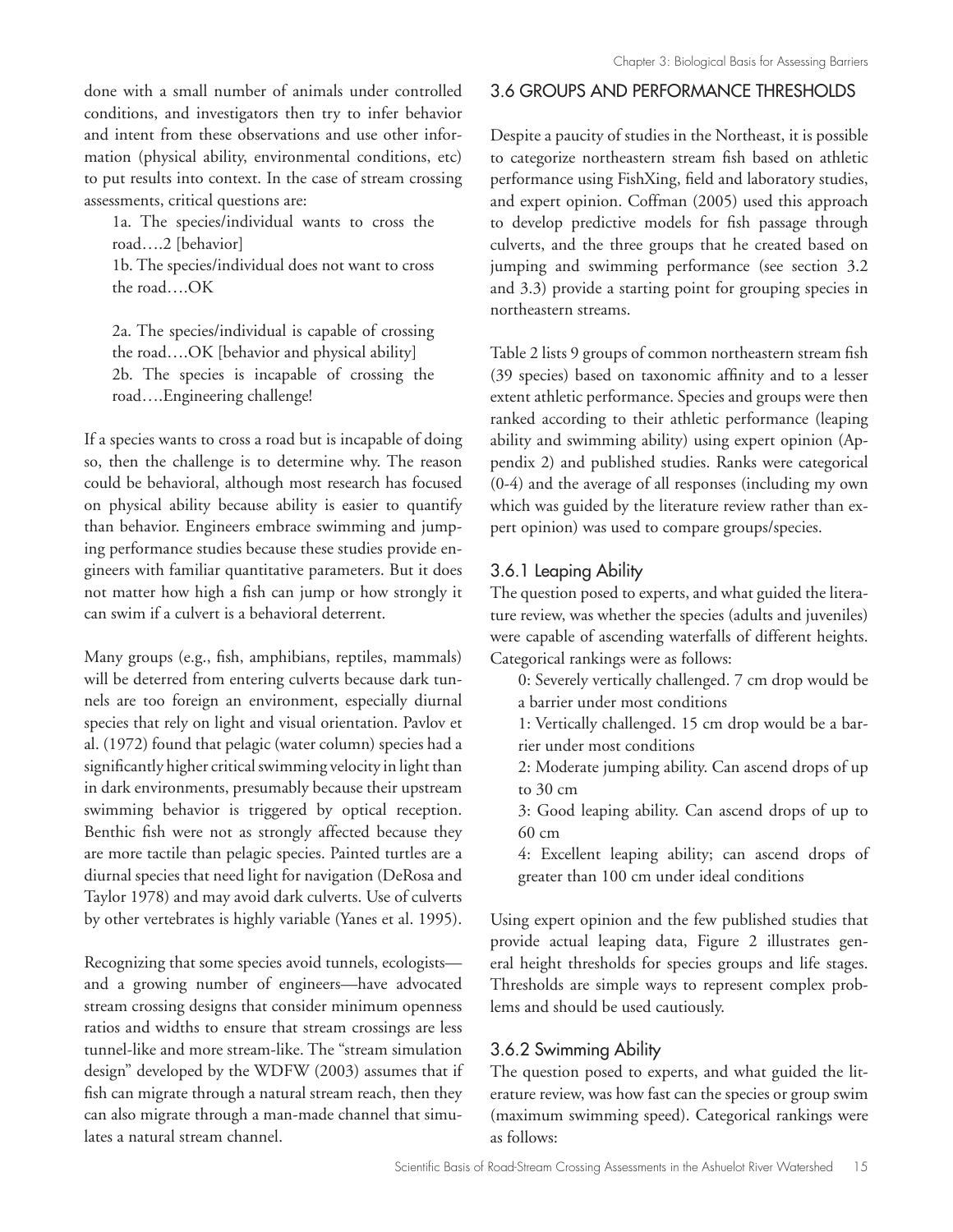done with a small number of animals under controlled conditions, and investigators then try to infer behavior and intent from these observations and use other information (physical ability, environmental conditions, etc) to put results into context. In the case of stream crossing assessments, critical questions are:

1a. The species/individual wants to cross the road….2 [behavior]

1b. The species/individual does not want to cross the road….OK

2a. The species/individual is capable of crossing the road….OK [behavior and physical ability] 2b. The species is incapable of crossing the road….Engineering challenge!

If a species wants to cross a road but is incapable of doing so, then the challenge is to determine why. The reason could be behavioral, although most research has focused on physical ability because ability is easier to quantify than behavior. Engineers embrace swimming and jumping performance studies because these studies provide engineers with familiar quantitative parameters. But it does not matter how high a fish can jump or how strongly it can swim if a culvert is a behavioral deterrent.

Many groups (e.g., fish, amphibians, reptiles, mammals) will be deterred from entering culverts because dark tunnels are too foreign an environment, especially diurnal species that rely on light and visual orientation. Pavlov et al. (1972) found that pelagic (water column) species had a significantly higher critical swimming velocity in light than in dark environments, presumably because their upstream swimming behavior is triggered by optical reception. Benthic fish were not as strongly affected because they are more tactile than pelagic species. Painted turtles are a diurnal species that need light for navigation (DeRosa and Taylor 1978) and may avoid dark culverts. Use of culverts by other vertebrates is highly variable (Yanes et al. 1995).

Recognizing that some species avoid tunnels, ecologists and a growing number of engineers—have advocated stream crossing designs that consider minimum openness ratios and widths to ensure that stream crossings are less tunnel-like and more stream-like. The "stream simulation design" developed by the WDFW (2003) assumes that if fish can migrate through a natural stream reach, then they can also migrate through a man-made channel that simulates a natural stream channel.

# 3.6 GROUPS AND PERFORMANCE THRESHOLDS

Despite a paucity of studies in the Northeast, it is possible to categorize northeastern stream fish based on athletic performance using FishXing, field and laboratory studies, and expert opinion. Coffman (2005) used this approach to develop predictive models for fish passage through culverts, and the three groups that he created based on jumping and swimming performance (see section 3.2 and 3.3) provide a starting point for grouping species in northeastern streams.

Table 2 lists 9 groups of common northeastern stream fish (39 species) based on taxonomic affinity and to a lesser extent athletic performance. Species and groups were then ranked according to their athletic performance (leaping ability and swimming ability) using expert opinion (Appendix 2) and published studies. Ranks were categorical (0-4) and the average of all responses (including my own which was guided by the literature review rather than expert opinion) was used to compare groups/species.

# 3.6.1 Leaping Ability

The question posed to experts, and what guided the literature review, was whether the species (adults and juveniles) were capable of ascending waterfalls of different heights. Categorical rankings were as follows:

- 0: Severely vertically challenged. 7 cm drop would be a barrier under most conditions
- 1: Vertically challenged. 15 cm drop would be a barrier under most conditions
- 2: Moderate jumping ability. Can ascend drops of up to 30 cm
- 3: Good leaping ability. Can ascend drops of up to 60 cm
- 4: Excellent leaping ability; can ascend drops of greater than 100 cm under ideal conditions

Using expert opinion and the few published studies that provide actual leaping data, Figure 2 illustrates general height thresholds for species groups and life stages. Thresholds are simple ways to represent complex problems and should be used cautiously.

# 3.6.2 Swimming Ability

The question posed to experts, and what guided the literature review, was how fast can the species or group swim (maximum swimming speed). Categorical rankings were as follows: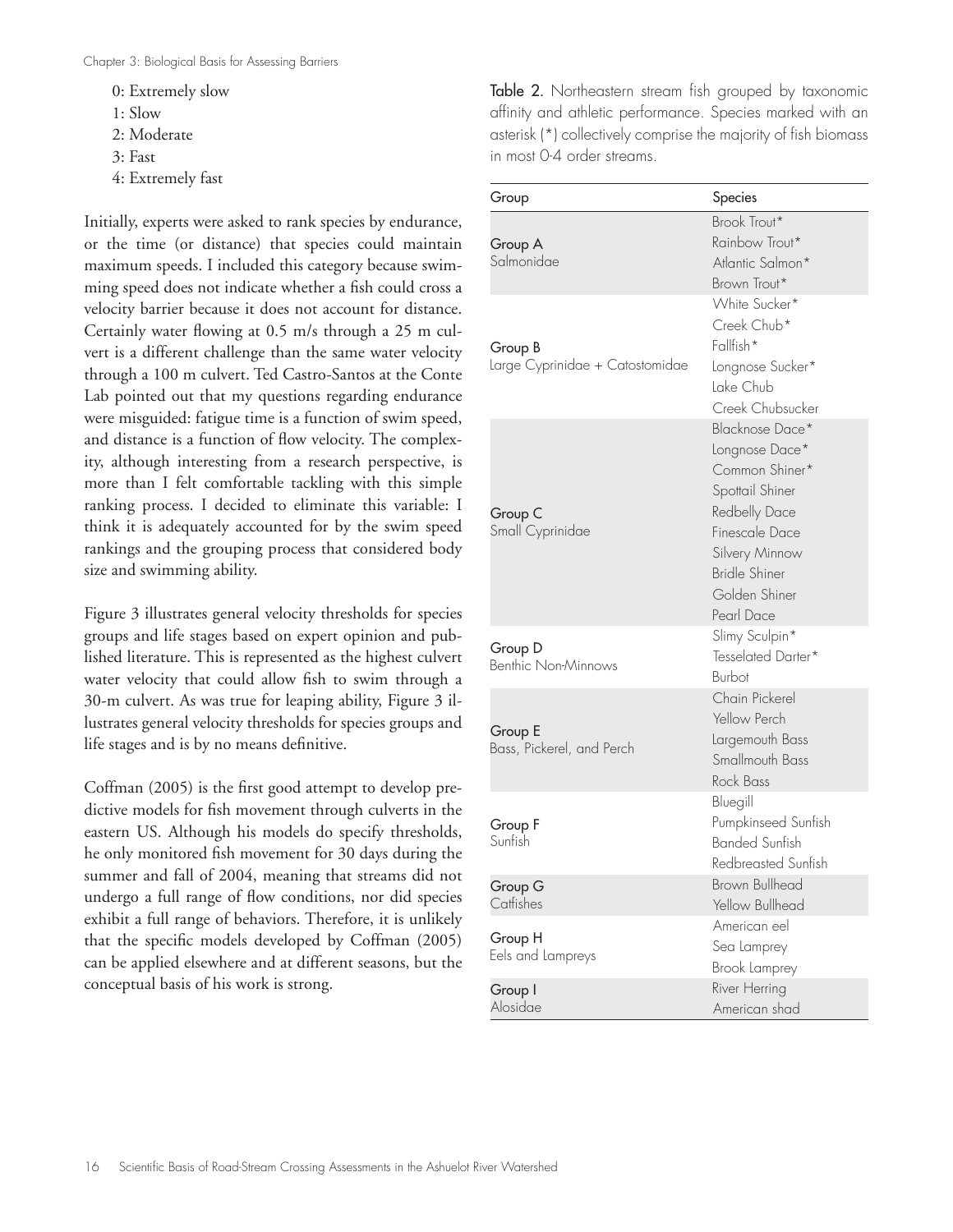- 0: Extremely slow
- 1: Slow
- 2: Moderate
- 3: Fast
- 4: Extremely fast

Initially, experts were asked to rank species by endurance, or the time (or distance) that species could maintain maximum speeds. I included this category because swimming speed does not indicate whether a fish could cross a velocity barrier because it does not account for distance. Certainly water flowing at 0.5 m/s through a 25 m culvert is a different challenge than the same water velocity through a 100 m culvert. Ted Castro-Santos at the Conte Lab pointed out that my questions regarding endurance were misguided: fatigue time is a function of swim speed, and distance is a function of flow velocity. The complexity, although interesting from a research perspective, is more than I felt comfortable tackling with this simple ranking process. I decided to eliminate this variable: I think it is adequately accounted for by the swim speed rankings and the grouping process that considered body size and swimming ability.

Figure 3 illustrates general velocity thresholds for species groups and life stages based on expert opinion and published literature. This is represented as the highest culvert water velocity that could allow fish to swim through a 30-m culvert. As was true for leaping ability, Figure 3 illustrates general velocity thresholds for species groups and life stages and is by no means definitive.

Coffman (2005) is the first good attempt to develop predictive models for fish movement through culverts in the eastern US. Although his models do specify thresholds, he only monitored fish movement for 30 days during the summer and fall of 2004, meaning that streams did not undergo a full range of flow conditions, nor did species exhibit a full range of behaviors. Therefore, it is unlikely that the specific models developed by Coffman (2005) can be applied elsewhere and at different seasons, but the conceptual basis of his work is strong.

Table 2. Northeastern stream fish grouped by taxonomic affinity and athletic performance. Species marked with an asterisk (\*) collectively comprise the majority of fish biomass in most 04 order streams.

| Group                                      | Species                                                                                                                                                                            |
|--------------------------------------------|------------------------------------------------------------------------------------------------------------------------------------------------------------------------------------|
| Group A<br>Salmonidae                      | Brook Trout*<br>Rainbow Trout*<br>Atlantic Salmon*<br>Brown Trout*                                                                                                                 |
| Group B<br>Large Cyprinidae + Catostomidae | White Sucker*<br>Creek Chub*<br>Fallfish*<br>Longnose Sucker*<br>Lake Chub<br>Creek Chubsucker                                                                                     |
| Group C<br>Small Cyprinidae                | Blacknose Dace*<br>Longnose Dace*<br>Common Shiner*<br>Spottail Shiner<br>Redbelly Dace<br>Finescale Dace<br>Silvery Minnow<br><b>Bridle Shiner</b><br>Golden Shiner<br>Pearl Dace |
| Group D<br>Benthic Non-Minnows             | Slimy Sculpin*<br>Tesselated Darter*<br>Burbot                                                                                                                                     |
| Group E<br>Bass, Pickerel, and Perch       | Chain Pickerel<br>Yellow Perch<br>Largemouth Bass<br>Smallmouth Bass<br><b>Rock Bass</b>                                                                                           |
| Group F<br>Sunfish                         | Bluegill<br>Pumpkinseed Sunfish<br><b>Banded Sunfish</b><br>Redbreasted Sunfish                                                                                                    |
| Group G<br>Catfishes                       | <b>Brown Bullhead</b><br>Yellow Bullhead                                                                                                                                           |
| Group H<br>Eels and Lampreys               | American eel<br>Sea Lamprey<br>Brook Lamprey                                                                                                                                       |
| Group I<br>Alosidae                        | River Herring<br>American shad                                                                                                                                                     |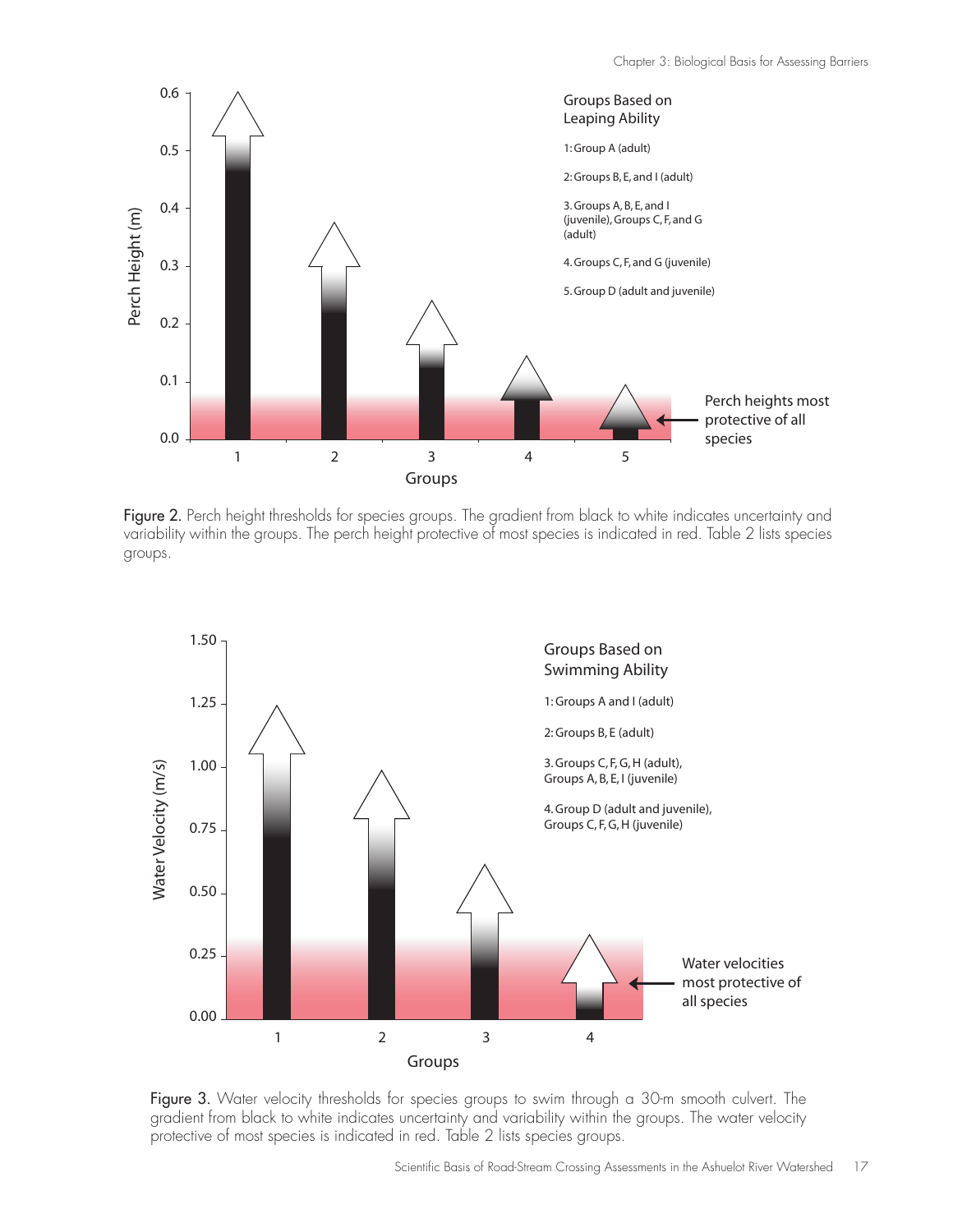

Figure 2. Perch height thresholds for species groups. The gradient from black to white indicates uncertainty and variability within the groups. The perch height protective of most species is indicated in red. Table 2 lists species groups.



Figure 3. Water velocity thresholds for species groups to swim through a 30-m smooth culvert. The gradient from black to white indicates uncertainty and variability within the groups. The water velocity protective of most species is indicated in red. Table 2 lists species groups.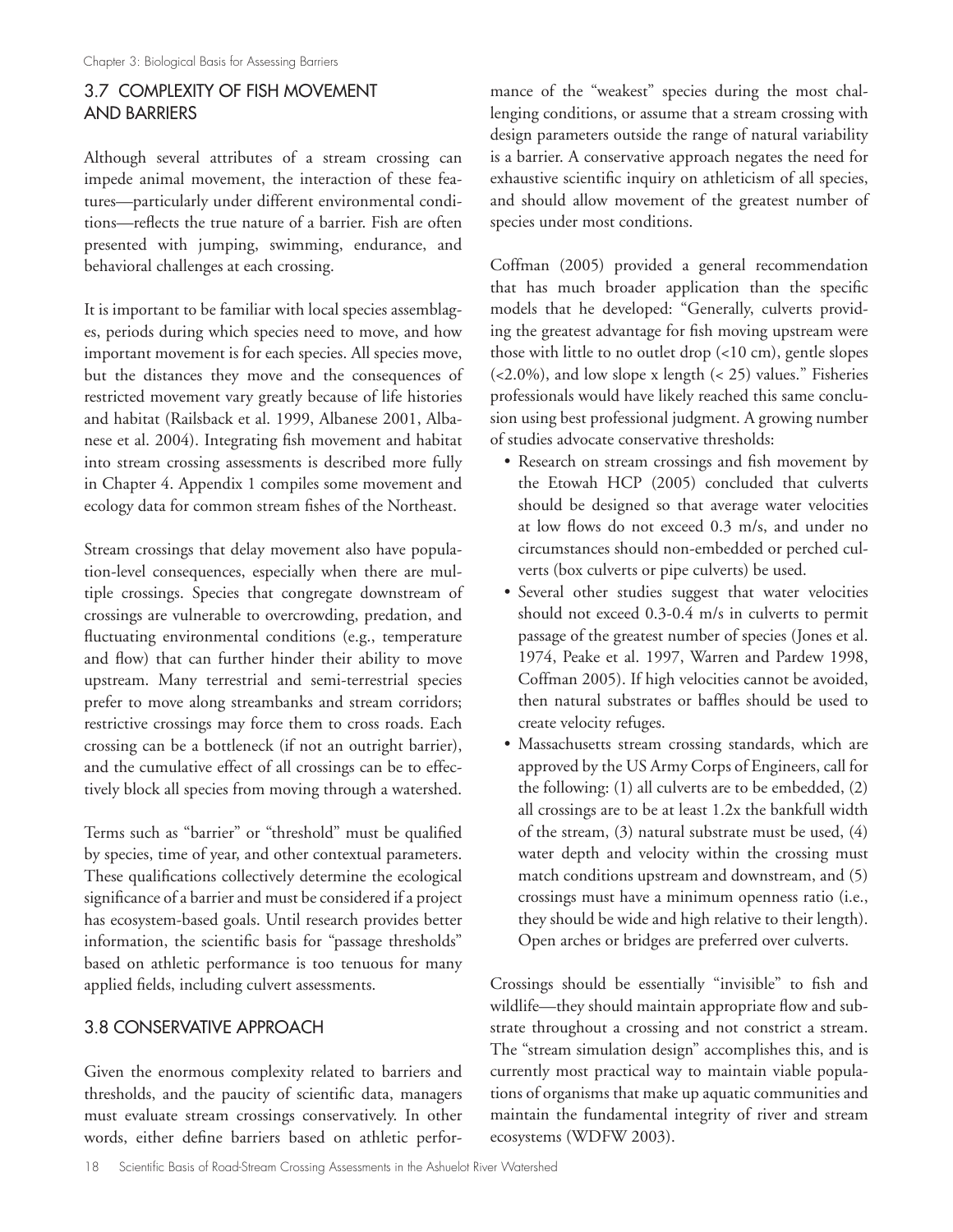# 3.7 COMPLEXITY OF FISH MOVEMENT AND BARRIERS

Although several attributes of a stream crossing can impede animal movement, the interaction of these features—particularly under different environmental conditions—reflects the true nature of a barrier. Fish are often presented with jumping, swimming, endurance, and behavioral challenges at each crossing.

It is important to be familiar with local species assemblages, periods during which species need to move, and how important movement is for each species. All species move, but the distances they move and the consequences of restricted movement vary greatly because of life histories and habitat (Railsback et al. 1999, Albanese 2001, Albanese et al. 2004). Integrating fish movement and habitat into stream crossing assessments is described more fully in Chapter 4. Appendix 1 compiles some movement and ecology data for common stream fishes of the Northeast.

Stream crossings that delay movement also have population-level consequences, especially when there are multiple crossings. Species that congregate downstream of crossings are vulnerable to overcrowding, predation, and fluctuating environmental conditions (e.g., temperature and flow) that can further hinder their ability to move upstream. Many terrestrial and semi-terrestrial species prefer to move along streambanks and stream corridors; restrictive crossings may force them to cross roads. Each crossing can be a bottleneck (if not an outright barrier), and the cumulative effect of all crossings can be to effectively block all species from moving through a watershed.

Terms such as "barrier" or "threshold" must be qualified by species, time of year, and other contextual parameters. These qualifications collectively determine the ecological significance of a barrier and must be considered if a project has ecosystem-based goals. Until research provides better information, the scientific basis for "passage thresholds" based on athletic performance is too tenuous for many applied fields, including culvert assessments.

# 3.8 CONSERVATIVE APPROACH

Given the enormous complexity related to barriers and thresholds, and the paucity of scientific data, managers must evaluate stream crossings conservatively. In other words, either define barriers based on athletic performance of the "weakest" species during the most challenging conditions, or assume that a stream crossing with design parameters outside the range of natural variability is a barrier. A conservative approach negates the need for exhaustive scientific inquiry on athleticism of all species, and should allow movement of the greatest number of species under most conditions.

Coffman (2005) provided a general recommendation that has much broader application than the specific models that he developed: "Generally, culverts providing the greatest advantage for fish moving upstream were those with little to no outlet drop (<10 cm), gentle slopes (<2.0%), and low slope x length (< 25) values." Fisheries professionals would have likely reached this same conclusion using best professional judgment. A growing number of studies advocate conservative thresholds:

- Research on stream crossings and fish movement by the Etowah HCP (2005) concluded that culverts should be designed so that average water velocities at low flows do not exceed 0.3 m/s, and under no circumstances should non-embedded or perched culverts (box culverts or pipe culverts) be used.
- Several other studies suggest that water velocities should not exceed 0.3-0.4 m/s in culverts to permit passage of the greatest number of species (Jones et al. 1974, Peake et al. 1997, Warren and Pardew 1998, Coffman 2005). If high velocities cannot be avoided, then natural substrates or baffles should be used to create velocity refuges.
- Massachusetts stream crossing standards, which are approved by the US Army Corps of Engineers, call for the following: (1) all culverts are to be embedded, (2) all crossings are to be at least 1.2x the bankfull width of the stream, (3) natural substrate must be used, (4) water depth and velocity within the crossing must match conditions upstream and downstream, and (5) crossings must have a minimum openness ratio (i.e., they should be wide and high relative to their length). Open arches or bridges are preferred over culverts.

Crossings should be essentially "invisible" to fish and wildlife—they should maintain appropriate flow and substrate throughout a crossing and not constrict a stream. The "stream simulation design" accomplishes this, and is currently most practical way to maintain viable populations of organisms that make up aquatic communities and maintain the fundamental integrity of river and stream ecosystems (WDFW 2003).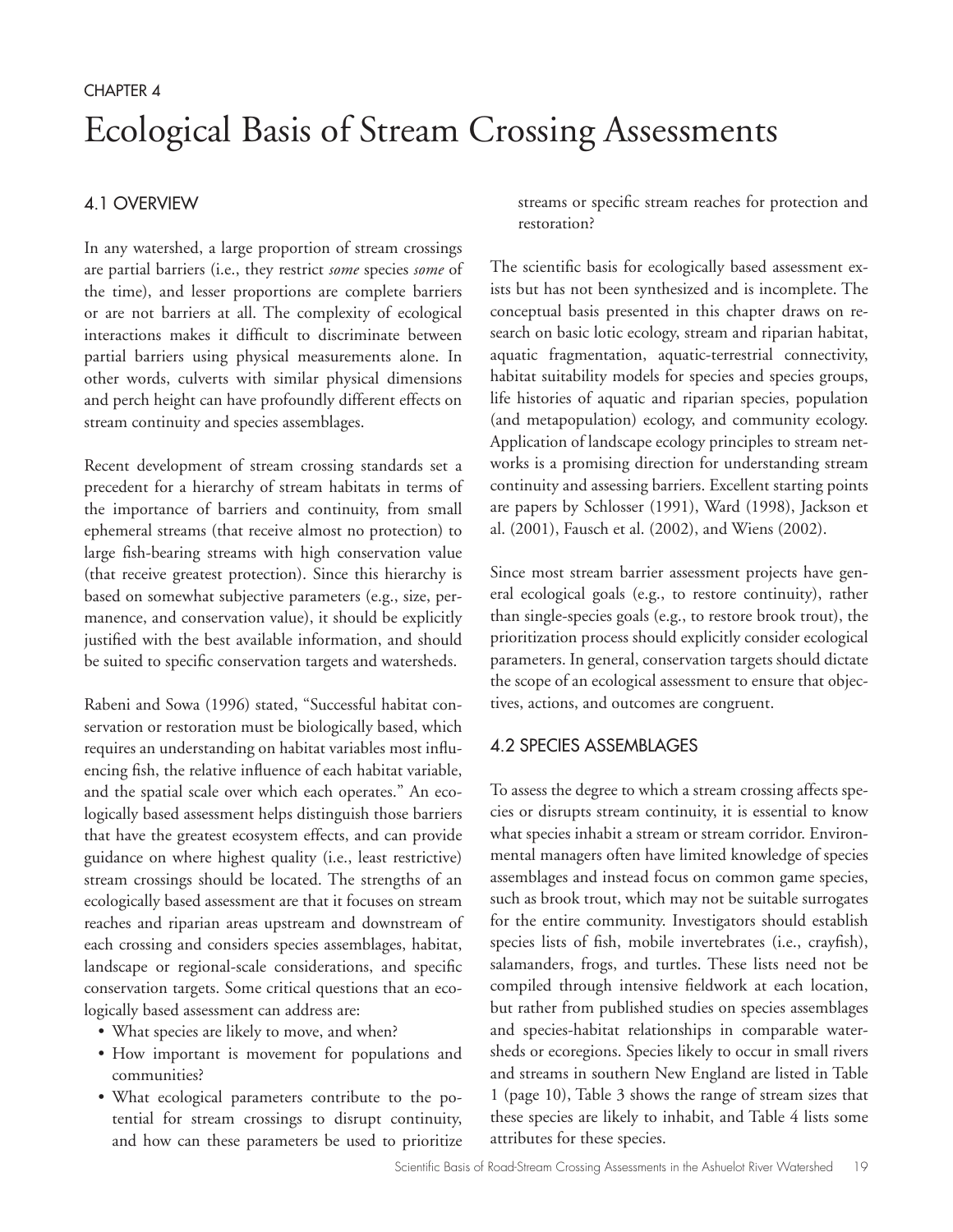# CHAPTER 4 Ecological Basis of Stream Crossing Assessments

# 4.1 OVERVIEW

In any watershed, a large proportion of stream crossings are partial barriers (i.e., they restrict *some* species *some* of the time), and lesser proportions are complete barriers or are not barriers at all. The complexity of ecological interactions makes it difficult to discriminate between partial barriers using physical measurements alone. In other words, culverts with similar physical dimensions and perch height can have profoundly different effects on stream continuity and species assemblages.

Recent development of stream crossing standards set a precedent for a hierarchy of stream habitats in terms of the importance of barriers and continuity, from small ephemeral streams (that receive almost no protection) to large fish-bearing streams with high conservation value (that receive greatest protection). Since this hierarchy is based on somewhat subjective parameters (e.g., size, permanence, and conservation value), it should be explicitly justified with the best available information, and should be suited to specific conservation targets and watersheds.

Rabeni and Sowa (1996) stated, "Successful habitat conservation or restoration must be biologically based, which requires an understanding on habitat variables most influencing fish, the relative influence of each habitat variable, and the spatial scale over which each operates." An ecologically based assessment helps distinguish those barriers that have the greatest ecosystem effects, and can provide guidance on where highest quality (i.e., least restrictive) stream crossings should be located. The strengths of an ecologically based assessment are that it focuses on stream reaches and riparian areas upstream and downstream of each crossing and considers species assemblages, habitat, landscape or regional-scale considerations, and specific conservation targets. Some critical questions that an ecologically based assessment can address are:

- What species are likely to move, and when?
- How important is movement for populations and communities?
- What ecological parameters contribute to the potential for stream crossings to disrupt continuity, and how can these parameters be used to prioritize

streams or specific stream reaches for protection and restoration?

The scientific basis for ecologically based assessment exists but has not been synthesized and is incomplete. The conceptual basis presented in this chapter draws on research on basic lotic ecology, stream and riparian habitat, aquatic fragmentation, aquatic-terrestrial connectivity, habitat suitability models for species and species groups, life histories of aquatic and riparian species, population (and metapopulation) ecology, and community ecology. Application of landscape ecology principles to stream networks is a promising direction for understanding stream continuity and assessing barriers. Excellent starting points are papers by Schlosser (1991), Ward (1998), Jackson et al. (2001), Fausch et al. (2002), and Wiens (2002).

Since most stream barrier assessment projects have general ecological goals (e.g., to restore continuity), rather than single-species goals (e.g., to restore brook trout), the prioritization process should explicitly consider ecological parameters. In general, conservation targets should dictate the scope of an ecological assessment to ensure that objectives, actions, and outcomes are congruent.

#### 4.2 SPECIES ASSEMBLAGES

To assess the degree to which a stream crossing affects species or disrupts stream continuity, it is essential to know what species inhabit a stream or stream corridor. Environmental managers often have limited knowledge of species assemblages and instead focus on common game species, such as brook trout, which may not be suitable surrogates for the entire community. Investigators should establish species lists of fish, mobile invertebrates (i.e., crayfish), salamanders, frogs, and turtles. These lists need not be compiled through intensive fieldwork at each location, but rather from published studies on species assemblages and species-habitat relationships in comparable watersheds or ecoregions. Species likely to occur in small rivers and streams in southern New England are listed in Table 1 (page 10), Table 3 shows the range of stream sizes that these species are likely to inhabit, and Table 4 lists some attributes for these species.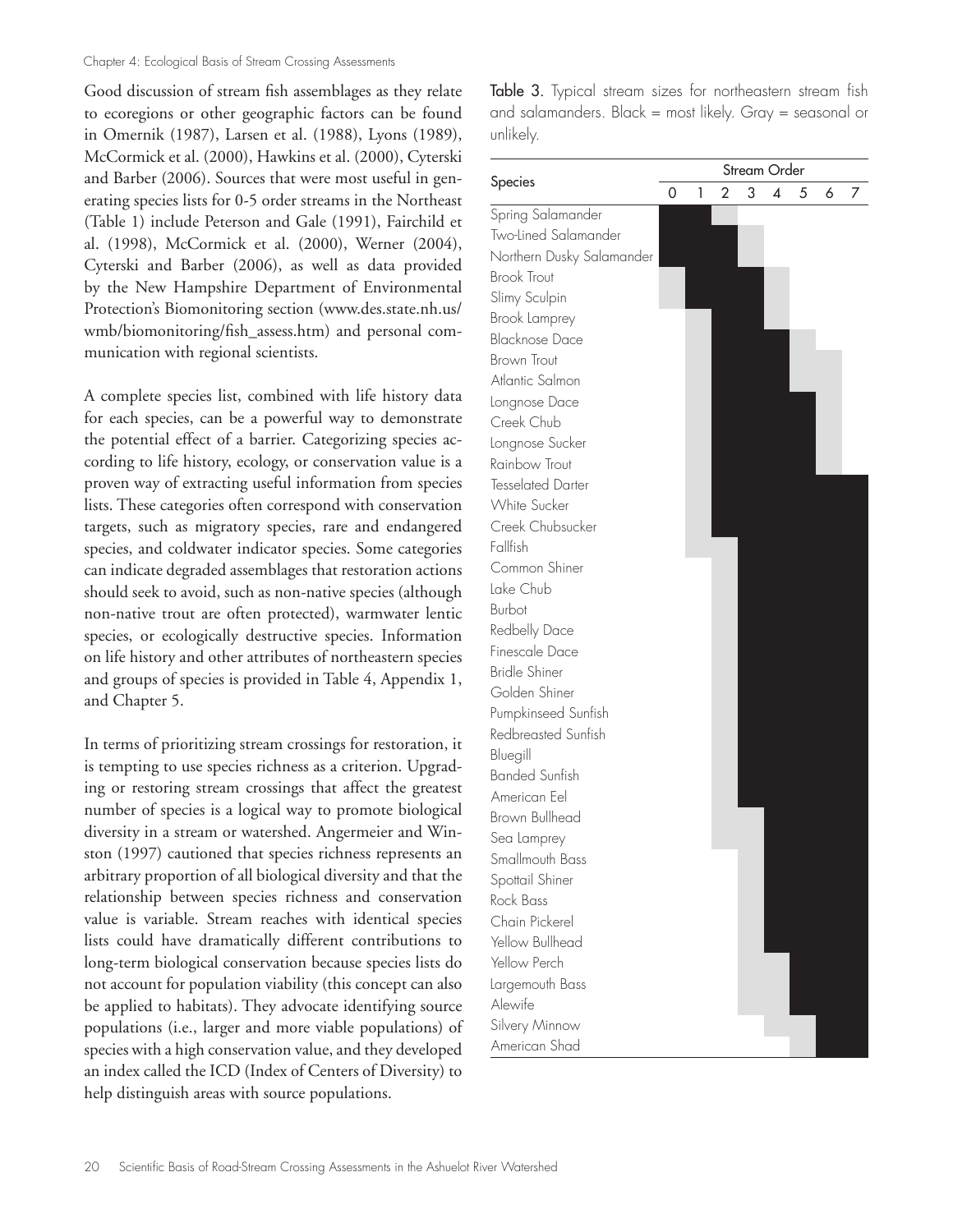#### Chapter 4: Ecological Basis of Stream Crossing Assessments

Good discussion of stream fish assemblages as they relate to ecoregions or other geographic factors can be found in Omernik (1987), Larsen et al. (1988), Lyons (1989), McCormick et al. (2000), Hawkins et al. (2000), Cyterski and Barber (2006). Sources that were most useful in generating species lists for 0-5 order streams in the Northeast (Table 1) include Peterson and Gale (1991), Fairchild et al. (1998), McCormick et al. (2000), Werner (2004), Cyterski and Barber (2006), as well as data provided by the New Hampshire Department of Environmental Protection's Biomonitoring section (www.des.state.nh.us/ wmb/biomonitoring/fish\_assess.htm) and personal communication with regional scientists.

A complete species list, combined with life history data for each species, can be a powerful way to demonstrate the potential effect of a barrier. Categorizing species according to life history, ecology, or conservation value is a proven way of extracting useful information from species lists. These categories often correspond with conservation targets, such as migratory species, rare and endangered species, and coldwater indicator species. Some categories can indicate degraded assemblages that restoration actions should seek to avoid, such as non-native species (although non-native trout are often protected), warmwater lentic species, or ecologically destructive species. Information on life history and other attributes of northeastern species and groups of species is provided in Table 4, Appendix 1, and Chapter 5.

In terms of prioritizing stream crossings for restoration, it is tempting to use species richness as a criterion. Upgrading or restoring stream crossings that affect the greatest number of species is a logical way to promote biological diversity in a stream or watershed. Angermeier and Winston (1997) cautioned that species richness represents an arbitrary proportion of all biological diversity and that the relationship between species richness and conservation value is variable. Stream reaches with identical species lists could have dramatically different contributions to long-term biological conservation because species lists do not account for population viability (this concept can also be applied to habitats). They advocate identifying source populations (i.e., larger and more viable populations) of species with a high conservation value, and they developed an index called the ICD (Index of Centers of Diversity) to help distinguish areas with source populations.

Table 3. Typical stream sizes for northeastern stream fish and salamanders. Black = most likely. Gray = seasonal or unlikely.

|                                 | Stream Order |   |   |   |   |   |   |   |
|---------------------------------|--------------|---|---|---|---|---|---|---|
| Species                         | 0            | 1 | 2 | 3 | 4 | 5 | 6 | 7 |
| Spring Salamander               |              |   |   |   |   |   |   |   |
| Two-Lined Salamander            |              |   |   |   |   |   |   |   |
| Northern Dusky Salamander       |              |   |   |   |   |   |   |   |
| <b>Brook Trout</b>              |              |   |   |   |   |   |   |   |
| Slimy Sculpin                   |              |   |   |   |   |   |   |   |
| Brook Lamprey                   |              |   |   |   |   |   |   |   |
| <b>Blacknose Dace</b>           |              |   |   |   |   |   |   |   |
| <b>Brown Trout</b>              |              |   |   |   |   |   |   |   |
| Atlantic Salmon                 |              |   |   |   |   |   |   |   |
| Longnose Dace                   |              |   |   |   |   |   |   |   |
| Creek Chub                      |              |   |   |   |   |   |   |   |
| Longnose Sucker                 |              |   |   |   |   |   |   |   |
| Rainbow Trout                   |              |   |   |   |   |   |   |   |
| <b>Tesselated Darter</b>        |              |   |   |   |   |   |   |   |
| <b>White Sucker</b>             |              |   |   |   |   |   |   |   |
| Creek Chubsucker                |              |   |   |   |   |   |   |   |
| Fallfish                        |              |   |   |   |   |   |   |   |
| Common Shiner                   |              |   |   |   |   |   |   |   |
| Lake Chub                       |              |   |   |   |   |   |   |   |
| <b>Burbot</b>                   |              |   |   |   |   |   |   |   |
| Redbelly Dace                   |              |   |   |   |   |   |   |   |
| Finescale Dace                  |              |   |   |   |   |   |   |   |
| <b>Bridle Shiner</b>            |              |   |   |   |   |   |   |   |
| Golden Shiner                   |              |   |   |   |   |   |   |   |
| Pumpkinseed Sunfish             |              |   |   |   |   |   |   |   |
| Redbreasted Sunfish             |              |   |   |   |   |   |   |   |
| Bluegill                        |              |   |   |   |   |   |   |   |
| <b>Banded Sunfish</b>           |              |   |   |   |   |   |   |   |
| American Eel                    |              |   |   |   |   |   |   |   |
| <b>Brown Bullhead</b>           |              |   |   |   |   |   |   |   |
| Sea Lamprey                     |              |   |   |   |   |   |   |   |
| Smallmouth Bass                 |              |   |   |   |   |   |   |   |
| Spottail Shiner                 |              |   |   |   |   |   |   |   |
| Rock Bass                       |              |   |   |   |   |   |   |   |
| Chain Pickerel                  |              |   |   |   |   |   |   |   |
| Yellow Bullhead                 |              |   |   |   |   |   |   |   |
| Yellow Perch                    |              |   |   |   |   |   |   |   |
| Largemouth Bass                 |              |   |   |   |   |   |   |   |
| Alewife                         |              |   |   |   |   |   |   |   |
|                                 |              |   |   |   |   |   |   |   |
|                                 |              |   |   |   |   |   |   |   |
| Silvery Minnow<br>American Shad |              |   |   |   |   |   |   |   |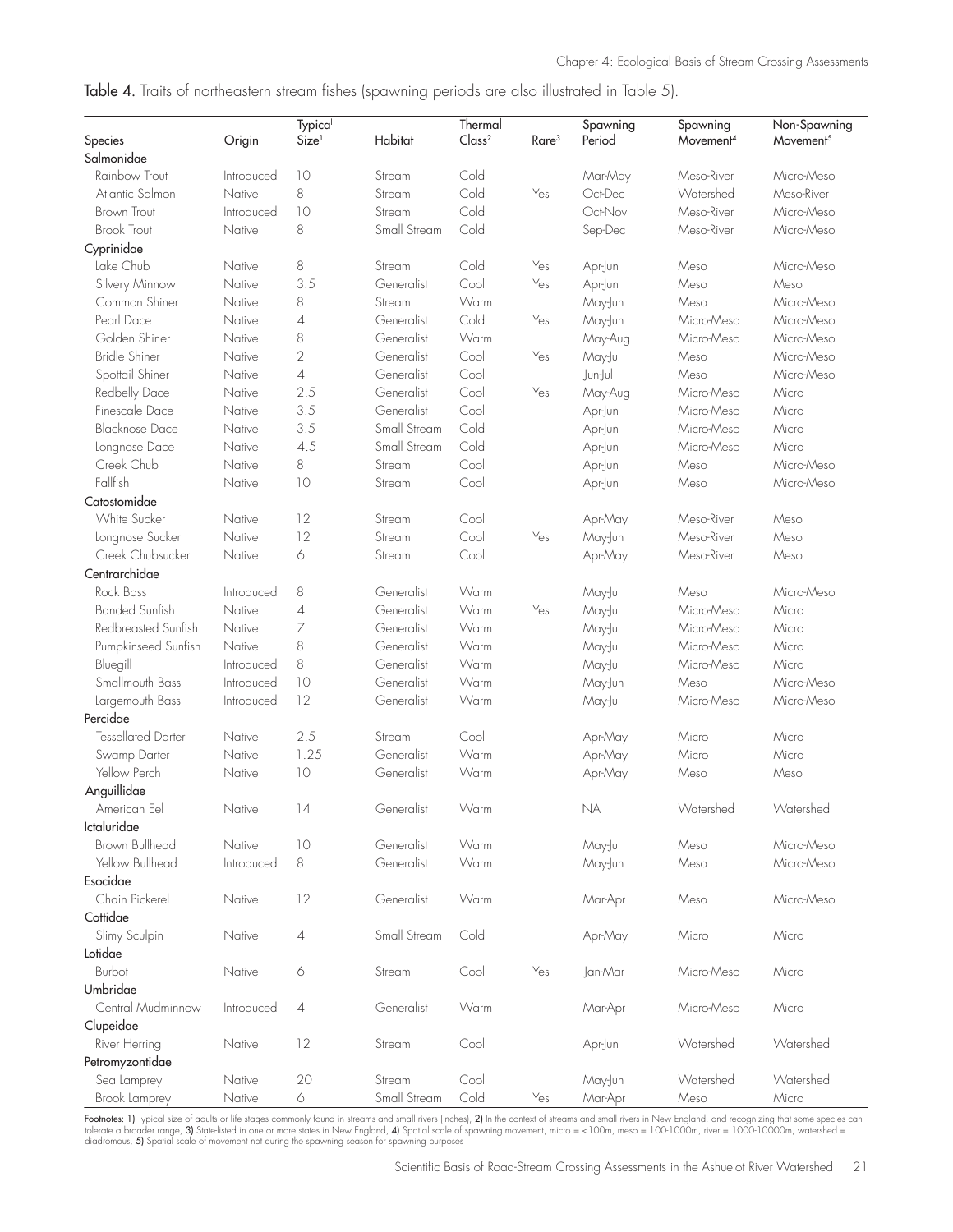|  | Table 4. Traits of northeastern stream fishes (spawning periods are also illustrated in Table 5). |  |  |  |  |  |
|--|---------------------------------------------------------------------------------------------------|--|--|--|--|--|
|  |                                                                                                   |  |  |  |  |  |

|                           |            | <b>Typica</b>     |              | Thermal            |                   | Spawning  | Spawning              | Non-Spawning          |
|---------------------------|------------|-------------------|--------------|--------------------|-------------------|-----------|-----------------------|-----------------------|
| Species                   | Origin     | Size <sup>1</sup> | Habitat      | Class <sup>2</sup> | Rare <sup>3</sup> | Period    | Movement <sup>4</sup> | Movement <sup>5</sup> |
| Salmonidae                |            |                   |              |                    |                   |           |                       |                       |
| Rainbow Trout             | Introduced | 10                | Stream       | Cold               |                   | Mar-May   | Meso-River            | Micro-Meso            |
| Atlantic Salmon           | Native     | 8                 | Stream       | Cold               | Yes               | Oct-Dec   | Watershed             | Meso-River            |
| <b>Brown Trout</b>        | Introduced | 10                | Stream       | Cold               |                   | Oct-Nov   | Meso-River            | Micro-Meso            |
| <b>Brook Trout</b>        | Native     | 8                 | Small Stream | Cold               |                   | Sep-Dec   | Meso-River            | Micro-Meso            |
| Cyprinidae                |            |                   |              |                    |                   |           |                       |                       |
| Lake Chub                 | Native     | $\,8\,$           | Stream       | Cold               | Yes               | Apr-Jun   | Meso                  | Micro-Meso            |
| Silvery Minnow            | Native     | 3.5               | Generalist   | Cool               | Yes               | Apr-Jun   | Meso                  | Meso                  |
| Common Shiner             | Native     | 8                 | Stream       | Warm               |                   | May-Jun   | Meso                  | Micro-Meso            |
| Pearl Dace                | Native     | 4                 | Generalist   | Cold               | Yes               | May-Jun   | Micro-Meso            | Micro-Meso            |
| Golden Shiner             | Native     | 8                 | Generalist   | Warm               |                   | May-Aug   | Micro-Meso            | Micro-Meso            |
| <b>Bridle Shiner</b>      | Native     | $\overline{2}$    | Generalist   | Cool               | Yes               | May-Jul   | Meso                  | Micro-Meso            |
| Spottail Shiner           | Native     | 4                 | Generalist   | Cool               |                   | Jun-Jul   | Meso                  | Micro-Meso            |
| Redbelly Dace             | Native     | 2.5               | Generalist   | Cool               | Yes               | May-Aug   | Micro-Meso            | Micro                 |
| Finescale Dace            | Native     | 3.5               | Generalist   | Cool               |                   | Apr-Jun   | Micro-Meso            | Micro                 |
| <b>Blacknose Dace</b>     | Native     | 3.5               | Small Stream | Cold               |                   | Apr-Jun   | Micro-Meso            | Micro                 |
| Longnose Dace             | Native     | 4.5               | Small Stream | Cold               |                   | Apr-Jun   | Micro-Meso            | Micro                 |
| Creek Chub                | Native     | 8                 | Stream       | Cool               |                   | Apr-Jun   | Meso                  | Micro-Meso            |
| Fallfish                  | Native     | 10                | Stream       | Cool               |                   | Apr-Jun   | Meso                  | Micro-Meso            |
| Catostomidae              |            |                   |              |                    |                   |           |                       |                       |
| <b>White Sucker</b>       | Native     | 12                | Stream       | Cool               |                   | Apr-May   | Meso-River            | Meso                  |
| Longnose Sucker           | Native     | 12                | Stream       | Cool               | Yes               | May-Jun   | Meso-River            | Meso                  |
| Creek Chubsucker          | Native     | 6                 | Stream       | Cool               |                   | Apr-May   | Meso-River            | Meso                  |
| Centrarchidae             |            |                   |              |                    |                   |           |                       |                       |
| Rock Bass                 | Introduced | 8                 | Generalist   | Warm               |                   | May-Jul   | Meso                  | Micro-Meso            |
| <b>Banded Sunfish</b>     | Native     | 4                 | Generalist   | Warm               | Yes               | May-Jul   | Micro-Meso            | Micro                 |
| Redbreasted Sunfish       | Native     | 7                 | Generalist   | Warm               |                   | May-Jul   | Micro-Meso            | Micro                 |
| Pumpkinseed Sunfish       | Native     | 8                 | Generalist   | Warm               |                   | May-Jul   | Micro-Meso            | Micro                 |
| Bluegill                  | Introduced | 8                 | Generalist   | Warm               |                   | May-Jul   | Micro-Meso            | Micro                 |
| Smallmouth Bass           | Introduced | 10                | Generalist   | Warm               |                   | May-Jun   | Meso                  | Micro-Meso            |
| Largemouth Bass           | Introduced | 12                | Generalist   | Warm               |                   | May-Jul   | Micro-Meso            | Micro-Meso            |
| Percidae                  |            |                   |              |                    |                   |           |                       |                       |
| <b>Tessellated Darter</b> | Native     | 2.5               | Stream       | Cool               |                   | Apr-May   | Micro                 | Micro                 |
| Swamp Darter              | Native     | 1.25              | Generalist   | Warm               |                   | Apr-May   | Micro                 | Micro                 |
| Yellow Perch              | Native     | 10                | Generalist   | Warm               |                   | Apr-May   | Meso                  | Meso                  |
| Anguillidae               |            |                   |              |                    |                   |           |                       |                       |
| American Eel              | Native     | 14                | Generalist   | Warm               |                   | <b>NA</b> | Watershed             | Watershed             |
| Ictaluridae               |            |                   |              |                    |                   |           |                       |                       |
| Brown Bullhead            | Native     | 10                | Generalist   | Warm               |                   | May-Jul   | Meso                  | Micro-Meso            |
| Yellow Bullhead           | Introduced | 8                 | Generalist   | Warm               |                   | May-Jun   | Meso                  | Micro-Meso            |
| Esocidae                  |            |                   |              |                    |                   |           |                       |                       |
| Chain Pickerel            | Native     | 12                | Generalist   | Warm               |                   | Mar-Apr   | Meso                  | Micro-Meso            |
| Cottidae                  |            |                   |              |                    |                   |           |                       |                       |
|                           |            |                   | Small Stream | Cold               |                   |           | Micro                 | Micro                 |
| Slimy Sculpin             | Native     | 4                 |              |                    |                   | Apr-May   |                       |                       |
| Lotidae<br>Burbot         |            |                   |              |                    |                   |           |                       |                       |
|                           | Native     | 6                 | Stream       | Cool               | Yes               | Jan-Mar   | Micro-Meso            | Micro                 |
| Umbridae                  |            |                   |              |                    |                   |           |                       |                       |
| Central Mudminnow         | Introduced | 4                 | Generalist   | Warm               |                   | Mar-Apr   | Micro-Meso            | Micro                 |
| Clupeidae                 |            |                   |              |                    |                   |           |                       |                       |
| River Herring             | Native     | 12                | Stream       | Cool               |                   | Apr-Jun   | Watershed             | Watershed             |
| Petromyzontidae           |            |                   |              |                    |                   |           |                       |                       |
| Sea Lamprey               | Native     | 20                | Stream       | Cool               |                   | May-Jun   | Watershed             | Watershed             |
| Brook Lamprey             | Native     | 6                 | Small Stream | Cold               | Yes               | Mar-Apr   | Meso                  | Micro                 |

**Footnotes: 1)** Typical size of adults or life stages commonly found in streams and small rivers (inches), **2)** In the context of streams and small rivers in New England, and recognizing that some species can<br>tolerate a br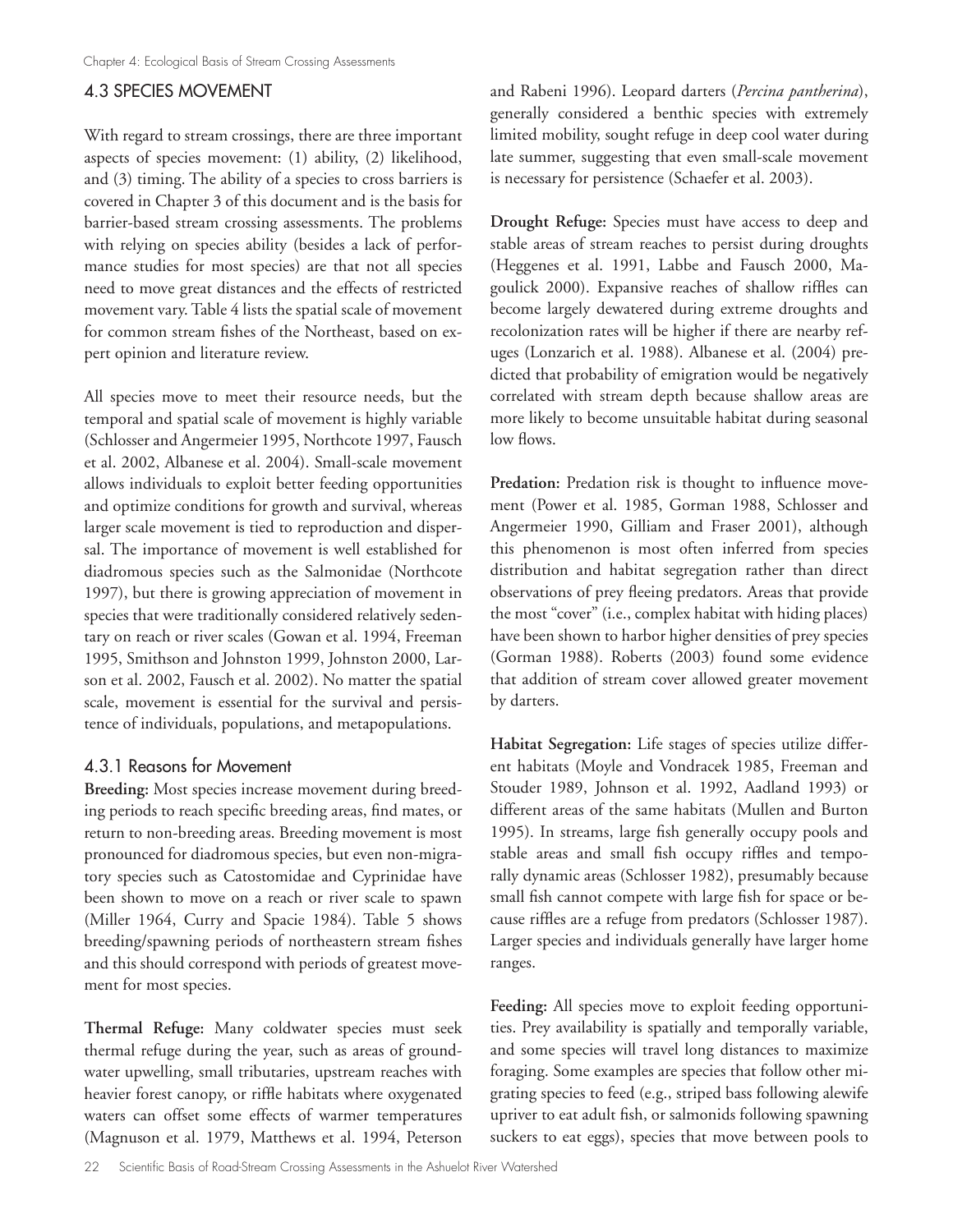## 4.3 SPECIES MOVEMENT

With regard to stream crossings, there are three important aspects of species movement: (1) ability, (2) likelihood, and (3) timing. The ability of a species to cross barriers is covered in Chapter 3 of this document and is the basis for barrier-based stream crossing assessments. The problems with relying on species ability (besides a lack of performance studies for most species) are that not all species need to move great distances and the effects of restricted movement vary. Table 4 lists the spatial scale of movement for common stream fishes of the Northeast, based on expert opinion and literature review.

All species move to meet their resource needs, but the temporal and spatial scale of movement is highly variable (Schlosser and Angermeier 1995, Northcote 1997, Fausch et al. 2002, Albanese et al. 2004). Small-scale movement allows individuals to exploit better feeding opportunities and optimize conditions for growth and survival, whereas larger scale movement is tied to reproduction and dispersal. The importance of movement is well established for diadromous species such as the Salmonidae (Northcote 1997), but there is growing appreciation of movement in species that were traditionally considered relatively sedentary on reach or river scales (Gowan et al. 1994, Freeman 1995, Smithson and Johnston 1999, Johnston 2000, Larson et al. 2002, Fausch et al. 2002). No matter the spatial scale, movement is essential for the survival and persistence of individuals, populations, and metapopulations.

## 4.3.1 Reasons for Movement

**Breeding:** Most species increase movement during breeding periods to reach specific breeding areas, find mates, or return to non-breeding areas. Breeding movement is most pronounced for diadromous species, but even non-migratory species such as Catostomidae and Cyprinidae have been shown to move on a reach or river scale to spawn (Miller 1964, Curry and Spacie 1984). Table 5 shows breeding/spawning periods of northeastern stream fishes and this should correspond with periods of greatest movement for most species.

**Thermal Refuge:** Many coldwater species must seek thermal refuge during the year, such as areas of groundwater upwelling, small tributaries, upstream reaches with heavier forest canopy, or riffle habitats where oxygenated waters can offset some effects of warmer temperatures (Magnuson et al. 1979, Matthews et al. 1994, Peterson

and Rabeni 1996). Leopard darters (*Percina pantherina*), generally considered a benthic species with extremely limited mobility, sought refuge in deep cool water during late summer, suggesting that even small-scale movement is necessary for persistence (Schaefer et al. 2003).

**Drought Refuge:** Species must have access to deep and stable areas of stream reaches to persist during droughts (Heggenes et al. 1991, Labbe and Fausch 2000, Magoulick 2000). Expansive reaches of shallow riffles can become largely dewatered during extreme droughts and recolonization rates will be higher if there are nearby refuges (Lonzarich et al. 1988). Albanese et al. (2004) predicted that probability of emigration would be negatively correlated with stream depth because shallow areas are more likely to become unsuitable habitat during seasonal low flows.

**Predation:** Predation risk is thought to influence movement (Power et al. 1985, Gorman 1988, Schlosser and Angermeier 1990, Gilliam and Fraser 2001), although this phenomenon is most often inferred from species distribution and habitat segregation rather than direct observations of prey fleeing predators. Areas that provide the most "cover" (i.e., complex habitat with hiding places) have been shown to harbor higher densities of prey species (Gorman 1988). Roberts (2003) found some evidence that addition of stream cover allowed greater movement by darters.

**Habitat Segregation:** Life stages of species utilize different habitats (Moyle and Vondracek 1985, Freeman and Stouder 1989, Johnson et al. 1992, Aadland 1993) or different areas of the same habitats (Mullen and Burton 1995). In streams, large fish generally occupy pools and stable areas and small fish occupy riffles and temporally dynamic areas (Schlosser 1982), presumably because small fish cannot compete with large fish for space or because riffles are a refuge from predators (Schlosser 1987). Larger species and individuals generally have larger home ranges.

**Feeding:** All species move to exploit feeding opportunities. Prey availability is spatially and temporally variable, and some species will travel long distances to maximize foraging. Some examples are species that follow other migrating species to feed (e.g., striped bass following alewife upriver to eat adult fish, or salmonids following spawning suckers to eat eggs), species that move between pools to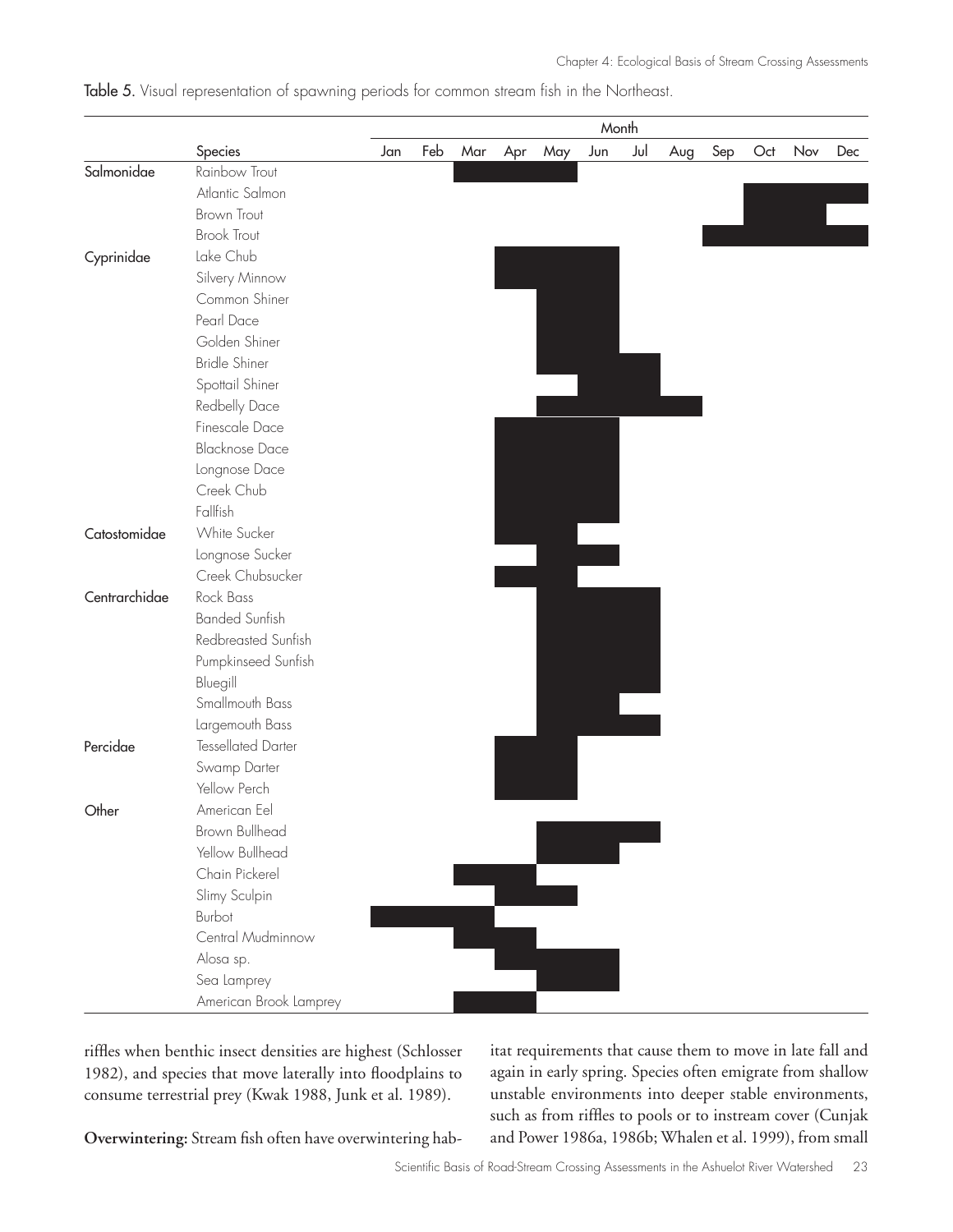|               |                           | Month |     |     |     |     |     |     |     |     |     |     |     |
|---------------|---------------------------|-------|-----|-----|-----|-----|-----|-----|-----|-----|-----|-----|-----|
|               | Species                   | Jan   | Feb | Mar | Apr | May | Jun | Jul | Aug | Sep | Oct | Nov | Dec |
| Salmonidae    | Rainbow Trout             |       |     |     |     |     |     |     |     |     |     |     |     |
|               | Atlantic Salmon           |       |     |     |     |     |     |     |     |     |     |     |     |
|               | <b>Brown Trout</b>        |       |     |     |     |     |     |     |     |     |     |     |     |
|               | <b>Brook Trout</b>        |       |     |     |     |     |     |     |     |     |     |     |     |
| Cyprinidae    | Lake Chub                 |       |     |     |     |     |     |     |     |     |     |     |     |
|               | Silvery Minnow            |       |     |     |     |     |     |     |     |     |     |     |     |
|               | Common Shiner             |       |     |     |     |     |     |     |     |     |     |     |     |
|               | Pearl Dace                |       |     |     |     |     |     |     |     |     |     |     |     |
|               | Golden Shiner             |       |     |     |     |     |     |     |     |     |     |     |     |
|               | <b>Bridle Shiner</b>      |       |     |     |     |     |     |     |     |     |     |     |     |
|               | Spottail Shiner           |       |     |     |     |     |     |     |     |     |     |     |     |
|               | Redbelly Dace             |       |     |     |     |     |     |     |     |     |     |     |     |
|               | Finescale Dace            |       |     |     |     |     |     |     |     |     |     |     |     |
|               | <b>Blacknose Dace</b>     |       |     |     |     |     |     |     |     |     |     |     |     |
|               | Longnose Dace             |       |     |     |     |     |     |     |     |     |     |     |     |
|               | Creek Chub                |       |     |     |     |     |     |     |     |     |     |     |     |
|               | Fallfish                  |       |     |     |     |     |     |     |     |     |     |     |     |
| Catostomidae  | White Sucker              |       |     |     |     |     |     |     |     |     |     |     |     |
|               | Longnose Sucker           |       |     |     |     |     |     |     |     |     |     |     |     |
|               | Creek Chubsucker          |       |     |     |     |     |     |     |     |     |     |     |     |
| Centrarchidae | Rock Bass                 |       |     |     |     |     |     |     |     |     |     |     |     |
|               | <b>Banded Sunfish</b>     |       |     |     |     |     |     |     |     |     |     |     |     |
|               | Redbreasted Sunfish       |       |     |     |     |     |     |     |     |     |     |     |     |
|               | Pumpkinseed Sunfish       |       |     |     |     |     |     |     |     |     |     |     |     |
|               | Bluegill                  |       |     |     |     |     |     |     |     |     |     |     |     |
|               | Smallmouth Bass           |       |     |     |     |     |     |     |     |     |     |     |     |
|               | Largemouth Bass           |       |     |     |     |     |     |     |     |     |     |     |     |
| Percidae      | <b>Tessellated Darter</b> |       |     |     |     |     |     |     |     |     |     |     |     |
|               | Swamp Darter              |       |     |     |     |     |     |     |     |     |     |     |     |
|               | Yellow Perch              |       |     |     |     |     |     |     |     |     |     |     |     |
| Other         | American Eel              |       |     |     |     |     |     |     |     |     |     |     |     |
|               | <b>Brown Bullhead</b>     |       |     |     |     |     |     |     |     |     |     |     |     |
|               | Yellow Bullhead           |       |     |     |     |     |     |     |     |     |     |     |     |
|               | Chain Pickerel            |       |     |     |     |     |     |     |     |     |     |     |     |
|               | Slimy Sculpin             |       |     |     |     |     |     |     |     |     |     |     |     |
|               | Burbot                    |       |     |     |     |     |     |     |     |     |     |     |     |
|               | Central Mudminnow         |       |     |     |     |     |     |     |     |     |     |     |     |
|               | Alosa sp.                 |       |     |     |     |     |     |     |     |     |     |     |     |
|               | Sea Lamprey               |       |     |     |     |     |     |     |     |     |     |     |     |
|               | American Brook Lamprey    |       |     |     |     |     |     |     |     |     |     |     |     |

Table 5. Visual representation of spawning periods for common stream fish in the Northeast.

riffles when benthic insect densities are highest (Schlosser 1982), and species that move laterally into floodplains to consume terrestrial prey (Kwak 1988, Junk et al. 1989).

itat requirements that cause them to move in late fall and again in early spring. Species often emigrate from shallow unstable environments into deeper stable environments, such as from riffles to pools or to instream cover (Cunjak and Power 1986a, 1986b; Whalen et al. 1999), from small

**Overwintering:** Stream fish often have overwintering hab-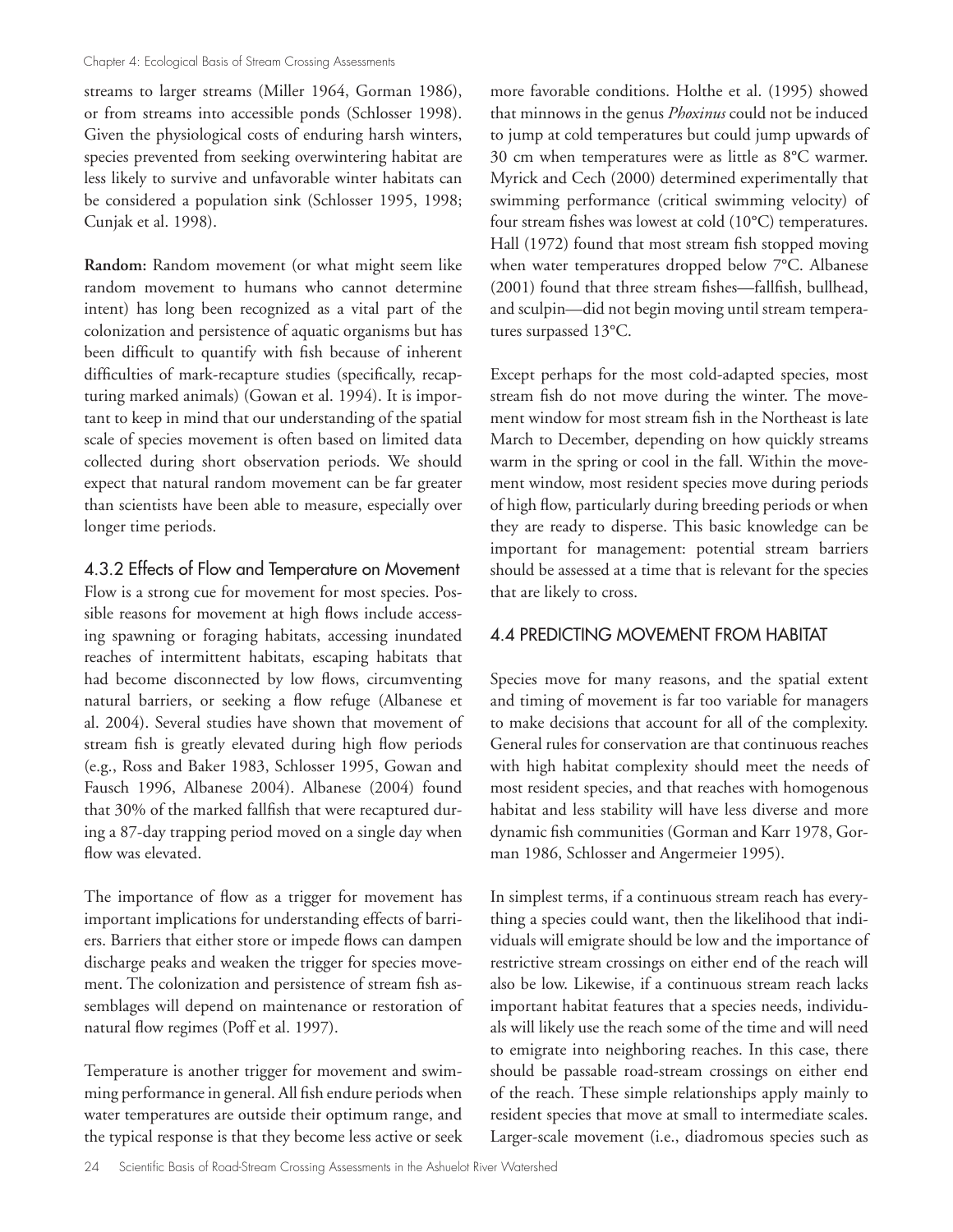streams to larger streams (Miller 1964, Gorman 1986), or from streams into accessible ponds (Schlosser 1998). Given the physiological costs of enduring harsh winters, species prevented from seeking overwintering habitat are less likely to survive and unfavorable winter habitats can be considered a population sink (Schlosser 1995, 1998; Cunjak et al. 1998).

**Random:** Random movement (or what might seem like random movement to humans who cannot determine intent) has long been recognized as a vital part of the colonization and persistence of aquatic organisms but has been difficult to quantify with fish because of inherent difficulties of mark-recapture studies (specifically, recapturing marked animals) (Gowan et al. 1994). It is important to keep in mind that our understanding of the spatial scale of species movement is often based on limited data collected during short observation periods. We should expect that natural random movement can be far greater than scientists have been able to measure, especially over longer time periods.

4.3.2 Effects of Flow and Temperature on Movement Flow is a strong cue for movement for most species. Possible reasons for movement at high flows include accessing spawning or foraging habitats, accessing inundated reaches of intermittent habitats, escaping habitats that had become disconnected by low flows, circumventing natural barriers, or seeking a flow refuge (Albanese et al. 2004). Several studies have shown that movement of stream fish is greatly elevated during high flow periods (e.g., Ross and Baker 1983, Schlosser 1995, Gowan and Fausch 1996, Albanese 2004). Albanese (2004) found that 30% of the marked fallfish that were recaptured during a 87-day trapping period moved on a single day when flow was elevated.

The importance of flow as a trigger for movement has important implications for understanding effects of barriers. Barriers that either store or impede flows can dampen discharge peaks and weaken the trigger for species movement. The colonization and persistence of stream fish assemblages will depend on maintenance or restoration of natural flow regimes (Poff et al. 1997).

Temperature is another trigger for movement and swimming performance in general. All fish endure periods when water temperatures are outside their optimum range, and the typical response is that they become less active or seek

more favorable conditions. Holthe et al. (1995) showed that minnows in the genus *Phoxinus* could not be induced to jump at cold temperatures but could jump upwards of 30 cm when temperatures were as little as 8°C warmer. Myrick and Cech (2000) determined experimentally that swimming performance (critical swimming velocity) of four stream fishes was lowest at cold (10°C) temperatures. Hall (1972) found that most stream fish stopped moving when water temperatures dropped below 7°C. Albanese (2001) found that three stream fishes—fallfish, bullhead, and sculpin—did not begin moving until stream temperatures surpassed 13°C.

Except perhaps for the most cold-adapted species, most stream fish do not move during the winter. The movement window for most stream fish in the Northeast is late March to December, depending on how quickly streams warm in the spring or cool in the fall. Within the movement window, most resident species move during periods of high flow, particularly during breeding periods or when they are ready to disperse. This basic knowledge can be important for management: potential stream barriers should be assessed at a time that is relevant for the species that are likely to cross.

#### 4.4 PREDICTING MOVEMENT FROM HABITAT

Species move for many reasons, and the spatial extent and timing of movement is far too variable for managers to make decisions that account for all of the complexity. General rules for conservation are that continuous reaches with high habitat complexity should meet the needs of most resident species, and that reaches with homogenous habitat and less stability will have less diverse and more dynamic fish communities (Gorman and Karr 1978, Gorman 1986, Schlosser and Angermeier 1995).

In simplest terms, if a continuous stream reach has everything a species could want, then the likelihood that individuals will emigrate should be low and the importance of restrictive stream crossings on either end of the reach will also be low. Likewise, if a continuous stream reach lacks important habitat features that a species needs, individuals will likely use the reach some of the time and will need to emigrate into neighboring reaches. In this case, there should be passable road-stream crossings on either end of the reach. These simple relationships apply mainly to resident species that move at small to intermediate scales. Larger-scale movement (i.e., diadromous species such as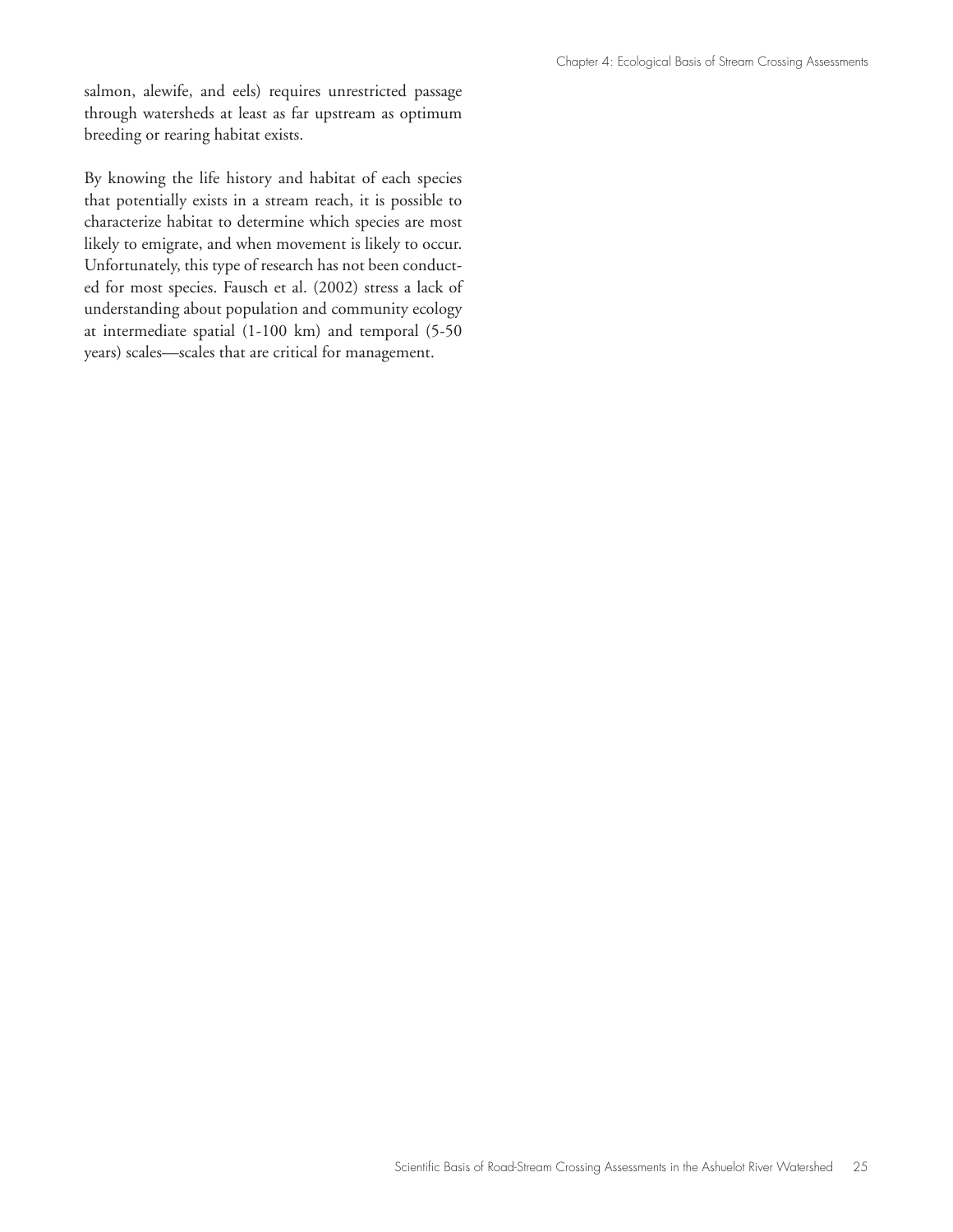salmon, alewife, and eels) requires unrestricted passage through watersheds at least as far upstream as optimum breeding or rearing habitat exists.

By knowing the life history and habitat of each species that potentially exists in a stream reach, it is possible to characterize habitat to determine which species are most likely to emigrate, and when movement is likely to occur. Unfortunately, this type of research has not been conducted for most species. Fausch et al. (2002) stress a lack of understanding about population and community ecology at intermediate spatial (1-100 km) and temporal (5-50 years) scales—scales that are critical for management.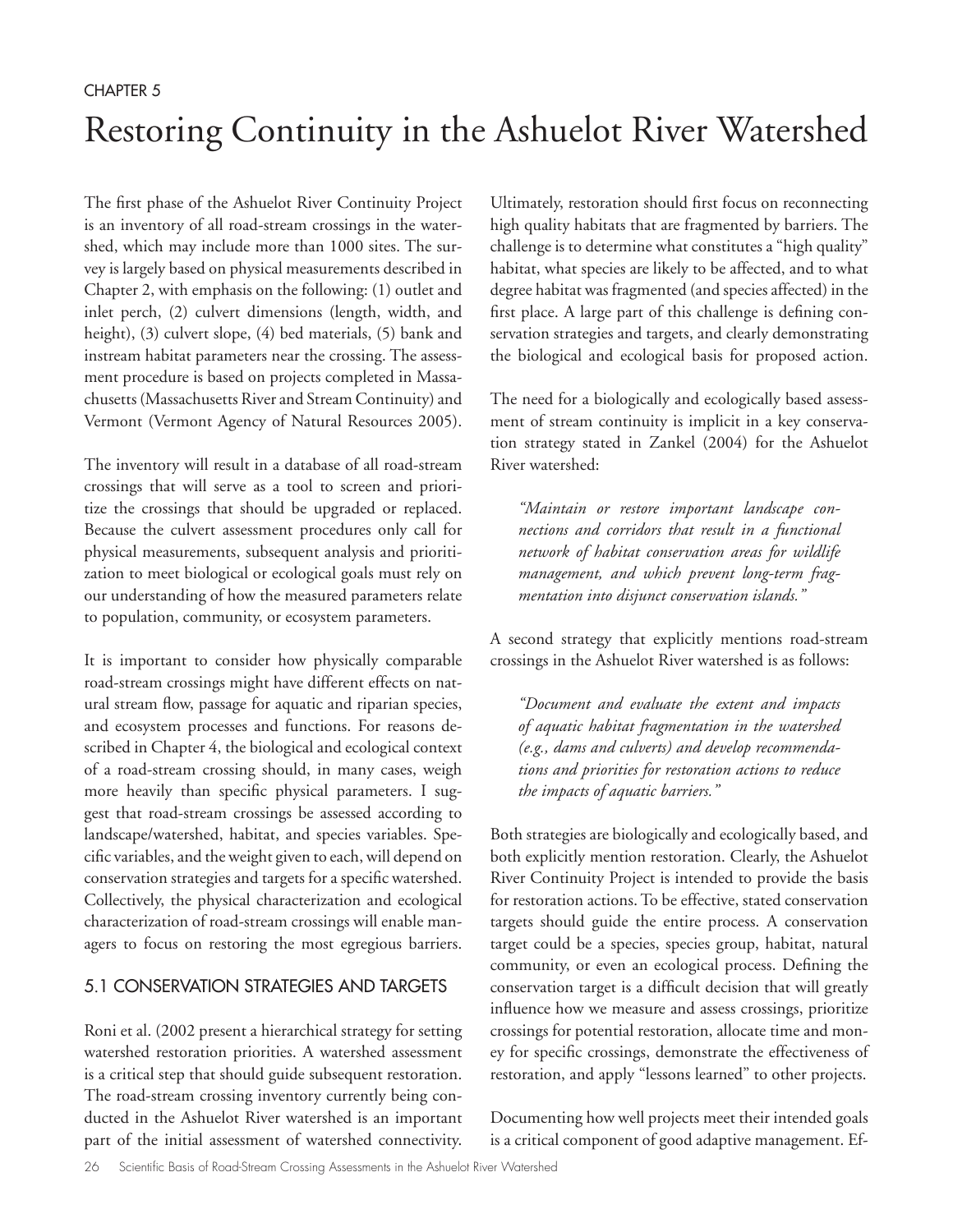# Restoring Continuity in the Ashuelot River Watershed

The first phase of the Ashuelot River Continuity Project is an inventory of all road-stream crossings in the watershed, which may include more than 1000 sites. The survey is largely based on physical measurements described in Chapter 2, with emphasis on the following: (1) outlet and inlet perch, (2) culvert dimensions (length, width, and height), (3) culvert slope, (4) bed materials, (5) bank and instream habitat parameters near the crossing. The assessment procedure is based on projects completed in Massachusetts (Massachusetts River and Stream Continuity) and Vermont (Vermont Agency of Natural Resources 2005).

The inventory will result in a database of all road-stream crossings that will serve as a tool to screen and prioritize the crossings that should be upgraded or replaced. Because the culvert assessment procedures only call for physical measurements, subsequent analysis and prioritization to meet biological or ecological goals must rely on our understanding of how the measured parameters relate to population, community, or ecosystem parameters.

It is important to consider how physically comparable road-stream crossings might have different effects on natural stream flow, passage for aquatic and riparian species, and ecosystem processes and functions. For reasons described in Chapter 4, the biological and ecological context of a road-stream crossing should, in many cases, weigh more heavily than specific physical parameters. I suggest that road-stream crossings be assessed according to landscape/watershed, habitat, and species variables. Specific variables, and the weight given to each, will depend on conservation strategies and targets for a specific watershed. Collectively, the physical characterization and ecological characterization of road-stream crossings will enable managers to focus on restoring the most egregious barriers.

#### 5.1 CONSERVATION STRATEGIES AND TARGETS

Roni et al. (2002 present a hierarchical strategy for setting watershed restoration priorities. A watershed assessment is a critical step that should guide subsequent restoration. The road-stream crossing inventory currently being conducted in the Ashuelot River watershed is an important part of the initial assessment of watershed connectivity.

Ultimately, restoration should first focus on reconnecting high quality habitats that are fragmented by barriers. The challenge is to determine what constitutes a "high quality" habitat, what species are likely to be affected, and to what degree habitat was fragmented (and species affected) in the first place. A large part of this challenge is defining conservation strategies and targets, and clearly demonstrating the biological and ecological basis for proposed action.

The need for a biologically and ecologically based assessment of stream continuity is implicit in a key conservation strategy stated in Zankel (2004) for the Ashuelot River watershed:

*"Maintain or restore important landscape connections and corridors that result in a functional network of habitat conservation areas for wildlife management, and which prevent long-term fragmentation into disjunct conservation islands."*

A second strategy that explicitly mentions road-stream crossings in the Ashuelot River watershed is as follows:

*"Document and evaluate the extent and impacts of aquatic habitat fragmentation in the watershed (e.g., dams and culverts) and develop recommendations and priorities for restoration actions to reduce the impacts of aquatic barriers."*

Both strategies are biologically and ecologically based, and both explicitly mention restoration. Clearly, the Ashuelot River Continuity Project is intended to provide the basis for restoration actions. To be effective, stated conservation targets should guide the entire process. A conservation target could be a species, species group, habitat, natural community, or even an ecological process. Defining the conservation target is a difficult decision that will greatly influence how we measure and assess crossings, prioritize crossings for potential restoration, allocate time and money for specific crossings, demonstrate the effectiveness of restoration, and apply "lessons learned" to other projects.

Documenting how well projects meet their intended goals is a critical component of good adaptive management. Ef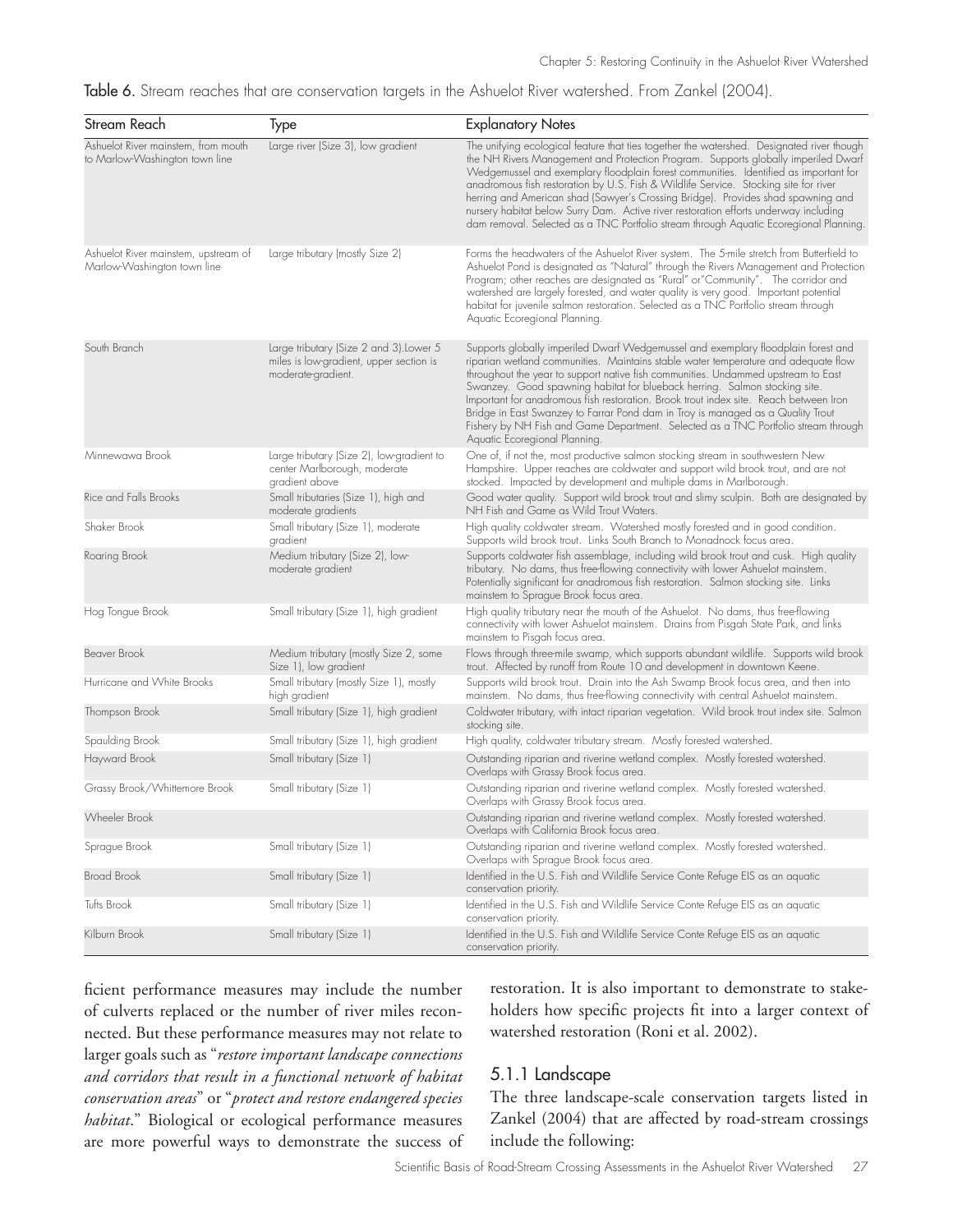Table 6. Stream reaches that are conservation targets in the Ashuelot River watershed. From Zankel (2004).

| Stream Reach                                                          | Type                                                                                                     | <b>Explanatory Notes</b>                                                                                                                                                                                                                                                                                                                                                                                                                                                                                                                                                                                                                      |
|-----------------------------------------------------------------------|----------------------------------------------------------------------------------------------------------|-----------------------------------------------------------------------------------------------------------------------------------------------------------------------------------------------------------------------------------------------------------------------------------------------------------------------------------------------------------------------------------------------------------------------------------------------------------------------------------------------------------------------------------------------------------------------------------------------------------------------------------------------|
| Ashuelot River mainstem, from mouth<br>to Marlow-Washington town line | Large river (Size 3), low gradient                                                                       | The unifying ecological feature that ties together the watershed. Designated river though<br>the NH Rivers Management and Protection Program. Supports globally imperiled Dwarf<br>Wedgemussel and exemplary floodplain forest communities. Identified as important for<br>anadromous fish restoration by U.S. Fish & Wildlife Service. Stocking site for river<br>herring and American shad (Sawyer's Crossing Bridge). Provides shad spawning and<br>nursery habitat below Surry Dam. Active river restoration efforts underway including<br>dam removal. Selected as a TNC Portfolio stream through Aquatic Ecoregional Planning           |
| Ashuelot River mainstem, upstream of<br>Marlow-Washington town line   | Large tributary (mostly Size 2)                                                                          | Forms the headwaters of the Ashuelot River system. The 5-mile stretch from Butterfield to<br>Ashuelot Pond is designated as "Natural" through the Rivers Management and Protection<br>Program; other reaches are designated as "Rural" or "Community". The corridor and<br>watershed are largely forested, and water quality is very good. Important potential<br>habitat for juvenile salmon restoration. Selected as a TNC Portfolio stream through<br>Aquatic Ecoregional Planning.                                                                                                                                                        |
| South Branch                                                          | Large tributary (Size 2 and 3). Lower 5<br>miles is low-gradient, upper section is<br>moderate-gradient. | Supports globally imperiled Dwarf Wedgemussel and exemplary floodplain forest and<br>riparian wetland communities. Maintains stable water temperature and adequate flow<br>throughout the year to support native fish communities. Undammed upstream to East<br>Swanzey. Good spawning habitat for blueback herring. Salmon stocking site.<br>Important for anadromous fish restoration. Brook trout index site. Reach between Iron<br>Bridge in East Swanzey to Farrar Pond dam in Troy is managed as a Quality Trout<br>Fishery by NH Fish and Game Department. Selected as a TNC Portfolio stream through<br>Aquatic Ecoregional Planning. |
| Minnewawa Brook                                                       | Large tributary (Size 2), low-gradient to<br>center Marlborough, moderate<br>gradient above              | One of, if not the, most productive salmon stocking stream in southwestern New<br>Hampshire. Upper reaches are coldwater and support wild brook trout, and are not<br>stocked. Impacted by development and multiple dams in Marlborough.                                                                                                                                                                                                                                                                                                                                                                                                      |
| Rice and Falls Brooks                                                 | Small tributaries (Size 1), high and<br>moderate gradients                                               | Good water quality. Support wild brook trout and slimy sculpin. Both are designated by<br>NH Fish and Game as Wild Trout Waters.                                                                                                                                                                                                                                                                                                                                                                                                                                                                                                              |
| Shaker Brook                                                          | Small tributary (Size 1), moderate<br>gradient                                                           | High quality coldwater stream. Watershed mostly forested and in good condition.<br>Supports wild brook trout. Links South Branch to Monadnock focus area.                                                                                                                                                                                                                                                                                                                                                                                                                                                                                     |
| Roaring Brook                                                         | Medium tributary (Size 2), low-<br>moderate gradient                                                     | Supports coldwater fish assemblage, including wild brook trout and cusk. High quality<br>tributary. No dams, thus free-flowing connectivity with lower Ashuelot mainstem.<br>Potentially significant for anadromous fish restoration. Salmon stocking site. Links<br>mainstem to Sprague Brook focus area.                                                                                                                                                                                                                                                                                                                                    |
| Hog Tongue Brook                                                      | Small tributary (Size 1), high gradient                                                                  | High quality tributary near the mouth of the Ashuelot. No dams, thus free-flowing<br>connectivity with lower Ashuelot mainstem. Drains from Pisgah State Park, and links<br>mainstem to Pisgah focus area.                                                                                                                                                                                                                                                                                                                                                                                                                                    |
| <b>Beaver Brook</b>                                                   | Medium tributary (mostly Size 2, some<br>Size 1), low gradient                                           | Flows through three-mile swamp, which supports abundant wildlife. Supports wild brook<br>trout. Affected by runoff from Route 10 and development in downtown Keene.                                                                                                                                                                                                                                                                                                                                                                                                                                                                           |
| Hurricane and White Brooks                                            | Small tributary (mostly Size 1), mostly<br>high gradient                                                 | Supports wild brook trout. Drain into the Ash Swamp Brook focus area, and then into<br>mainstem. No dams, thus free-flowing connectivity with central Ashuelot mainstem.                                                                                                                                                                                                                                                                                                                                                                                                                                                                      |
| Thompson Brook                                                        | Small tributary (Size 1), high gradient                                                                  | Coldwater tributary, with intact riparian vegetation. Wild brook trout index site. Salmon<br>stocking site.                                                                                                                                                                                                                                                                                                                                                                                                                                                                                                                                   |
| Spaulding Brook                                                       | Small tributary (Size 1), high gradient                                                                  | High quality, coldwater tributary stream. Mostly forested watershed.                                                                                                                                                                                                                                                                                                                                                                                                                                                                                                                                                                          |
| Hayward Brook                                                         | Small tributary (Size 1)                                                                                 | Outstanding riparian and riverine wetland complex. Mostly forested watershed.<br>Overlaps with Grassy Brook focus area.                                                                                                                                                                                                                                                                                                                                                                                                                                                                                                                       |
| Grassy Brook/Whittemore Brook                                         | Small tributary (Size 1)                                                                                 | Outstanding riparian and riverine wetland complex. Mostly forested watershed.<br>Overlaps with Grassy Brook focus area.                                                                                                                                                                                                                                                                                                                                                                                                                                                                                                                       |
| Wheeler Brook                                                         |                                                                                                          | Outstanding riparian and riverine wetland complex. Mostly forested watershed.<br>Overlaps with California Brook focus area.                                                                                                                                                                                                                                                                                                                                                                                                                                                                                                                   |
| Sprague Brook                                                         | Small tributary (Size 1)                                                                                 | Outstanding riparian and riverine wetland complex. Mostly forested watershed.<br>Overlaps with Sprague Brook focus area.                                                                                                                                                                                                                                                                                                                                                                                                                                                                                                                      |
| <b>Broad Brook</b>                                                    | Small tributary (Size 1)                                                                                 | Identified in the U.S. Fish and Wildlife Service Conte Refuge EIS as an aquatic<br>conservation priority.                                                                                                                                                                                                                                                                                                                                                                                                                                                                                                                                     |
| Tufts Brook                                                           | Small tributary (Size 1)                                                                                 | Identified in the U.S. Fish and Wildlife Service Conte Refuge EIS as an aquatic<br>conservation priority.                                                                                                                                                                                                                                                                                                                                                                                                                                                                                                                                     |
| Kilburn Brook                                                         | Small tributary (Size 1)                                                                                 | Identified in the U.S. Fish and Wildlife Service Conte Refuge EIS as an aquatic<br>conservation priority.                                                                                                                                                                                                                                                                                                                                                                                                                                                                                                                                     |

ficient performance measures may include the number of culverts replaced or the number of river miles reconnected. But these performance measures may not relate to larger goals such as "*restore important landscape connections and corridors that result in a functional network of habitat conservation areas*" or "*protect and restore endangered species habitat*." Biological or ecological performance measures are more powerful ways to demonstrate the success of restoration. It is also important to demonstrate to stakeholders how specific projects fit into a larger context of watershed restoration (Roni et al. 2002).

#### 5.1.1 Landscape

The three landscape-scale conservation targets listed in Zankel (2004) that are affected by road-stream crossings include the following: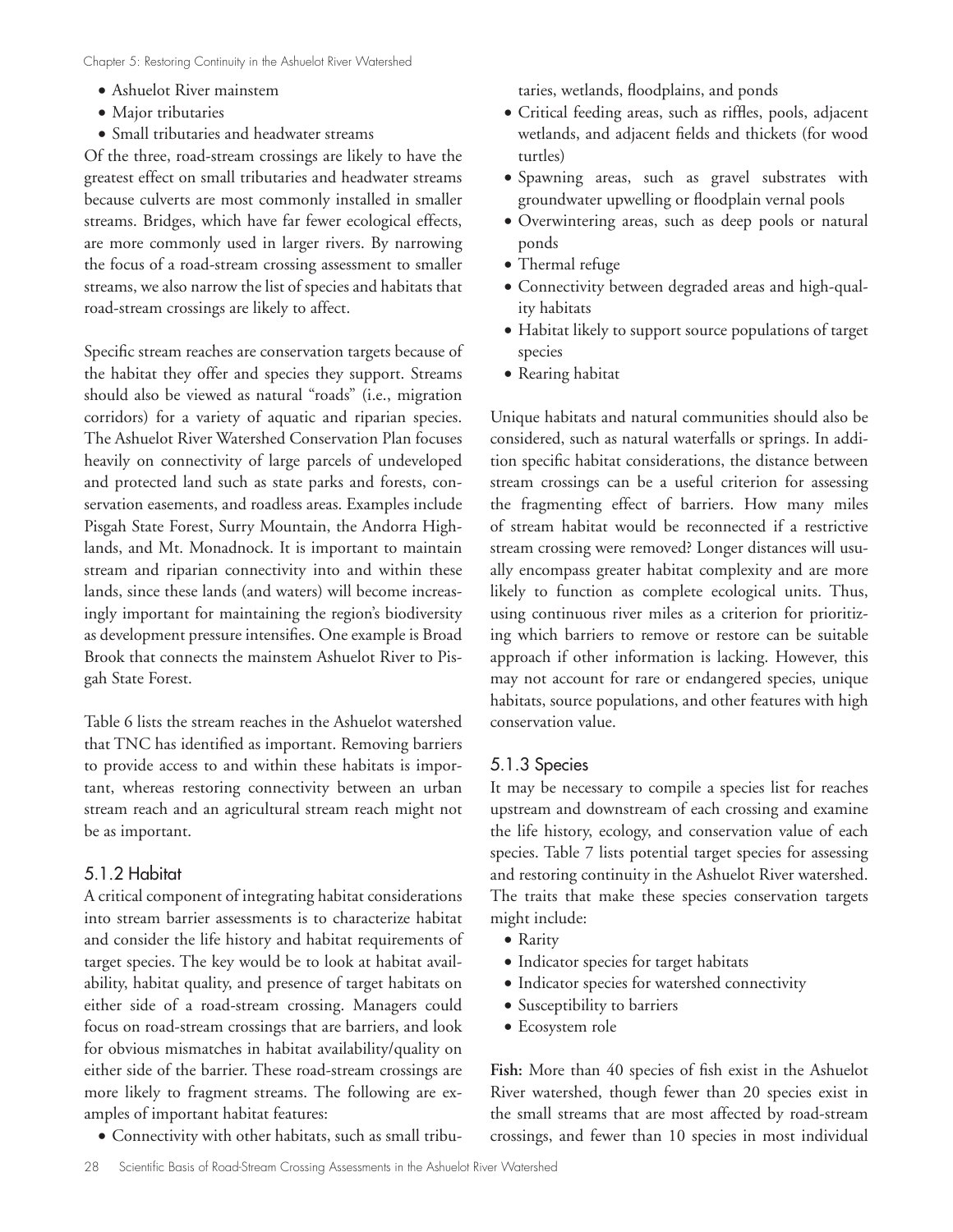- Ashuelot River mainstem
- Major tributaries
- • Small tributaries and headwater streams

Of the three, road-stream crossings are likely to have the greatest effect on small tributaries and headwater streams because culverts are most commonly installed in smaller streams. Bridges, which have far fewer ecological effects, are more commonly used in larger rivers. By narrowing the focus of a road-stream crossing assessment to smaller streams, we also narrow the list of species and habitats that road-stream crossings are likely to affect.

Specific stream reaches are conservation targets because of the habitat they offer and species they support. Streams should also be viewed as natural "roads" (i.e., migration corridors) for a variety of aquatic and riparian species. The Ashuelot River Watershed Conservation Plan focuses heavily on connectivity of large parcels of undeveloped and protected land such as state parks and forests, conservation easements, and roadless areas. Examples include Pisgah State Forest, Surry Mountain, the Andorra Highlands, and Mt. Monadnock. It is important to maintain stream and riparian connectivity into and within these lands, since these lands (and waters) will become increasingly important for maintaining the region's biodiversity as development pressure intensifies. One example is Broad Brook that connects the mainstem Ashuelot River to Pisgah State Forest.

Table 6 lists the stream reaches in the Ashuelot watershed that TNC has identified as important. Removing barriers to provide access to and within these habitats is important, whereas restoring connectivity between an urban stream reach and an agricultural stream reach might not be as important.

#### 5.1.2 Habitat

A critical component of integrating habitat considerations into stream barrier assessments is to characterize habitat and consider the life history and habitat requirements of target species. The key would be to look at habitat availability, habitat quality, and presence of target habitats on either side of a road-stream crossing. Managers could focus on road-stream crossings that are barriers, and look for obvious mismatches in habitat availability/quality on either side of the barrier. These road-stream crossings are more likely to fragment streams. The following are examples of important habitat features:

• Connectivity with other habitats, such as small tribu-

taries, wetlands, floodplains, and ponds

- • Critical feeding areas, such as riffles, pools, adjacent wetlands, and adjacent fields and thickets (for wood turtles)
- • Spawning areas, such as gravel substrates with groundwater upwelling or floodplain vernal pools
- • Overwintering areas, such as deep pools or natural ponds
- Thermal refuge
- Connectivity between degraded areas and high-quality habitats
- Habitat likely to support source populations of target species
- Rearing habitat

Unique habitats and natural communities should also be considered, such as natural waterfalls or springs. In addition specific habitat considerations, the distance between stream crossings can be a useful criterion for assessing the fragmenting effect of barriers. How many miles of stream habitat would be reconnected if a restrictive stream crossing were removed? Longer distances will usually encompass greater habitat complexity and are more likely to function as complete ecological units. Thus, using continuous river miles as a criterion for prioritizing which barriers to remove or restore can be suitable approach if other information is lacking. However, this may not account for rare or endangered species, unique habitats, source populations, and other features with high conservation value.

#### 5.1.3 Species

It may be necessary to compile a species list for reaches upstream and downstream of each crossing and examine the life history, ecology, and conservation value of each species. Table 7 lists potential target species for assessing and restoring continuity in the Ashuelot River watershed. The traits that make these species conservation targets might include:

- Rarity
- • Indicator species for target habitats
- • Indicator species for watershed connectivity
- • Susceptibility to barriers
- • Ecosystem role

**Fish:** More than 40 species of fish exist in the Ashuelot River watershed, though fewer than 20 species exist in the small streams that are most affected by road-stream crossings, and fewer than 10 species in most individual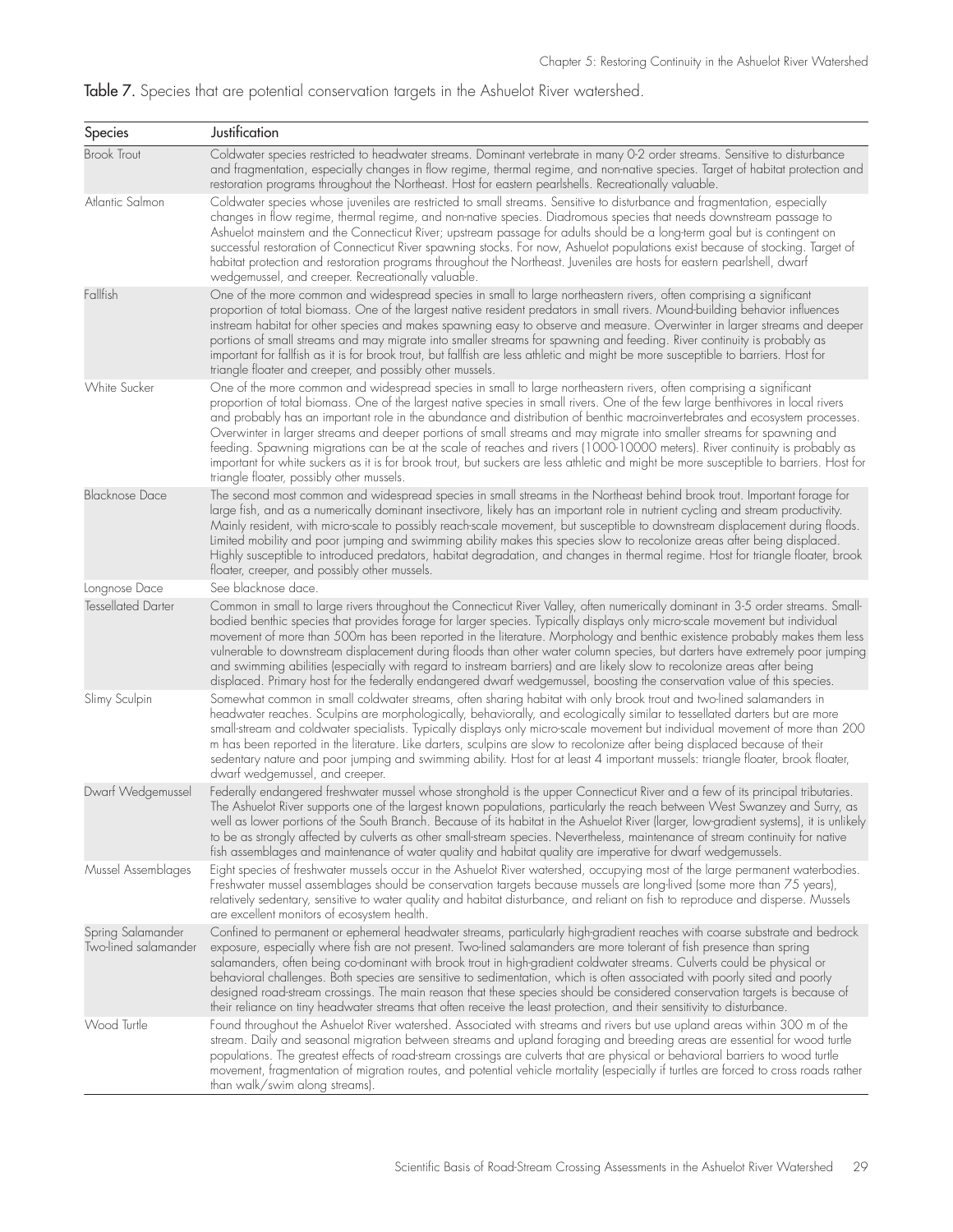# Table 7. Species that are potential conservation targets in the Ashuelot River watershed.

| Species                                   | Justification                                                                                                                                                                                                                                                                                                                                                                                                                                                                                                                                                                                                                                                                                                                                                                                                                            |
|-------------------------------------------|------------------------------------------------------------------------------------------------------------------------------------------------------------------------------------------------------------------------------------------------------------------------------------------------------------------------------------------------------------------------------------------------------------------------------------------------------------------------------------------------------------------------------------------------------------------------------------------------------------------------------------------------------------------------------------------------------------------------------------------------------------------------------------------------------------------------------------------|
| <b>Brook Trout</b>                        | Coldwater species restricted to headwater streams. Dominant vertebrate in many 0-2 order streams. Sensitive to disturbance<br>and fragmentation, especially changes in flow regime, thermal regime, and non-native species. Target of habitat protection and<br>restoration programs throughout the Northeast. Host for eastern pearlshells. Recreationally valuable.                                                                                                                                                                                                                                                                                                                                                                                                                                                                    |
| Atlantic Salmon                           | Coldwater species whose juveniles are restricted to small streams. Sensitive to disturbance and fragmentation, especially<br>changes in flow regime, thermal regime, and non-native species. Diadromous species that needs downstream passage to<br>Ashuelot mainstem and the Connecticut River; upstream passage for adults should be a long-term goal but is contingent on<br>successful restoration of Connecticut River spawning stocks. For now, Ashuelot populations exist because of stocking. Target of<br>habitat protection and restoration programs throughout the Northeast. Juveniles are hosts for eastern pearlshell, dwarf<br>wedgemussel, and creeper. Recreationally valuable.                                                                                                                                         |
| Fallfish                                  | One of the more common and widespread species in small to large northeastern rivers, often comprising a significant<br>proportion of total biomass. One of the largest native resident predators in small rivers. Mound-building behavior influences<br>instream habitat for other species and makes spawning easy to observe and measure. Overwinter in larger streams and deeper<br>portions of small streams and may migrate into smaller streams for spawning and feeding. River continuity is probably as<br>important for fallfish as it is for brook trout, but fallfish are less athletic and might be more susceptible to barriers. Host for<br>triangle floater and creeper, and possibly other mussels.                                                                                                                       |
| <b>White Sucker</b>                       | One of the more common and widespread species in small to large northeastern rivers, often comprising a significant<br>proportion of total biomass. One of the largest native species in small rivers. One of the few large benthivores in local rivers<br>and probably has an important role in the abundance and distribution of benthic macroinvertebrates and ecosystem processes.<br>Overwinter in larger streams and deeper portions of small streams and may migrate into smaller streams for spawning and<br>feeding. Spawning migrations can be at the scale of reaches and rivers (1000-10000 meters). River continuity is probably as<br>important for white suckers as it is for brook trout, but suckers are less athletic and might be more susceptible to barriers. Host for<br>triangle floater, possibly other mussels. |
| <b>Blacknose Dace</b>                     | The second most common and widespread species in small streams in the Northeast behind brook trout. Important forage for<br>large fish, and as a numerically dominant insectivore, likely has an important role in nutrient cycling and stream productivity.<br>Mainly resident, with micro-scale to possibly reach-scale movement, but susceptible to downstream displacement during floods.<br>Limited mobility and poor jumping and swimming ability makes this species slow to recolonize areas after being displaced.<br>Highly susceptible to introduced predators, habitat degradation, and changes in thermal regime. Host for triangle floater, brook<br>floater, creeper, and possibly other mussels.                                                                                                                          |
| Longnose Dace                             | See blacknose dace.                                                                                                                                                                                                                                                                                                                                                                                                                                                                                                                                                                                                                                                                                                                                                                                                                      |
| <b>Tessellated Darter</b>                 | Common in small to large rivers throughout the Connecticut River Valley, often numerically dominant in 3-5 order streams. Small-<br>bodied benthic species that provides forage for larger species. Typically displays only micro-scale movement but individual<br>movement of more than 500m has been reported in the literature. Morphology and benthic existence probably makes them less<br>vulnerable to downstream displacement during floods than other water column species, but darters have extremely poor jumping<br>and swimming abilities (especially with regard to instream barriers) and are likely slow to recolonize areas after being<br>displaced. Primary host for the federally endangered dwarf wedgemussel, boosting the conservation value of this species.                                                     |
| Slimy Sculpin                             | Somewhat common in small coldwater streams, often sharing habitat with only brook trout and two-lined salamanders in<br>headwater reaches. Sculpins are morphologically, behaviorally, and ecologically similar to tessellated darters but are more<br>small-stream and coldwater specialists. Typically displays only micro-scale movement but individual movement of more than 200<br>m has been reported in the literature. Like darters, sculpins are slow to recolonize after being displaced because of their<br>sedentary nature and poor jumping and swimming ability. Host for at least 4 important mussels: triangle floater, brook floater,<br>dwarf wedgemussel, and creeper.                                                                                                                                                |
| Dwarf Wedgemussel                         | Federally endangered freshwater mussel whose stronghold is the upper Connecticut River and a few of its principal tributaries.<br>The Ashuelot River supports one of the largest known populations, particularly the reach between West Swanzey and Surry, as<br>well as lower portions of the South Branch. Because of its habitat in the Ashuelot River (larger, low-gradient systems), it is unlikely<br>to be as strongly affected by culverts as other small-stream species. Nevertheless, maintenance of stream continuity for native<br>fish assemblages and maintenance of water quality and habitat quality are imperative for dwarf wedgemussels.                                                                                                                                                                              |
| Mussel Assemblages                        | Eight species of freshwater mussels occur in the Ashuelot River watershed, occupying most of the large permanent waterbodies.<br>Freshwater mussel assemblages should be conservation targets because mussels are long-lived (some more than 75 years),<br>relatively sedentary, sensitive to water quality and habitat disturbance, and reliant on fish to reproduce and disperse. Mussels<br>are excellent monitors of ecosystem health.                                                                                                                                                                                                                                                                                                                                                                                               |
| Spring Salamander<br>Two-lined salamander | Confined to permanent or ephemeral headwater streams, particularly high-gradient reaches with coarse substrate and bedrock<br>exposure, especially where fish are not present. Two-lined salamanders are more tolerant of fish presence than spring<br>salamanders, often being co-dominant with brook trout in high-gradient coldwater streams. Culverts could be physical or<br>behavioral challenges. Both species are sensitive to sedimentation, which is often associated with poorly sited and poorly<br>designed road-stream crossings. The main reason that these species should be considered conservation targets is because of<br>their reliance on tiny headwater streams that often receive the least protection, and their sensitivity to disturbance.                                                                    |
| Wood Turtle                               | Found throughout the Ashuelot River watershed. Associated with streams and rivers but use upland areas within 300 m of the<br>stream. Daily and seasonal migration between streams and upland foraging and breeding areas are essential for wood turtle<br>populations. The greatest effects of road-stream crossings are culverts that are physical or behavioral barriers to wood turtle<br>movement, fragmentation of migration routes, and potential vehicle mortality (especially if turtles are forced to cross roads rather<br>than walk/swim along streams).                                                                                                                                                                                                                                                                     |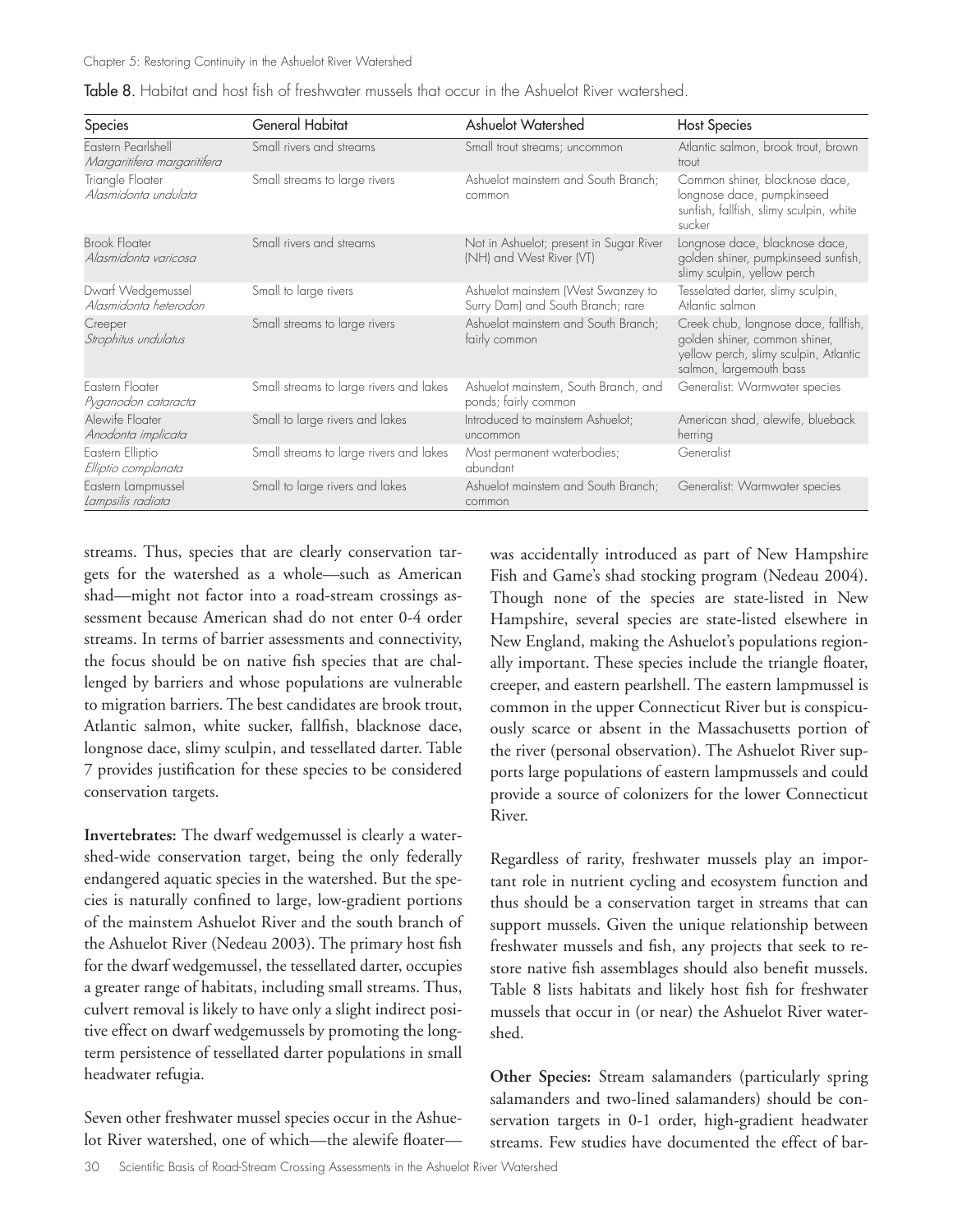| Species                                           | General Habitat                         | Ashuelot Watershed                                                      | <b>Host Species</b>                                                                                                                       |
|---------------------------------------------------|-----------------------------------------|-------------------------------------------------------------------------|-------------------------------------------------------------------------------------------------------------------------------------------|
| Eastern Pearlshell<br>Margaritifera margaritifera | Small rivers and streams                | Small trout streams; uncommon                                           | Atlantic salmon, brook trout, brown<br>trout                                                                                              |
| Triangle Floater<br>Alasmidonta undulata          | Small streams to large rivers           | Ashuelot mainstem and South Branch;<br>common                           | Common shiner, blacknose dace,<br>longnose dace, pumpkinseed<br>sunfish, fallfish, slimy sculpin, white<br>sucker                         |
| <b>Brook Floater</b><br>Alasmidonta varicosa      | Small rivers and streams                | Not in Ashuelot; present in Sugar River<br>(NH) and West River (VT)     | Longnose dace, blacknose dace,<br>golden shiner, pumpkinseed sunfish,<br>slimy sculpin, yellow perch                                      |
| Dwarf Wedgemussel<br>Alasmidonta heterodon        | Small to large rivers                   | Ashuelot mainstem (West Swanzey to<br>Surry Dam) and South Branch; rare | Tesselated darter, slimy sculpin,<br>Atlantic salmon                                                                                      |
| Creeper<br>Strophitus undulatus                   | Small streams to large rivers           | Ashuelot mainstem and South Branch;<br>fairly common                    | Creek chub, longnose dace, fallfish,<br>golden shiner, common shiner,<br>yellow perch, slimy sculpin, Atlantic<br>salmon, largemouth bass |
| Fastern Floater<br>Pyganodon cataracta            | Small streams to large rivers and lakes | Ashuelot mainstem, South Branch, and<br>ponds; fairly common            | Generalist: Warmwater species                                                                                                             |
| Alewife Floater<br>Anodonta implicata             | Small to large rivers and lakes         | Introduced to mainstem Ashuelot;<br>uncommon                            | American shad, alewife, blueback<br>herring                                                                                               |
| Eastern Elliptio<br>Elliptio complanata           | Small streams to large rivers and lakes | Most permanent waterbodies;<br>abundant                                 | Generalist                                                                                                                                |
| Eastern Lampmussel<br>Lampsilis radiata           | Small to large rivers and lakes         | Ashuelot mainstem and South Branch;<br>common                           | Generalist: Warmwater species                                                                                                             |

Table 8. Habitat and host fish of freshwater mussels that occur in the Ashuelot River watershed.

streams. Thus, species that are clearly conservation targets for the watershed as a whole—such as American shad—might not factor into a road-stream crossings assessment because American shad do not enter 0-4 order streams. In terms of barrier assessments and connectivity, the focus should be on native fish species that are challenged by barriers and whose populations are vulnerable to migration barriers. The best candidates are brook trout, Atlantic salmon, white sucker, fallfish, blacknose dace, longnose dace, slimy sculpin, and tessellated darter. Table 7 provides justification for these species to be considered conservation targets.

**Invertebrates:** The dwarf wedgemussel is clearly a watershed-wide conservation target, being the only federally endangered aquatic species in the watershed. But the species is naturally confined to large, low-gradient portions of the mainstem Ashuelot River and the south branch of the Ashuelot River (Nedeau 2003). The primary host fish for the dwarf wedgemussel, the tessellated darter, occupies a greater range of habitats, including small streams. Thus, culvert removal is likely to have only a slight indirect positive effect on dwarf wedgemussels by promoting the longterm persistence of tessellated darter populations in small headwater refugia.

Seven other freshwater mussel species occur in the Ashuelot River watershed, one of which—the alewife floaterwas accidentally introduced as part of New Hampshire Fish and Game's shad stocking program (Nedeau 2004). Though none of the species are state-listed in New Hampshire, several species are state-listed elsewhere in New England, making the Ashuelot's populations regionally important. These species include the triangle floater, creeper, and eastern pearlshell. The eastern lampmussel is common in the upper Connecticut River but is conspicuously scarce or absent in the Massachusetts portion of the river (personal observation). The Ashuelot River supports large populations of eastern lampmussels and could provide a source of colonizers for the lower Connecticut River.

Regardless of rarity, freshwater mussels play an important role in nutrient cycling and ecosystem function and thus should be a conservation target in streams that can support mussels. Given the unique relationship between freshwater mussels and fish, any projects that seek to restore native fish assemblages should also benefit mussels. Table 8 lists habitats and likely host fish for freshwater mussels that occur in (or near) the Ashuelot River watershed.

**Other Species:** Stream salamanders (particularly spring salamanders and two-lined salamanders) should be conservation targets in 0-1 order, high-gradient headwater streams. Few studies have documented the effect of bar-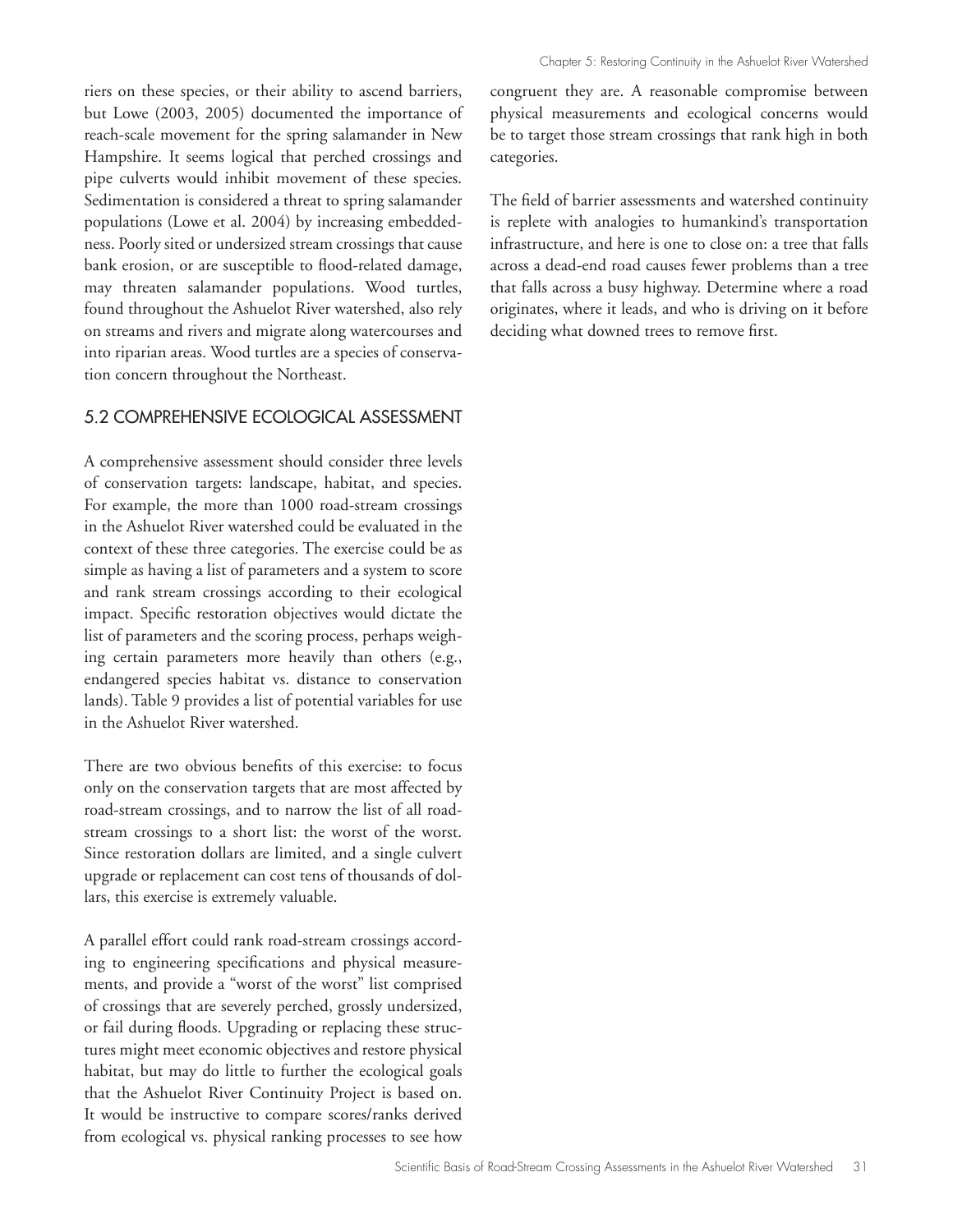riers on these species, or their ability to ascend barriers, but Lowe (2003, 2005) documented the importance of reach-scale movement for the spring salamander in New Hampshire. It seems logical that perched crossings and pipe culverts would inhibit movement of these species. Sedimentation is considered a threat to spring salamander populations (Lowe et al. 2004) by increasing embeddedness. Poorly sited or undersized stream crossings that cause bank erosion, or are susceptible to flood-related damage, may threaten salamander populations. Wood turtles, found throughout the Ashuelot River watershed, also rely on streams and rivers and migrate along watercourses and into riparian areas. Wood turtles are a species of conservation concern throughout the Northeast.

#### 5.2 COMPREHENSIVE ECOLOGICAL ASSESSMENT

A comprehensive assessment should consider three levels of conservation targets: landscape, habitat, and species. For example, the more than 1000 road-stream crossings in the Ashuelot River watershed could be evaluated in the context of these three categories. The exercise could be as simple as having a list of parameters and a system to score and rank stream crossings according to their ecological impact. Specific restoration objectives would dictate the list of parameters and the scoring process, perhaps weighing certain parameters more heavily than others (e.g., endangered species habitat vs. distance to conservation lands). Table 9 provides a list of potential variables for use in the Ashuelot River watershed.

There are two obvious benefits of this exercise: to focus only on the conservation targets that are most affected by road-stream crossings, and to narrow the list of all roadstream crossings to a short list: the worst of the worst. Since restoration dollars are limited, and a single culvert upgrade or replacement can cost tens of thousands of dollars, this exercise is extremely valuable.

A parallel effort could rank road-stream crossings according to engineering specifications and physical measurements, and provide a "worst of the worst" list comprised of crossings that are severely perched, grossly undersized, or fail during floods. Upgrading or replacing these structures might meet economic objectives and restore physical habitat, but may do little to further the ecological goals that the Ashuelot River Continuity Project is based on. It would be instructive to compare scores/ranks derived from ecological vs. physical ranking processes to see how congruent they are. A reasonable compromise between physical measurements and ecological concerns would be to target those stream crossings that rank high in both categories.

The field of barrier assessments and watershed continuity is replete with analogies to humankind's transportation infrastructure, and here is one to close on: a tree that falls across a dead-end road causes fewer problems than a tree that falls across a busy highway. Determine where a road originates, where it leads, and who is driving on it before deciding what downed trees to remove first.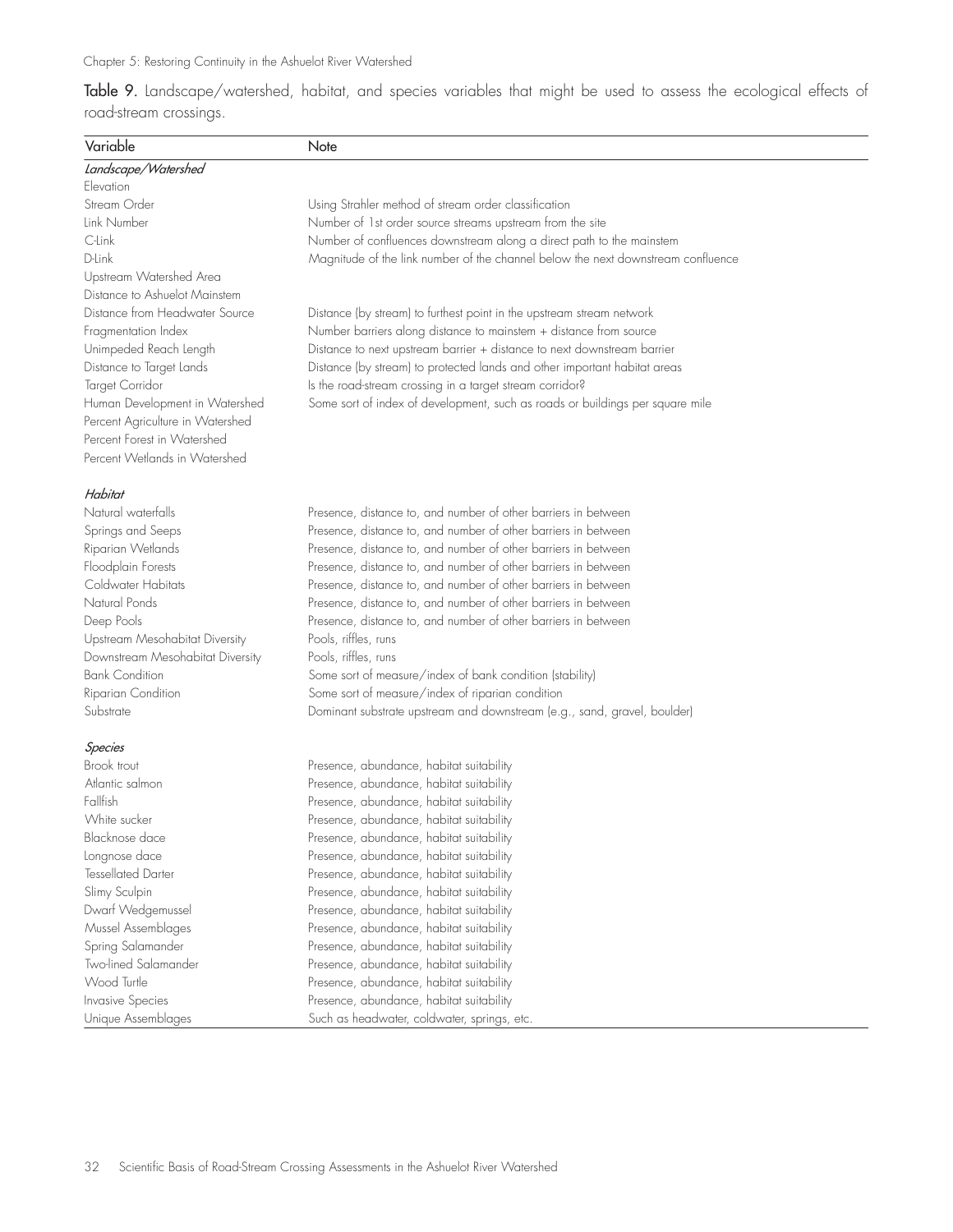Table 9. Landscape/watershed, habitat, and species variables that might be used to assess the ecological effects of road-stream crossings.

| Variable                         | Note                                                                             |
|----------------------------------|----------------------------------------------------------------------------------|
| Landscape/Watershed              |                                                                                  |
| Flevation                        |                                                                                  |
| Stream Order                     | Using Strahler method of stream order classification                             |
| Link Number                      | Number of 1st order source streams upstream from the site                        |
| C-Link                           | Number of confluences downstream along a direct path to the mainstem             |
| D-Link                           | Magnitude of the link number of the channel below the next downstream confluence |
| Upstream Watershed Area          |                                                                                  |
| Distance to Ashuelot Mainstem    |                                                                                  |
| Distance from Headwater Source   | Distance (by stream) to furthest point in the upstream stream network            |
| Fragmentation Index              | Number barriers along distance to mainstem + distance from source                |
| Unimpeded Reach Length           | Distance to next upstream barrier + distance to next downstream barrier          |
| Distance to Target Lands         | Distance (by stream) to protected lands and other important habitat areas        |
| Target Corridor                  | Is the road-stream crossing in a target stream corridor?                         |
| Human Development in Watershed   | Some sort of index of development, such as roads or buildings per square mile    |
| Percent Agriculture in Watershed |                                                                                  |
| Percent Forest in Watershed      |                                                                                  |
| Percent Wetlands in Watershed    |                                                                                  |
| Habitat                          |                                                                                  |
| Natural waterfalls               | Presence, distance to, and number of other barriers in between                   |
| Springs and Seeps                | Presence, distance to, and number of other barriers in between                   |
| Riparian Wetlands                | Presence, distance to, and number of other barriers in between                   |
| Floodplain Forests               | Presence, distance to, and number of other barriers in between                   |
| Coldwater Habitats               | Presence, distance to, and number of other barriers in between                   |
| Natural Ponds                    | Presence, distance to, and number of other barriers in between                   |
| Deep Pools                       | Presence, distance to, and number of other barriers in between                   |
| Upstream Mesohabitat Diversity   | Pools, riffles, runs                                                             |
| Downstream Mesohabitat Diversity | Pools, riffles, runs                                                             |
| <b>Bank Condition</b>            | Some sort of measure/index of bank condition (stability)                         |
| Riparian Condition               | Some sort of measure/index of riparian condition                                 |
| Substrate                        | Dominant substrate upstream and downstream (e.g., sand, gravel, boulder)         |
| Species                          |                                                                                  |
| Brook trout                      | Presence, abundance, habitat suitability                                         |
| Atlantic salmon                  | Presence, abundance, habitat suitability                                         |
| Fallfish                         | Presence, abundance, habitat suitability                                         |
| White sucker                     | Presence, abundance, habitat suitability                                         |
| Blacknose dace                   | Presence, abundance, habitat suitability                                         |
| Lonanose dace                    | Presence, abundance, habitat suitability                                         |
| <b>Tessellated Darter</b>        | Presence, abundance, habitat suitability                                         |
| Slimy Sculpin                    | Presence, abundance, habitat suitability                                         |
| Dwarf Wedgemussel                | Presence, abundance, habitat suitability                                         |
| Mussel Assemblages               | Presence, abundance, habitat suitability                                         |
| Spring Salamander                | Presence, abundance, habitat suitability                                         |
| Two-lined Salamander             | Presence, abundance, habitat suitability                                         |
| Wood Turtle                      | Presence, abundance, habitat suitability                                         |
| Invasive Species                 | Presence, abundance, habitat suitability                                         |
| Unique Assemblages               | Such as headwater, coldwater, springs, etc.                                      |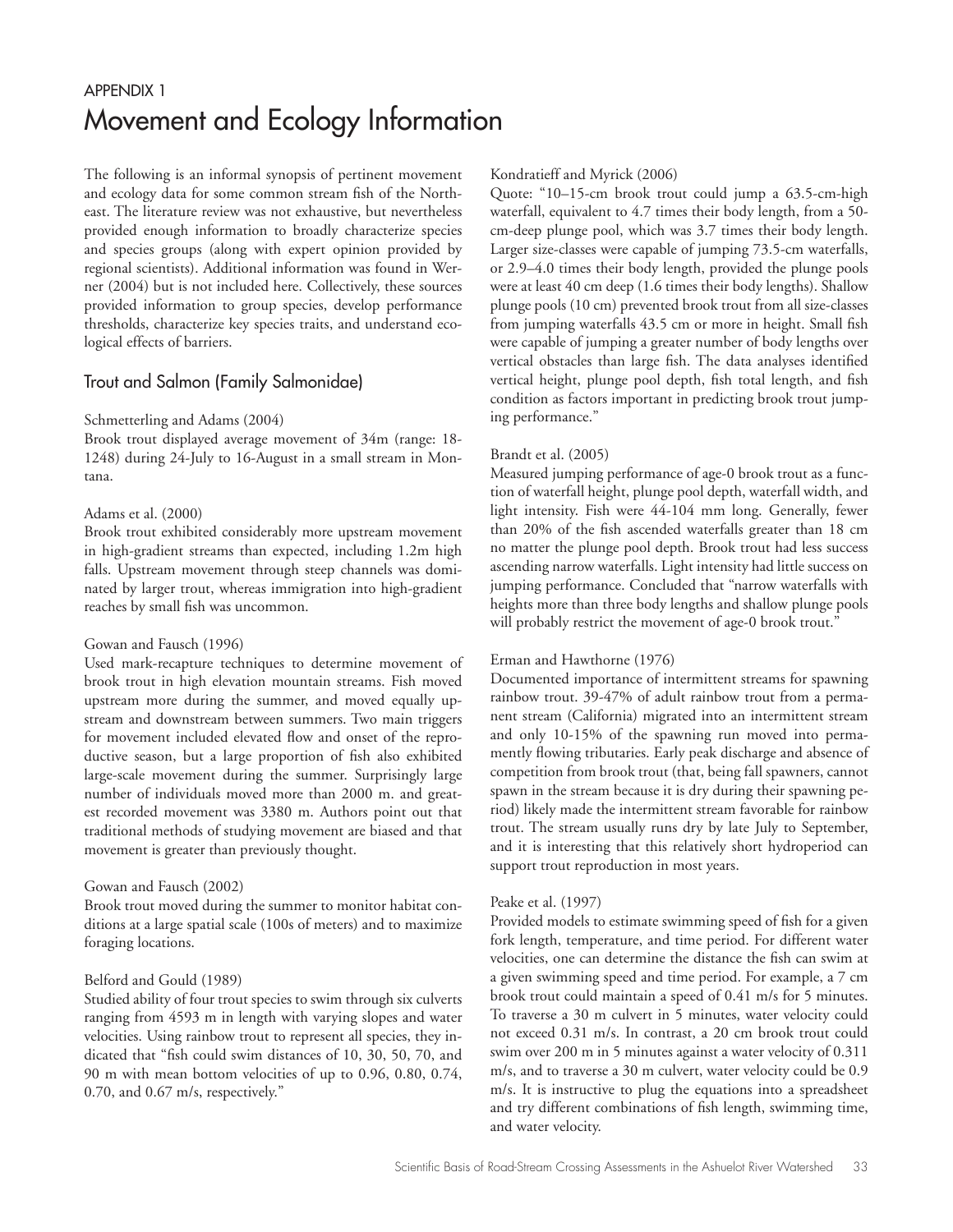# APPENDIX 1 Movement and Ecology Information

The following is an informal synopsis of pertinent movement and ecology data for some common stream fish of the Northeast. The literature review was not exhaustive, but nevertheless provided enough information to broadly characterize species and species groups (along with expert opinion provided by regional scientists). Additional information was found in Werner (2004) but is not included here. Collectively, these sources provided information to group species, develop performance thresholds, characterize key species traits, and understand ecological effects of barriers.

## Trout and Salmon (Family Salmonidae)

#### Schmetterling and Adams (2004)

Brook trout displayed average movement of 34m (range: 18- 1248) during 24-July to 16-August in a small stream in Montana.

#### Adams et al. (2000)

Brook trout exhibited considerably more upstream movement in high-gradient streams than expected, including 1.2m high falls. Upstream movement through steep channels was dominated by larger trout, whereas immigration into high-gradient reaches by small fish was uncommon.

#### Gowan and Fausch (1996)

Used mark-recapture techniques to determine movement of brook trout in high elevation mountain streams. Fish moved upstream more during the summer, and moved equally upstream and downstream between summers. Two main triggers for movement included elevated flow and onset of the reproductive season, but a large proportion of fish also exhibited large-scale movement during the summer. Surprisingly large number of individuals moved more than 2000 m. and greatest recorded movement was 3380 m. Authors point out that traditional methods of studying movement are biased and that movement is greater than previously thought.

#### Gowan and Fausch (2002)

Brook trout moved during the summer to monitor habitat conditions at a large spatial scale (100s of meters) and to maximize foraging locations.

#### Belford and Gould (1989)

Studied ability of four trout species to swim through six culverts ranging from 4593 m in length with varying slopes and water velocities. Using rainbow trout to represent all species, they indicated that "fish could swim distances of 10, 30, 50, 70, and 90 m with mean bottom velocities of up to 0.96, 0.80, 0.74, 0.70, and 0.67 m/s, respectively."

#### Kondratieff and Myrick (2006)

Quote: "10–15-cm brook trout could jump a 63.5-cm-high waterfall, equivalent to 4.7 times their body length, from a 50 cm-deep plunge pool, which was 3.7 times their body length. Larger size-classes were capable of jumping 73.5-cm waterfalls, or 2.9–4.0 times their body length, provided the plunge pools were at least 40 cm deep (1.6 times their body lengths). Shallow plunge pools (10 cm) prevented brook trout from all size-classes from jumping waterfalls 43.5 cm or more in height. Small fish were capable of jumping a greater number of body lengths over vertical obstacles than large fish. The data analyses identified vertical height, plunge pool depth, fish total length, and fish condition as factors important in predicting brook trout jumping performance."

#### Brandt et al. (2005)

Measured jumping performance of age-0 brook trout as a function of waterfall height, plunge pool depth, waterfall width, and light intensity. Fish were 44-104 mm long. Generally, fewer than 20% of the fish ascended waterfalls greater than 18 cm no matter the plunge pool depth. Brook trout had less success ascending narrow waterfalls. Light intensity had little success on jumping performance. Concluded that "narrow waterfalls with heights more than three body lengths and shallow plunge pools will probably restrict the movement of age-0 brook trout."

#### Erman and Hawthorne (1976)

Documented importance of intermittent streams for spawning rainbow trout. 39-47% of adult rainbow trout from a permanent stream (California) migrated into an intermittent stream and only 10-15% of the spawning run moved into permamently flowing tributaries. Early peak discharge and absence of competition from brook trout (that, being fall spawners, cannot spawn in the stream because it is dry during their spawning period) likely made the intermittent stream favorable for rainbow trout. The stream usually runs dry by late July to September, and it is interesting that this relatively short hydroperiod can support trout reproduction in most years.

#### Peake et al. (1997)

Provided models to estimate swimming speed of fish for a given fork length, temperature, and time period. For different water velocities, one can determine the distance the fish can swim at a given swimming speed and time period. For example, a 7 cm brook trout could maintain a speed of 0.41 m/s for 5 minutes. To traverse a 30 m culvert in 5 minutes, water velocity could not exceed 0.31 m/s. In contrast, a 20 cm brook trout could swim over 200 m in 5 minutes against a water velocity of 0.311 m/s, and to traverse a 30 m culvert, water velocity could be 0.9 m/s. It is instructive to plug the equations into a spreadsheet and try different combinations of fish length, swimming time, and water velocity.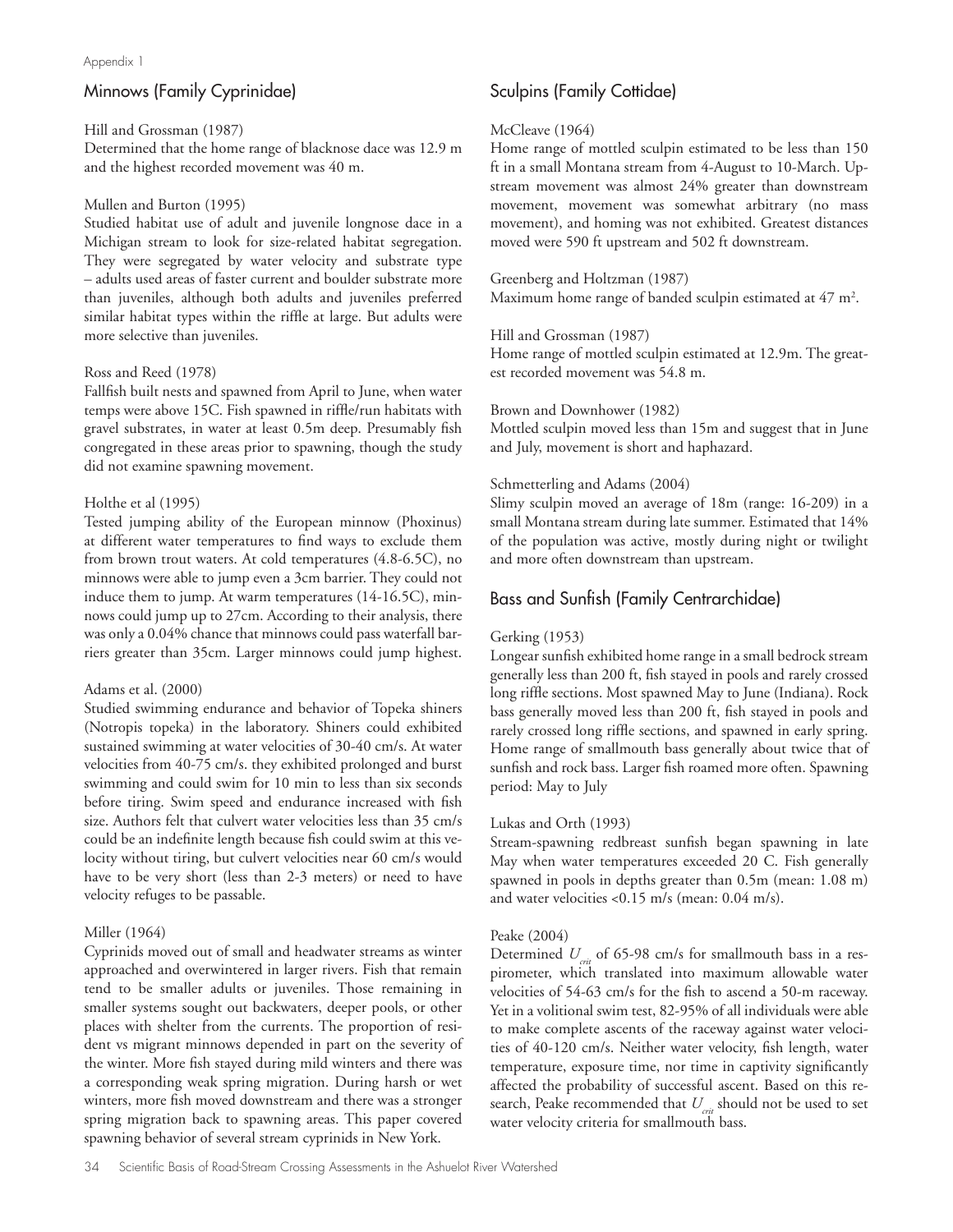# Minnows (Family Cyprinidae)

#### Hill and Grossman (1987)

Determined that the home range of blacknose dace was 12.9 m and the highest recorded movement was 40 m.

#### Mullen and Burton (1995)

Studied habitat use of adult and juvenile longnose dace in a Michigan stream to look for size-related habitat segregation. They were segregated by water velocity and substrate type – adults used areas of faster current and boulder substrate more than juveniles, although both adults and juveniles preferred similar habitat types within the riffle at large. But adults were more selective than juveniles.

#### Ross and Reed (1978)

Fallfish built nests and spawned from April to June, when water temps were above 15C. Fish spawned in riffle/run habitats with gravel substrates, in water at least 0.5m deep. Presumably fish congregated in these areas prior to spawning, though the study did not examine spawning movement.

#### Holthe et al (1995)

Tested jumping ability of the European minnow (Phoxinus) at different water temperatures to find ways to exclude them from brown trout waters. At cold temperatures (4.8-6.5C), no minnows were able to jump even a 3cm barrier. They could not induce them to jump. At warm temperatures (14-16.5C), minnows could jump up to 27cm. According to their analysis, there was only a 0.04% chance that minnows could pass waterfall barriers greater than 35cm. Larger minnows could jump highest.

#### Adams et al. (2000)

Studied swimming endurance and behavior of Topeka shiners (Notropis topeka) in the laboratory. Shiners could exhibited sustained swimming at water velocities of 30-40 cm/s. At water velocities from 40-75 cm/s. they exhibited prolonged and burst swimming and could swim for 10 min to less than six seconds before tiring. Swim speed and endurance increased with fish size. Authors felt that culvert water velocities less than 35 cm/s could be an indefinite length because fish could swim at this velocity without tiring, but culvert velocities near 60 cm/s would have to be very short (less than 2-3 meters) or need to have velocity refuges to be passable.

#### Miller (1964)

Cyprinids moved out of small and headwater streams as winter approached and overwintered in larger rivers. Fish that remain tend to be smaller adults or juveniles. Those remaining in smaller systems sought out backwaters, deeper pools, or other places with shelter from the currents. The proportion of resident vs migrant minnows depended in part on the severity of the winter. More fish stayed during mild winters and there was a corresponding weak spring migration. During harsh or wet winters, more fish moved downstream and there was a stronger spring migration back to spawning areas. This paper covered spawning behavior of several stream cyprinids in New York.

#### 34 Scientific Basis of Road-Stream Crossing Assessments in the Ashuelot River Watershed

# Sculpins (Family Cottidae)

#### McCleave (1964)

Home range of mottled sculpin estimated to be less than 150 ft in a small Montana stream from 4-August to 10-March. Upstream movement was almost 24% greater than downstream movement, movement was somewhat arbitrary (no mass movement), and homing was not exhibited. Greatest distances moved were 590 ft upstream and 502 ft downstream.

#### Greenberg and Holtzman (1987)

Maximum home range of banded sculpin estimated at  $47 \text{ m}^2$ .

#### Hill and Grossman (1987)

Home range of mottled sculpin estimated at 12.9m. The greatest recorded movement was 54.8 m.

#### Brown and Downhower (1982)

Mottled sculpin moved less than 15m and suggest that in June and July, movement is short and haphazard.

#### Schmetterling and Adams (2004)

Slimy sculpin moved an average of 18m (range: 16-209) in a small Montana stream during late summer. Estimated that 14% of the population was active, mostly during night or twilight and more often downstream than upstream.

## Bass and Sunfish (Family Centrarchidae)

#### Gerking (1953)

Longear sunfish exhibited home range in a small bedrock stream generally less than 200 ft, fish stayed in pools and rarely crossed long riffle sections. Most spawned May to June (Indiana). Rock bass generally moved less than 200 ft, fish stayed in pools and rarely crossed long riffle sections, and spawned in early spring. Home range of smallmouth bass generally about twice that of sunfish and rock bass. Larger fish roamed more often. Spawning period: May to July

#### Lukas and Orth (1993)

Stream-spawning redbreast sunfish began spawning in late May when water temperatures exceeded 20 C. Fish generally spawned in pools in depths greater than 0.5m (mean: 1.08 m) and water velocities <0.15 m/s (mean: 0.04 m/s).

#### Peake (2004)

Determined  $U_{\text{crit}}$  of 65-98 cm/s for smallmouth bass in a respirometer, which translated into maximum allowable water velocities of 54-63 cm/s for the fish to ascend a 50-m raceway. Yet in a volitional swim test, 82-95% of all individuals were able to make complete ascents of the raceway against water velocities of 40-120 cm/s. Neither water velocity, fish length, water temperature, exposure time, nor time in captivity significantly affected the probability of successful ascent. Based on this research, Peake recommended that  $U_{\text{crit}}$  should not be used to set water velocity criteria for smallmouth bass.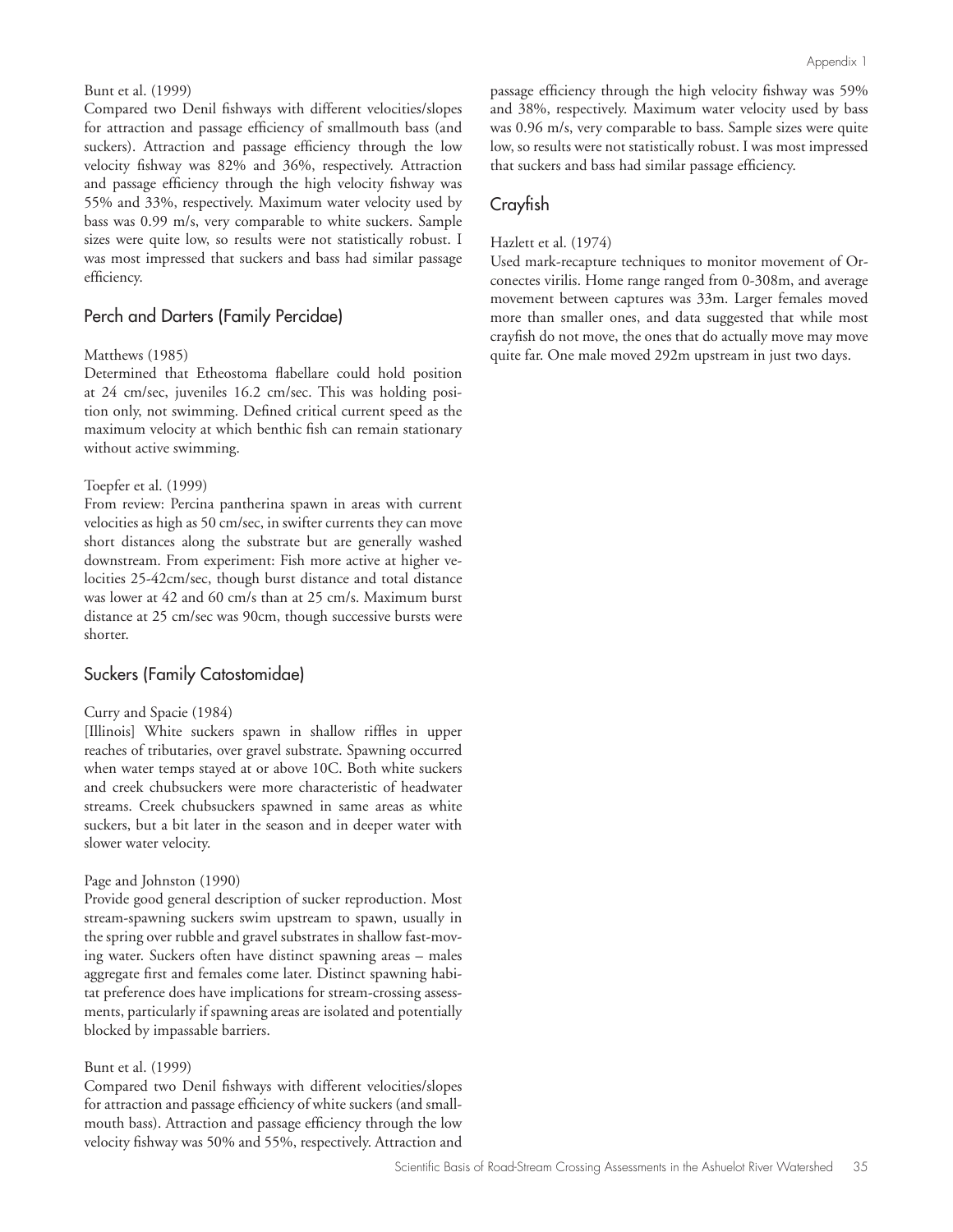#### Bunt et al. (1999)

Compared two Denil fishways with different velocities/slopes for attraction and passage efficiency of smallmouth bass (and suckers). Attraction and passage efficiency through the low velocity fishway was 82% and 36%, respectively. Attraction and passage efficiency through the high velocity fishway was 55% and 33%, respectively. Maximum water velocity used by bass was 0.99 m/s, very comparable to white suckers. Sample sizes were quite low, so results were not statistically robust. I was most impressed that suckers and bass had similar passage efficiency.

#### Perch and Darters (Family Percidae)

#### Matthews (1985)

Determined that Etheostoma flabellare could hold position at 24 cm/sec, juveniles 16.2 cm/sec. This was holding position only, not swimming. Defined critical current speed as the maximum velocity at which benthic fish can remain stationary without active swimming.

#### Toepfer et al. (1999)

From review: Percina pantherina spawn in areas with current velocities as high as 50 cm/sec, in swifter currents they can move short distances along the substrate but are generally washed downstream. From experiment: Fish more active at higher velocities 25-42cm/sec, though burst distance and total distance was lower at 42 and 60 cm/s than at 25 cm/s. Maximum burst distance at 25 cm/sec was 90cm, though successive bursts were shorter.

#### Suckers (Family Catostomidae)

#### Curry and Spacie (1984)

[Illinois] White suckers spawn in shallow riffles in upper reaches of tributaries, over gravel substrate. Spawning occurred when water temps stayed at or above 10C. Both white suckers and creek chubsuckers were more characteristic of headwater streams. Creek chubsuckers spawned in same areas as white suckers, but a bit later in the season and in deeper water with slower water velocity.

#### Page and Johnston (1990)

Provide good general description of sucker reproduction. Most stream-spawning suckers swim upstream to spawn, usually in the spring over rubble and gravel substrates in shallow fast-moving water. Suckers often have distinct spawning areas – males aggregate first and females come later. Distinct spawning habitat preference does have implications for stream-crossing assessments, particularly if spawning areas are isolated and potentially blocked by impassable barriers.

#### Bunt et al. (1999)

Compared two Denil fishways with different velocities/slopes for attraction and passage efficiency of white suckers (and smallmouth bass). Attraction and passage efficiency through the low velocity fishway was 50% and 55%, respectively. Attraction and passage efficiency through the high velocity fishway was 59% and 38%, respectively. Maximum water velocity used by bass was 0.96 m/s, very comparable to bass. Sample sizes were quite low, so results were not statistically robust. I was most impressed that suckers and bass had similar passage efficiency.

#### Crayfish

#### Hazlett et al. (1974)

Used mark-recapture techniques to monitor movement of Orconectes virilis. Home range ranged from 0-308m, and average movement between captures was 33m. Larger females moved more than smaller ones, and data suggested that while most crayfish do not move, the ones that do actually move may move quite far. One male moved 292m upstream in just two days.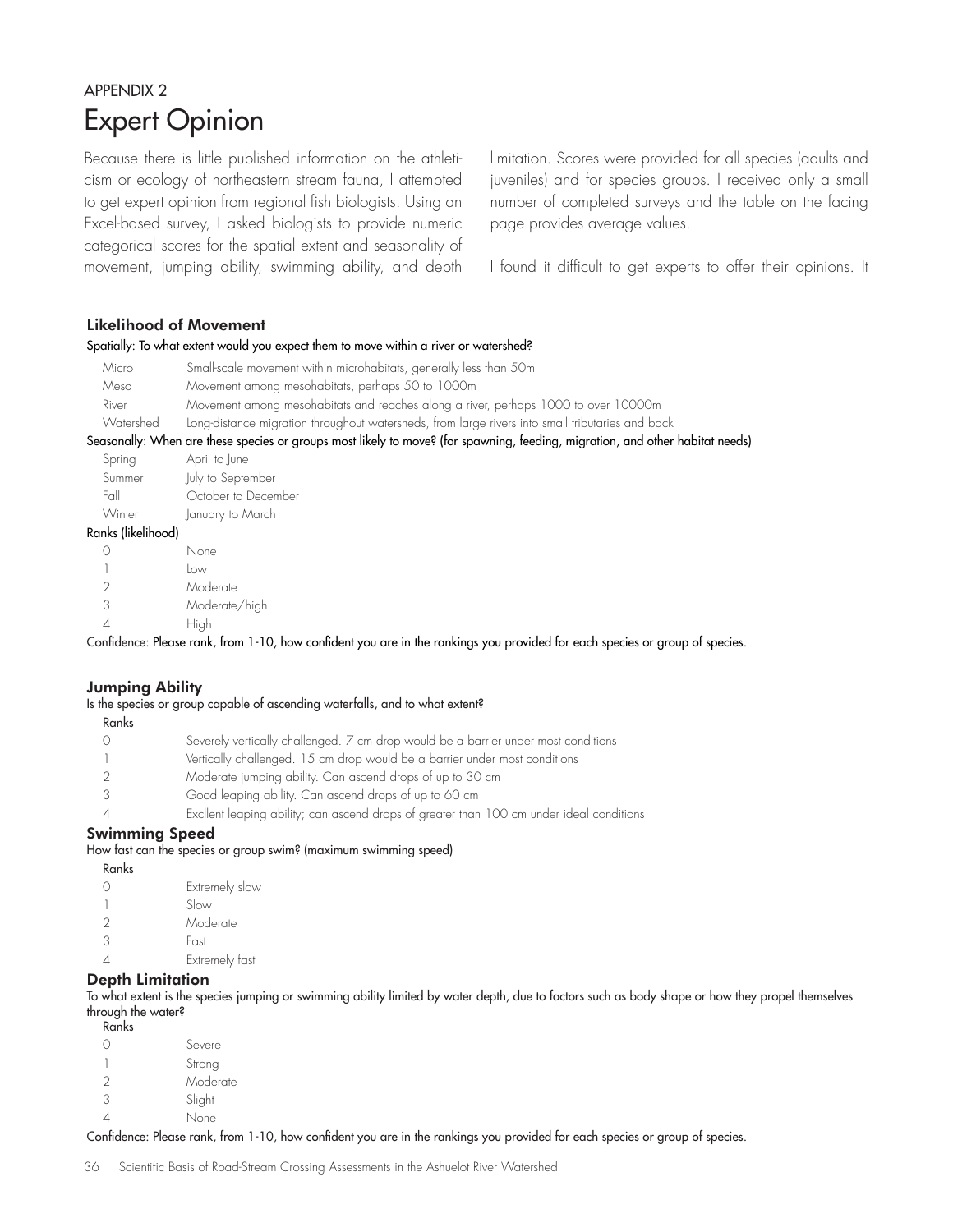# APPENDIX 2 Expert Opinion

Because there is little published information on the athleticism or ecology of northeastern stream fauna, I attempted to get expert opinion from regional fish biologists. Using an Excel-based survey, I asked biologists to provide numeric categorical scores for the spatial extent and seasonality of movement, jumping ability, swimming ability, and depth limitation. Scores were provided for all species (adults and juveniles) and for species groups. I received only a small number of completed surveys and the table on the facing page provides average values.

I found it difficult to get experts to offer their opinions. It

#### Likelihood of Movement

#### Spatially: To what extent would you expect them to move within a river or watershed?

| Micro     | Small-scale movement within microhabitats, generally less than 50m                                                            |
|-----------|-------------------------------------------------------------------------------------------------------------------------------|
| Meso      | Movement among mesohabitats, perhaps 50 to 1000m                                                                              |
| River     | Movement among mesohabitats and reaches along a river, perhaps 1000 to over 10000m                                            |
| Watershed | Long-distance migration throughout watersheds, from large rivers into small tributaries and back                              |
|           | Seasonally: When are these species or groups most likely to move? (for spawning, feeding, migration, and other habitat needs) |
| Spring    | April to June                                                                                                                 |
| Summer    | July to September                                                                                                             |
|           |                                                                                                                               |

| <b>JUILILICI</b> | This in nehieminei  |
|------------------|---------------------|
| Fall             | October to December |
| Winter           | January to March    |
| .                |                     |

#### Ranks (likelihood)

|   | None          |
|---|---------------|
|   | low           |
| 2 | Moderate      |
| 3 | Moderate/high |
|   | High          |

Confidence: Please rank, from 1-10, how confident you are in the rankings you provided for each species or group of species.

#### Jumping Ability

Is the species or group capable of ascending waterfalls, and to what extent?

Ranks

|  | Severely vertically challenged. 7 cm drop would be a barrier under most conditions |
|--|------------------------------------------------------------------------------------|
|--|------------------------------------------------------------------------------------|

- 1 Vertically challenged. 15 cm drop would be a barrier under most conditions
- 2 Moderate jumping ability. Can ascend drops of up to 30 cm
- 3 Good leaping ability. Can ascend drops of up to 60 cm
- 4 Excllent leaping ability; can ascend drops of greater than 100 cm under ideal conditions

#### Swimming Speed

How fast can the species or group swim? (maximum swimming speed)

| Ranks |                |
|-------|----------------|
| Ω     | Extremely slow |
|       | Slow           |
| 2     | Moderate       |
| 3     | Fast           |
| Λ     | Extremely fast |
|       |                |

#### Depth Limitation

To what extent is the species jumping or swimming ability limited by water depth, due to factors such as body shape or how they propel themselves through the water?

Ranks

|   | Severe   |
|---|----------|
|   | Strong   |
| 2 | Moderate |
| 3 | Slight   |
|   | None     |

Confidence: Please rank, from 1-10, how confident you are in the rankings you provided for each species or group of species.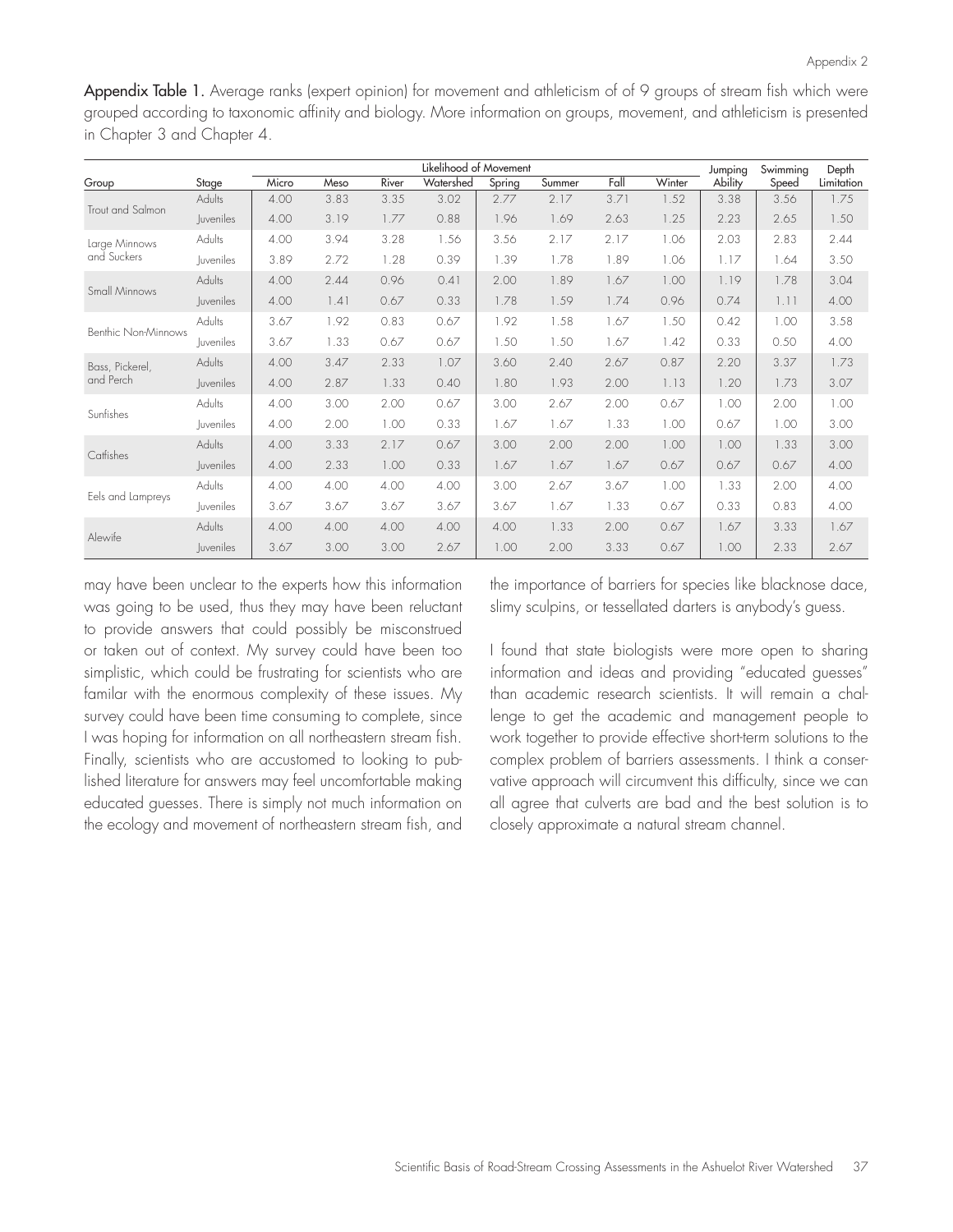Appendix Table 1. Average ranks (expert opinion) for movement and athleticism of of 9 groups of stream fish which were grouped according to taxonomic affinity and biology. More information on groups, movement, and athleticism is presented in Chapter 3 and Chapter 4.

|                              |                  | Likelihood of Movement |      |       |           |        |        |      |        | Jumping | Swimming | Depth      |
|------------------------------|------------------|------------------------|------|-------|-----------|--------|--------|------|--------|---------|----------|------------|
| Group                        | Stage            | Micro                  | Meso | River | Watershed | Spring | Summer | Fall | Winter | Ability | Speed    | Limitation |
| Trout and Salmon             | Adults           | 4.00                   | 3.83 | 3.35  | 3.02      | 2.77   | 2.17   | 3.71 | 1.52   | 3.38    | 3.56     | 1.75       |
|                              | <i>luveniles</i> | 4.00                   | 3.19 | 1.77  | 0.88      | 1.96   | 1.69   | 2.63 | 1.25   | 2.23    | 2.65     | 1.50       |
| Large Minnows<br>and Suckers | Adults           | 4.00                   | 3.94 | 3.28  | 1.56      | 3.56   | 2.17   | 2.17 | 1.06   | 2.03    | 2.83     | 2.44       |
|                              | Juveniles        | 3.89                   | 2.72 | 1.28  | 0.39      | 1.39   | 1.78   | 1.89 | 1.06   | 1.17    | 1.64     | 3.50       |
| Small Minnows                | Adults           | 4.00                   | 2.44 | 0.96  | 0.41      | 2.00   | 1.89   | 1.67 | 1.00   | 1.19    | 1.78     | 3.04       |
|                              | <b>Juveniles</b> | 4.00                   | 1.41 | 0.67  | 0.33      | 1.78   | 1.59   | 1.74 | 0.96   | 0.74    | 1.11     | 4.00       |
| Benthic Non-Minnows          | Adults           | 3.67                   | 1.92 | 0.83  | 0.67      | 1.92   | 1.58   | 1.67 | 1.50   | 0.42    | 1.00     | 3.58       |
|                              | <i>luveniles</i> | 3.67                   | 1.33 | 0.67  | 0.67      | 1.50   | 1.50   | 1.67 | 1.42   | 0.33    | 0.50     | 4.00       |
| Bass, Pickerel,<br>and Perch | Adults           | 4.00                   | 3.47 | 2.33  | 1.07      | 3.60   | 2.40   | 2.67 | 0.87   | 2.20    | 3.37     | 1.73       |
|                              | Juveniles        | 4.00                   | 2.87 | 1.33  | 0.40      | 1.80   | 1.93   | 2.00 | 1.13   | 1.20    | 1.73     | 3.07       |
| Sunfishes                    | Adults           | 4.00                   | 3.00 | 2.00  | 0.67      | 3.00   | 2.67   | 2.00 | 0.67   | 1.00    | 2.00     | 1.00       |
|                              | <i>luveniles</i> | 4.00                   | 2.00 | 1.00  | 0.33      | 1.67   | 1.67   | 1.33 | 1.00   | 0.67    | 1.00     | 3.00       |
| Catfishes                    | Adults           | 4.00                   | 3.33 | 2.17  | 0.67      | 3.00   | 2.00   | 2.00 | 1.00   | 1.00    | 1.33     | 3.00       |
|                              | <b>Juveniles</b> | 4.00                   | 2.33 | 1.00  | 0.33      | 1.67   | 1.67   | 1.67 | 0.67   | 0.67    | 0.67     | 4.00       |
|                              | Adults           | 4.00                   | 4.00 | 4.00  | 4.00      | 3.00   | 2.67   | 3.67 | 1.00   | 1.33    | 2.00     | 4.00       |
| Eels and Lampreys            | Juveniles        | 3.67                   | 3.67 | 3.67  | 3.67      | 3.67   | 1.67   | 1.33 | 0.67   | 0.33    | 0.83     | 4.00       |
| Alewife                      | Adults           | 4.00                   | 4.00 | 4.00  | 4.00      | 4.00   | 1.33   | 2.00 | 0.67   | 1.67    | 3.33     | 1.67       |
|                              | <b>Juveniles</b> | 3.67                   | 3.00 | 3.00  | 2.67      | 1.00   | 2.00   | 3.33 | 0.67   | 1.00    | 2.33     | 2.67       |

may have been unclear to the experts how this information was going to be used, thus they may have been reluctant to provide answers that could possibly be misconstrued or taken out of context. My survey could have been too simplistic, which could be frustrating for scientists who are familar with the enormous complexity of these issues. My survey could have been time consuming to complete, since I was hoping for information on all northeastern stream fish. Finally, scientists who are accustomed to looking to published literature for answers may feel uncomfortable making educated guesses. There is simply not much information on the ecology and movement of northeastern stream fish, and the importance of barriers for species like blacknose dace, slimy sculpins, or tessellated darters is anybody's guess.

I found that state biologists were more open to sharing information and ideas and providing "educated guesses" than academic research scientists. It will remain a challenge to get the academic and management people to work together to provide effective short-term solutions to the complex problem of barriers assessments. I think a conservative approach will circumvent this difficulty, since we can all agree that culverts are bad and the best solution is to closely approximate a natural stream channel.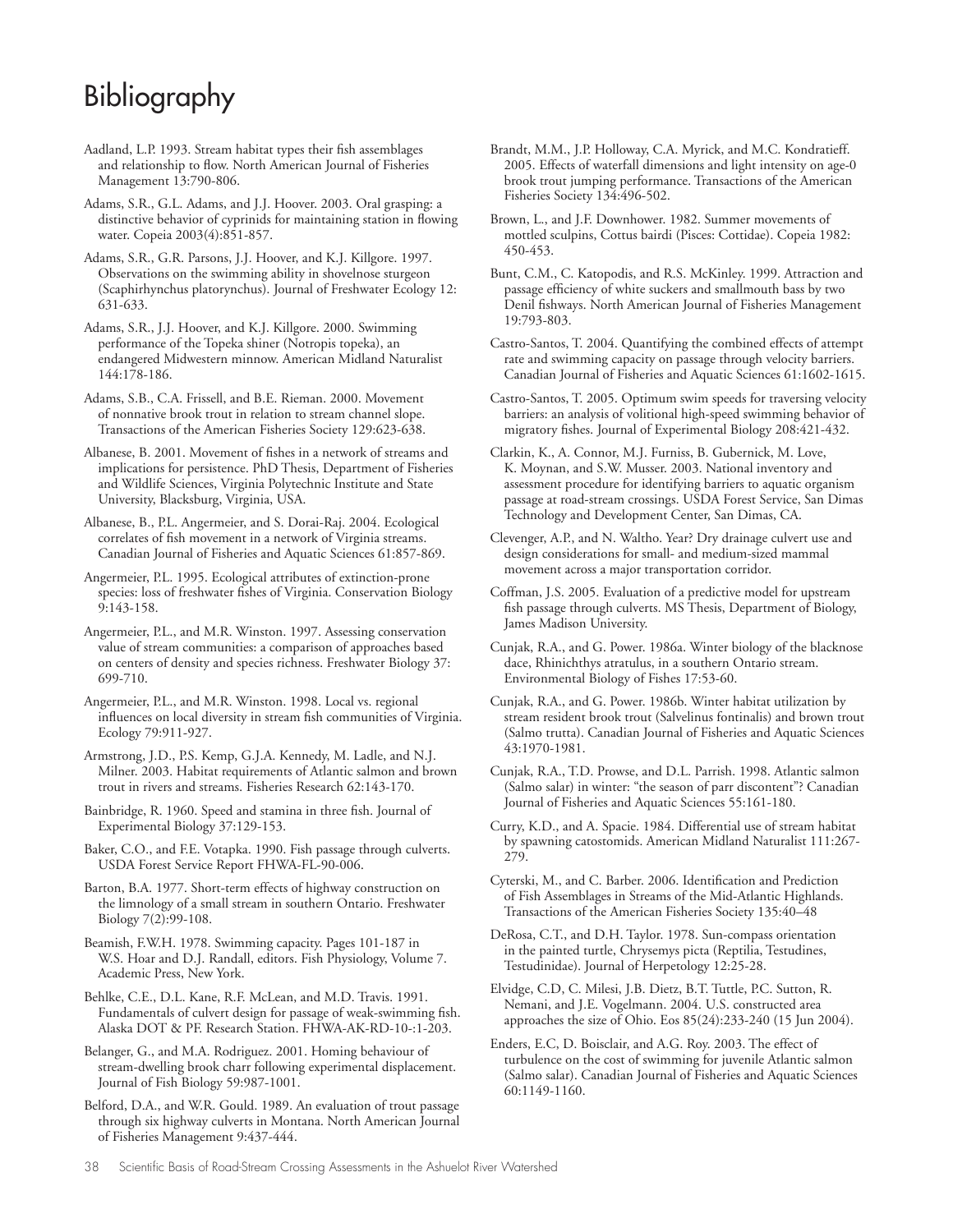# Bibliography

Aadland, L.P. 1993. Stream habitat types their fish assemblages and relationship to flow. North American Journal of Fisheries Management 13:790-806.

Adams, S.R., G.L. Adams, and J.J. Hoover. 2003. Oral grasping: a distinctive behavior of cyprinids for maintaining station in flowing water. Copeia 2003(4):851-857.

Adams, S.R., G.R. Parsons, J.J. Hoover, and K.J. Killgore. 1997. Observations on the swimming ability in shovelnose sturgeon (Scaphirhynchus platorynchus). Journal of Freshwater Ecology 12: 631-633.

Adams, S.R., J.J. Hoover, and K.J. Killgore. 2000. Swimming performance of the Topeka shiner (Notropis topeka), an endangered Midwestern minnow. American Midland Naturalist 144:178-186.

Adams, S.B., C.A. Frissell, and B.E. Rieman. 2000. Movement of nonnative brook trout in relation to stream channel slope. Transactions of the American Fisheries Society 129:623-638.

Albanese, B. 2001. Movement of fishes in a network of streams and implications for persistence. PhD Thesis, Department of Fisheries and Wildlife Sciences, Virginia Polytechnic Institute and State University, Blacksburg, Virginia, USA.

Albanese, B., P.L. Angermeier, and S. Dorai-Raj. 2004. Ecological correlates of fish movement in a network of Virginia streams. Canadian Journal of Fisheries and Aquatic Sciences 61:857-869.

Angermeier, P.L. 1995. Ecological attributes of extinction-prone species: loss of freshwater fishes of Virginia. Conservation Biology 9:143-158.

Angermeier, P.L., and M.R. Winston. 1997. Assessing conservation value of stream communities: a comparison of approaches based on centers of density and species richness. Freshwater Biology 37: 699-710.

Angermeier, P.L., and M.R. Winston. 1998. Local vs. regional influences on local diversity in stream fish communities of Virginia. Ecology 79:911-927.

Armstrong, J.D., P.S. Kemp, G.J.A. Kennedy, M. Ladle, and N.J. Milner. 2003. Habitat requirements of Atlantic salmon and brown trout in rivers and streams. Fisheries Research 62:143-170.

Bainbridge, R. 1960. Speed and stamina in three fish. Journal of Experimental Biology 37:129-153.

Baker, C.O., and F.E. Votapka. 1990. Fish passage through culverts. USDA Forest Service Report FHWA-FL-90-006.

Barton, B.A. 1977. Short-term effects of highway construction on the limnology of a small stream in southern Ontario. Freshwater Biology 7(2):99-108.

Beamish, F.W.H. 1978. Swimming capacity. Pages 101-187 in W.S. Hoar and D.J. Randall, editors. Fish Physiology, Volume 7. Academic Press, New York.

Behlke, C.E., D.L. Kane, R.F. McLean, and M.D. Travis. 1991. Fundamentals of culvert design for passage of weak-swimming fish. Alaska DOT & PF. Research Station. FHWA-AK-RD-10-:1-203.

Belanger, G., and M.A. Rodriguez. 2001. Homing behaviour of stream-dwelling brook charr following experimental displacement. Journal of Fish Biology 59:987-1001.

Belford, D.A., and W.R. Gould. 1989. An evaluation of trout passage through six highway culverts in Montana. North American Journal of Fisheries Management 9:437-444.

Brandt, M.M., J.P. Holloway, C.A. Myrick, and M.C. Kondratieff. 2005. Effects of waterfall dimensions and light intensity on age-0 brook trout jumping performance. Transactions of the American Fisheries Society 134:496-502.

Brown, L., and J.F. Downhower. 1982. Summer movements of mottled sculpins, Cottus bairdi (Pisces: Cottidae). Copeia 1982: 450-453.

Bunt, C.M., C. Katopodis, and R.S. McKinley. 1999. Attraction and passage efficiency of white suckers and smallmouth bass by two Denil fishways. North American Journal of Fisheries Management 19:793-803.

Castro-Santos, T. 2004. Quantifying the combined effects of attempt rate and swimming capacity on passage through velocity barriers. Canadian Journal of Fisheries and Aquatic Sciences 61:1602-1615.

Castro-Santos, T. 2005. Optimum swim speeds for traversing velocity barriers: an analysis of volitional high-speed swimming behavior of migratory fishes. Journal of Experimental Biology 208:421-432.

Clarkin, K., A. Connor, M.J. Furniss, B. Gubernick, M. Love, K. Moynan, and S.W. Musser. 2003. National inventory and assessment procedure for identifying barriers to aquatic organism passage at road-stream crossings. USDA Forest Service, San Dimas Technology and Development Center, San Dimas, CA.

Clevenger, A.P., and N. Waltho. Year? Dry drainage culvert use and design considerations for small- and medium-sized mammal movement across a major transportation corridor.

Coffman, J.S. 2005. Evaluation of a predictive model for upstream fish passage through culverts. MS Thesis, Department of Biology, James Madison University.

Cunjak, R.A., and G. Power. 1986a. Winter biology of the blacknose dace, Rhinichthys atratulus, in a southern Ontario stream. Environmental Biology of Fishes 17:53-60.

Cunjak, R.A., and G. Power. 1986b. Winter habitat utilization by stream resident brook trout (Salvelinus fontinalis) and brown trout (Salmo trutta). Canadian Journal of Fisheries and Aquatic Sciences 43:1970-1981.

Cunjak, R.A., T.D. Prowse, and D.L. Parrish. 1998. Atlantic salmon (Salmo salar) in winter: "the season of parr discontent"? Canadian Journal of Fisheries and Aquatic Sciences 55:161-180.

Curry, K.D., and A. Spacie. 1984. Differential use of stream habitat by spawning catostomids. American Midland Naturalist 111:267- 279.

Cyterski, M., and C. Barber. 2006. Identification and Prediction of Fish Assemblages in Streams of the Mid-Atlantic Highlands. Transactions of the American Fisheries Society 135:40–48

DeRosa, C.T., and D.H. Taylor. 1978. Sun-compass orientation in the painted turtle, Chrysemys picta (Reptilia, Testudines, Testudinidae). Journal of Herpetology 12:25-28.

Elvidge, C.D, C. Milesi, J.B. Dietz, B.T. Tuttle, P.C. Sutton, R. Nemani, and J.E. Vogelmann. 2004. U.S. constructed area approaches the size of Ohio. Eos 85(24):233-240 (15 Jun 2004).

Enders, E.C, D. Boisclair, and A.G. Roy. 2003. The effect of turbulence on the cost of swimming for juvenile Atlantic salmon (Salmo salar). Canadian Journal of Fisheries and Aquatic Sciences 60:1149-1160.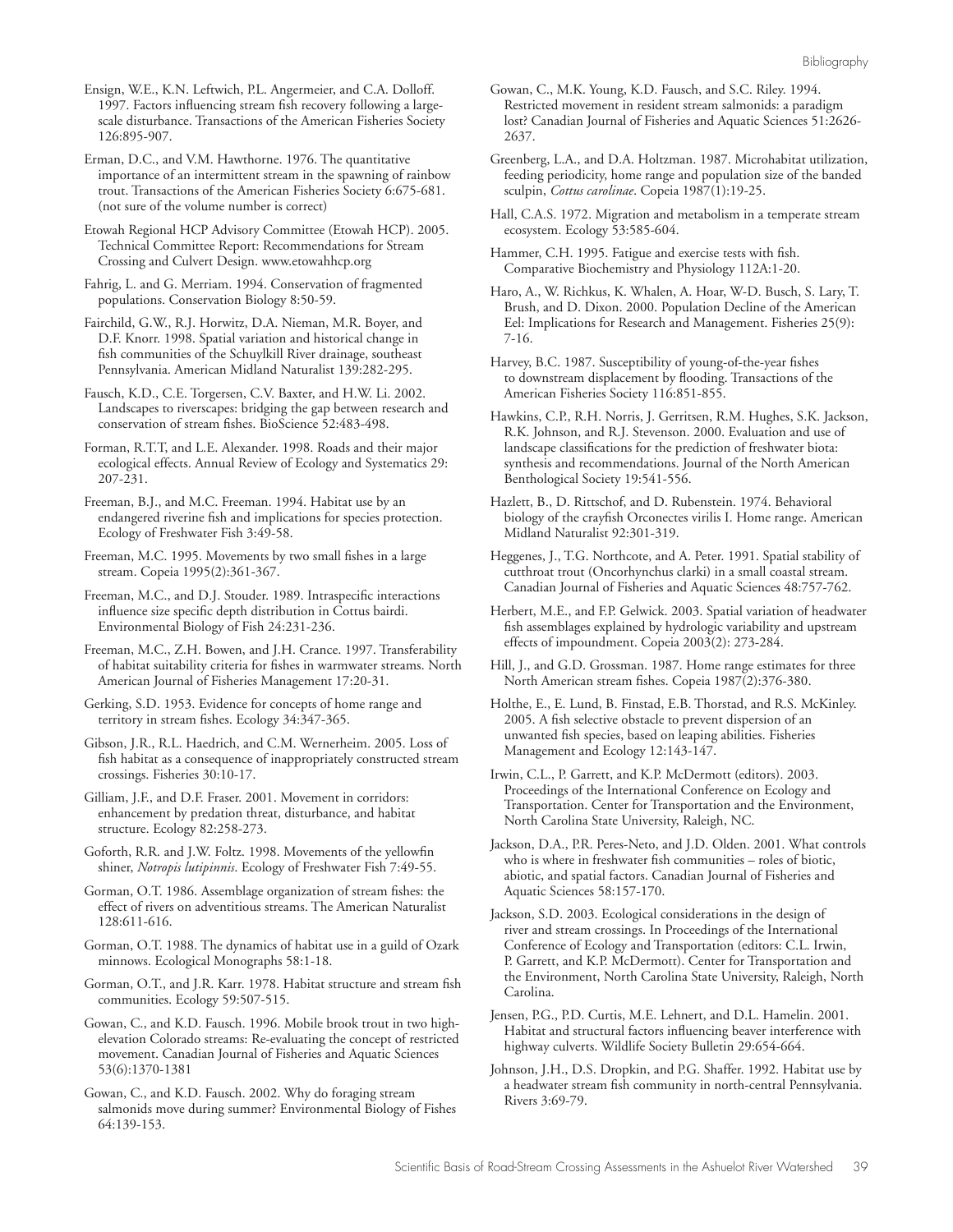Ensign, W.E., K.N. Leftwich, P.L. Angermeier, and C.A. Dolloff. 1997. Factors influencing stream fish recovery following a largescale disturbance. Transactions of the American Fisheries Society 126:895-907.

Erman, D.C., and V.M. Hawthorne. 1976. The quantitative importance of an intermittent stream in the spawning of rainbow trout. Transactions of the American Fisheries Society 6:675-681. (not sure of the volume number is correct)

Etowah Regional HCP Advisory Committee (Etowah HCP). 2005. Technical Committee Report: Recommendations for Stream Crossing and Culvert Design. www.etowahhcp.org

Fahrig, L. and G. Merriam. 1994. Conservation of fragmented populations. Conservation Biology 8:50-59.

Fairchild, G.W., R.J. Horwitz, D.A. Nieman, M.R. Boyer, and D.F. Knorr. 1998. Spatial variation and historical change in fish communities of the Schuylkill River drainage, southeast Pennsylvania. American Midland Naturalist 139:282-295.

Fausch, K.D., C.E. Torgersen, C.V. Baxter, and H.W. Li. 2002. Landscapes to riverscapes: bridging the gap between research and conservation of stream fishes. BioScience 52:483-498.

Forman, R.T.T, and L.E. Alexander. 1998. Roads and their major ecological effects. Annual Review of Ecology and Systematics 29: 207-231.

Freeman, B.J., and M.C. Freeman. 1994. Habitat use by an endangered riverine fish and implications for species protection. Ecology of Freshwater Fish 3:49-58.

Freeman, M.C. 1995. Movements by two small fishes in a large stream. Copeia 1995(2):361-367.

Freeman, M.C., and D.J. Stouder. 1989. Intraspecific interactions influence size specific depth distribution in Cottus bairdi. Environmental Biology of Fish 24:231-236.

Freeman, M.C., Z.H. Bowen, and J.H. Crance. 1997. Transferability of habitat suitability criteria for fishes in warmwater streams. North American Journal of Fisheries Management 17:20-31.

Gerking, S.D. 1953. Evidence for concepts of home range and territory in stream fishes. Ecology 34:347-365.

Gibson, J.R., R.L. Haedrich, and C.M. Wernerheim. 2005. Loss of fish habitat as a consequence of inappropriately constructed stream crossings. Fisheries 30:10-17.

Gilliam, J.F., and D.F. Fraser. 2001. Movement in corridors: enhancement by predation threat, disturbance, and habitat structure. Ecology 82:258-273.

Goforth, R.R. and J.W. Foltz. 1998. Movements of the yellowfin shiner, *Notropis lutipinnis*. Ecology of Freshwater Fish 7:49-55.

Gorman, O.T. 1986. Assemblage organization of stream fishes: the effect of rivers on adventitious streams. The American Naturalist 128:611-616.

Gorman, O.T. 1988. The dynamics of habitat use in a guild of Ozark minnows. Ecological Monographs 58:1-18.

Gorman, O.T., and J.R. Karr. 1978. Habitat structure and stream fish communities. Ecology 59:507-515.

Gowan, C., and K.D. Fausch. 1996. Mobile brook trout in two highelevation Colorado streams: Re-evaluating the concept of restricted movement. Canadian Journal of Fisheries and Aquatic Sciences 53(6):1370-1381

Gowan, C., and K.D. Fausch. 2002. Why do foraging stream salmonids move during summer? Environmental Biology of Fishes 64:139-153.

Gowan, C., M.K. Young, K.D. Fausch, and S.C. Riley. 1994. Restricted movement in resident stream salmonids: a paradigm lost? Canadian Journal of Fisheries and Aquatic Sciences 51:2626- 2637.

- Greenberg, L.A., and D.A. Holtzman. 1987. Microhabitat utilization, feeding periodicity, home range and population size of the banded sculpin, *Cottus carolinae*. Copeia 1987(1):19-25.
- Hall, C.A.S. 1972. Migration and metabolism in a temperate stream ecosystem. Ecology 53:585-604.
- Hammer, C.H. 1995. Fatigue and exercise tests with fish. Comparative Biochemistry and Physiology 112A:1-20.

Haro, A., W. Richkus, K. Whalen, A. Hoar, W-D. Busch, S. Lary, T. Brush, and D. Dixon. 2000. Population Decline of the American Eel: Implications for Research and Management. Fisheries 25(9): 7-16.

Harvey, B.C. 1987. Susceptibility of young-of-the-year fishes to downstream displacement by flooding. Transactions of the American Fisheries Society 116:851-855.

Hawkins, C.P., R.H. Norris, J. Gerritsen, R.M. Hughes, S.K. Jackson, R.K. Johnson, and R.J. Stevenson. 2000. Evaluation and use of landscape classifications for the prediction of freshwater biota: synthesis and recommendations. Journal of the North American Benthological Society 19:541-556.

Hazlett, B., D. Rittschof, and D. Rubenstein. 1974. Behavioral biology of the crayfish Orconectes virilis I. Home range. American Midland Naturalist 92:301-319.

Heggenes, J., T.G. Northcote, and A. Peter. 1991. Spatial stability of cutthroat trout (Oncorhynchus clarki) in a small coastal stream. Canadian Journal of Fisheries and Aquatic Sciences 48:757-762.

Herbert, M.E., and F.P. Gelwick. 2003. Spatial variation of headwater fish assemblages explained by hydrologic variability and upstream effects of impoundment. Copeia 2003(2): 273-284.

Hill, J., and G.D. Grossman. 1987. Home range estimates for three North American stream fishes. Copeia 1987(2):376-380.

Holthe, E., E. Lund, B. Finstad, E.B. Thorstad, and R.S. McKinley. 2005. A fish selective obstacle to prevent dispersion of an unwanted fish species, based on leaping abilities. Fisheries Management and Ecology 12:143-147.

Irwin, C.L., P. Garrett, and K.P. McDermott (editors). 2003. Proceedings of the International Conference on Ecology and Transportation. Center for Transportation and the Environment, North Carolina State University, Raleigh, NC.

Jackson, D.A., P.R. Peres-Neto, and J.D. Olden. 2001. What controls who is where in freshwater fish communities – roles of biotic, abiotic, and spatial factors. Canadian Journal of Fisheries and Aquatic Sciences 58:157-170.

Jackson, S.D. 2003. Ecological considerations in the design of river and stream crossings. In Proceedings of the International Conference of Ecology and Transportation (editors: C.L. Irwin, P. Garrett, and K.P. McDermott). Center for Transportation and the Environment, North Carolina State University, Raleigh, North Carolina.

Jensen, P.G., P.D. Curtis, M.E. Lehnert, and D.L. Hamelin. 2001. Habitat and structural factors influencing beaver interference with highway culverts. Wildlife Society Bulletin 29:654-664.

Johnson, J.H., D.S. Dropkin, and P.G. Shaffer. 1992. Habitat use by a headwater stream fish community in north-central Pennsylvania. Rivers 3:69-79.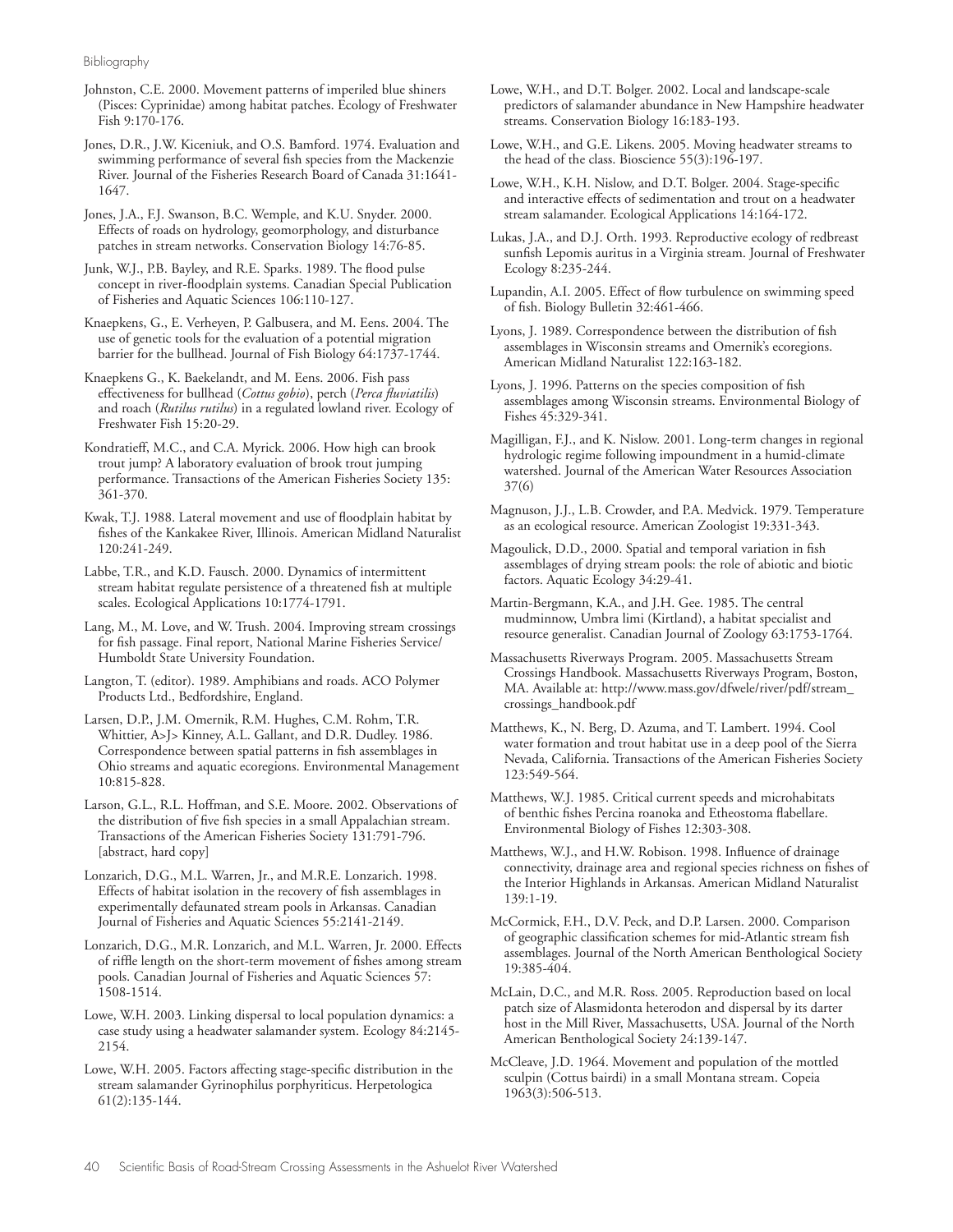Bibliography

Johnston, C.E. 2000. Movement patterns of imperiled blue shiners (Pisces: Cyprinidae) among habitat patches. Ecology of Freshwater Fish 9:170-176.

Jones, D.R., J.W. Kiceniuk, and O.S. Bamford. 1974. Evaluation and swimming performance of several fish species from the Mackenzie River. Journal of the Fisheries Research Board of Canada 31:1641- 1647.

Jones, J.A., F.J. Swanson, B.C. Wemple, and K.U. Snyder. 2000. Effects of roads on hydrology, geomorphology, and disturbance patches in stream networks. Conservation Biology 14:76-85.

Junk, W.J., P.B. Bayley, and R.E. Sparks. 1989. The flood pulse concept in river-floodplain systems. Canadian Special Publication of Fisheries and Aquatic Sciences 106:110-127.

Knaepkens, G., E. Verheyen, P. Galbusera, and M. Eens. 2004. The use of genetic tools for the evaluation of a potential migration barrier for the bullhead. Journal of Fish Biology 64:1737-1744.

Knaepkens G., K. Baekelandt, and M. Eens. 2006. Fish pass effectiveness for bullhead (*Cottus gobio*), perch (*Perca fluviatilis*) and roach (*Rutilus rutilus*) in a regulated lowland river. Ecology of Freshwater Fish 15:20-29.

Kondratieff, M.C., and C.A. Myrick. 2006. How high can brook trout jump? A laboratory evaluation of brook trout jumping performance. Transactions of the American Fisheries Society 135: 361-370.

Kwak, T.J. 1988. Lateral movement and use of floodplain habitat by fishes of the Kankakee River, Illinois. American Midland Naturalist 120:241-249.

Labbe, T.R., and K.D. Fausch. 2000. Dynamics of intermittent stream habitat regulate persistence of a threatened fish at multiple scales. Ecological Applications 10:1774-1791.

Lang, M., M. Love, and W. Trush. 2004. Improving stream crossings for fish passage. Final report, National Marine Fisheries Service/ Humboldt State University Foundation.

Langton, T. (editor). 1989. Amphibians and roads. ACO Polymer Products Ltd., Bedfordshire, England.

Larsen, D.P., J.M. Omernik, R.M. Hughes, C.M. Rohm, T.R. Whittier, A>J> Kinney, A.L. Gallant, and D.R. Dudley. 1986. Correspondence between spatial patterns in fish assemblages in Ohio streams and aquatic ecoregions. Environmental Management 10:815-828.

Larson, G.L., R.L. Hoffman, and S.E. Moore. 2002. Observations of the distribution of five fish species in a small Appalachian stream. Transactions of the American Fisheries Society 131:791-796. [abstract, hard copy]

Lonzarich, D.G., M.L. Warren, Jr., and M.R.E. Lonzarich. 1998. Effects of habitat isolation in the recovery of fish assemblages in experimentally defaunated stream pools in Arkansas. Canadian Journal of Fisheries and Aquatic Sciences 55:2141-2149.

Lonzarich, D.G., M.R. Lonzarich, and M.L. Warren, Jr. 2000. Effects of riffle length on the short-term movement of fishes among stream pools. Canadian Journal of Fisheries and Aquatic Sciences 57: 1508-1514.

Lowe, W.H. 2003. Linking dispersal to local population dynamics: a case study using a headwater salamander system. Ecology 84:2145- 2154.

Lowe, W.H. 2005. Factors affecting stage-specific distribution in the stream salamander Gyrinophilus porphyriticus. Herpetologica 61(2):135-144.

Lowe, W.H., and D.T. Bolger. 2002. Local and landscape-scale predictors of salamander abundance in New Hampshire headwater streams. Conservation Biology 16:183-193.

Lowe, W.H., and G.E. Likens. 2005. Moving headwater streams to the head of the class. Bioscience 55(3):196-197.

Lowe, W.H., K.H. Nislow, and D.T. Bolger. 2004. Stage-specific and interactive effects of sedimentation and trout on a headwater stream salamander. Ecological Applications 14:164-172.

Lukas, J.A., and D.J. Orth. 1993. Reproductive ecology of redbreast sunfish Lepomis auritus in a Virginia stream. Journal of Freshwater Ecology 8:235-244.

Lupandin, A.I. 2005. Effect of flow turbulence on swimming speed of fish. Biology Bulletin 32:461-466.

Lyons, J. 1989. Correspondence between the distribution of fish assemblages in Wisconsin streams and Omernik's ecoregions. American Midland Naturalist 122:163-182.

Lyons, J. 1996. Patterns on the species composition of fish assemblages among Wisconsin streams. Environmental Biology of Fishes 45:329-341.

Magilligan, F.J., and K. Nislow. 2001. Long-term changes in regional hydrologic regime following impoundment in a humid-climate watershed. Journal of the American Water Resources Association 37(6)

Magnuson, J.J., L.B. Crowder, and P.A. Medvick. 1979. Temperature as an ecological resource. American Zoologist 19:331-343.

Magoulick, D.D., 2000. Spatial and temporal variation in fish assemblages of drying stream pools: the role of abiotic and biotic factors. Aquatic Ecology 34:29-41.

Martin-Bergmann, K.A., and J.H. Gee. 1985. The central mudminnow, Umbra limi (Kirtland), a habitat specialist and resource generalist. Canadian Journal of Zoology 63:1753-1764.

Massachusetts Riverways Program. 2005. Massachusetts Stream Crossings Handbook. Massachusetts Riverways Program, Boston, MA. Available at: http://www.mass.gov/dfwele/river/pdf/stream\_ crossings\_handbook.pdf

Matthews, K., N. Berg, D. Azuma, and T. Lambert. 1994. Cool water formation and trout habitat use in a deep pool of the Sierra Nevada, California. Transactions of the American Fisheries Society 123:549-564.

Matthews, W.J. 1985. Critical current speeds and microhabitats of benthic fishes Percina roanoka and Etheostoma flabellare. Environmental Biology of Fishes 12:303-308.

Matthews, W.J., and H.W. Robison. 1998. Influence of drainage connectivity, drainage area and regional species richness on fishes of the Interior Highlands in Arkansas. American Midland Naturalist 139:1-19.

McCormick, F.H., D.V. Peck, and D.P. Larsen. 2000. Comparison of geographic classification schemes for mid-Atlantic stream fish assemblages. Journal of the North American Benthological Society 19:385-404.

McLain, D.C., and M.R. Ross. 2005. Reproduction based on local patch size of Alasmidonta heterodon and dispersal by its darter host in the Mill River, Massachusetts, USA. Journal of the North American Benthological Society 24:139-147.

McCleave, J.D. 1964. Movement and population of the mottled sculpin (Cottus bairdi) in a small Montana stream. Copeia 1963(3):506-513.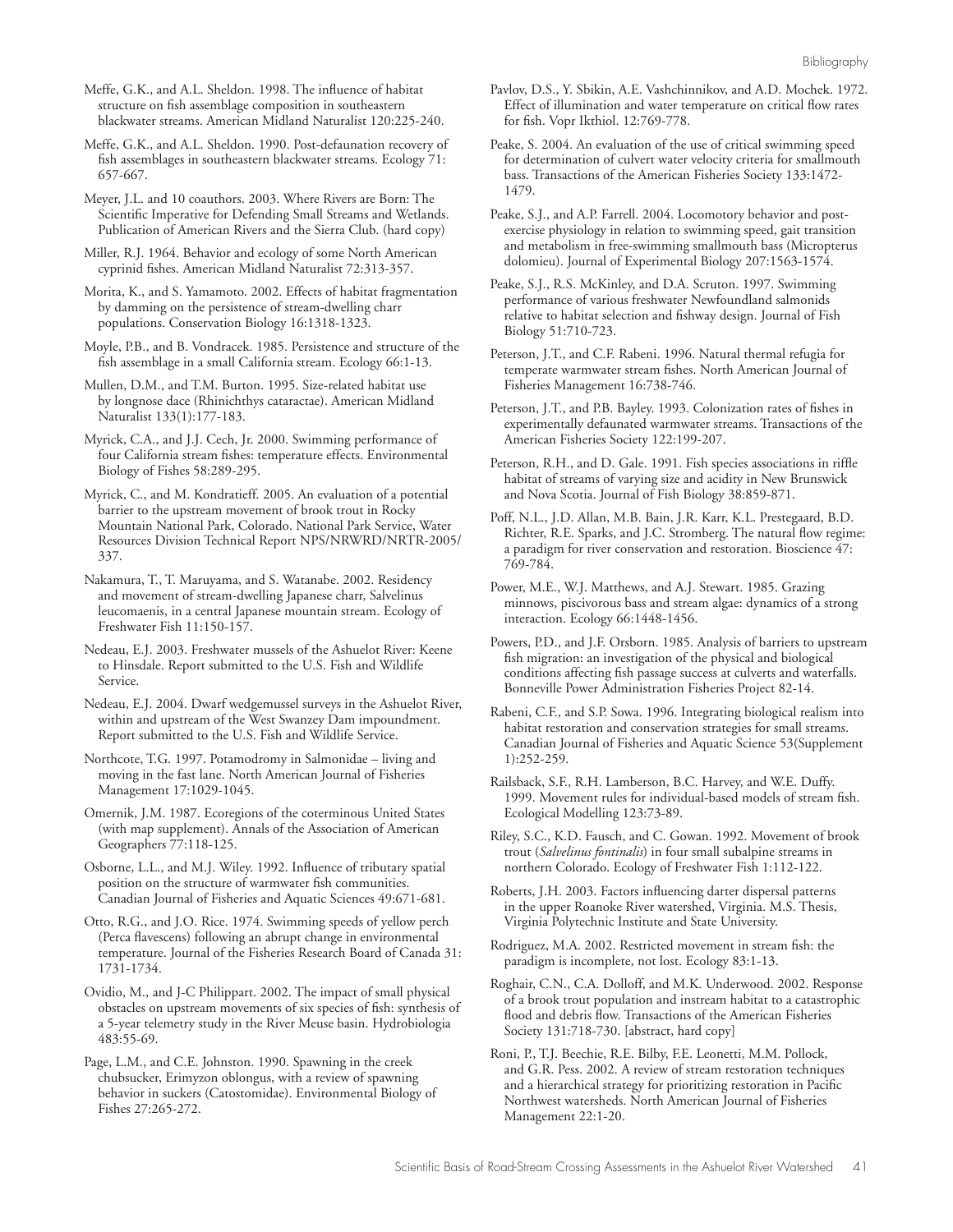Meffe, G.K., and A.L. Sheldon. 1998. The influence of habitat structure on fish assemblage composition in southeastern blackwater streams. American Midland Naturalist 120:225-240.

Meffe, G.K., and A.L. Sheldon. 1990. Post-defaunation recovery of fish assemblages in southeastern blackwater streams. Ecology 71: 657-667.

Meyer, J.L. and 10 coauthors. 2003. Where Rivers are Born: The Scientific Imperative for Defending Small Streams and Wetlands. Publication of American Rivers and the Sierra Club. (hard copy)

Miller, R.J. 1964. Behavior and ecology of some North American cyprinid fishes. American Midland Naturalist 72:313-357.

Morita, K., and S. Yamamoto. 2002. Effects of habitat fragmentation by damming on the persistence of stream-dwelling charr populations. Conservation Biology 16:1318-1323.

Moyle, P.B., and B. Vondracek. 1985. Persistence and structure of the fish assemblage in a small California stream. Ecology 66:1-13.

Mullen, D.M., and T.M. Burton. 1995. Size-related habitat use by longnose dace (Rhinichthys cataractae). American Midland Naturalist 133(1):177-183.

Myrick, C.A., and J.J. Cech, Jr. 2000. Swimming performance of four California stream fishes: temperature effects. Environmental Biology of Fishes 58:289-295.

Myrick, C., and M. Kondratieff. 2005. An evaluation of a potential barrier to the upstream movement of brook trout in Rocky Mountain National Park, Colorado. National Park Service, Water Resources Division Technical Report NPS/NRWRD/NRTR-2005/ 337.

Nakamura, T., T. Maruyama, and S. Watanabe. 2002. Residency and movement of stream-dwelling Japanese charr, Salvelinus leucomaenis, in a central Japanese mountain stream. Ecology of Freshwater Fish 11:150-157.

Nedeau, E.J. 2003. Freshwater mussels of the Ashuelot River: Keene to Hinsdale. Report submitted to the U.S. Fish and Wildlife Service.

Nedeau, E.J. 2004. Dwarf wedgemussel surveys in the Ashuelot River, within and upstream of the West Swanzey Dam impoundment. Report submitted to the U.S. Fish and Wildlife Service.

Northcote, T.G. 1997. Potamodromy in Salmonidae – living and moving in the fast lane. North American Journal of Fisheries Management 17:1029-1045.

Omernik, J.M. 1987. Ecoregions of the coterminous United States (with map supplement). Annals of the Association of American Geographers 77:118-125.

Osborne, L.L., and M.J. Wiley. 1992. Influence of tributary spatial position on the structure of warmwater fish communities. Canadian Journal of Fisheries and Aquatic Sciences 49:671-681.

Otto, R.G., and J.O. Rice. 1974. Swimming speeds of yellow perch (Perca flavescens) following an abrupt change in environmental temperature. Journal of the Fisheries Research Board of Canada 31: 1731-1734.

Ovidio, M., and J-C Philippart. 2002. The impact of small physical obstacles on upstream movements of six species of fish: synthesis of a 5-year telemetry study in the River Meuse basin. Hydrobiologia 483:55-69.

Page, L.M., and C.E. Johnston. 1990. Spawning in the creek chubsucker, Erimyzon oblongus, with a review of spawning behavior in suckers (Catostomidae). Environmental Biology of Fishes 27:265-272.

Pavlov, D.S., Y. Sbikin, A.E. Vashchinnikov, and A.D. Mochek. 1972. Effect of illumination and water temperature on critical flow rates for fish. Vopr Ikthiol. 12:769-778.

Peake, S. 2004. An evaluation of the use of critical swimming speed for determination of culvert water velocity criteria for smallmouth bass. Transactions of the American Fisheries Society 133:1472- 1479.

Peake, S.J., and A.P. Farrell. 2004. Locomotory behavior and postexercise physiology in relation to swimming speed, gait transition and metabolism in free-swimming smallmouth bass (Micropterus dolomieu). Journal of Experimental Biology 207:1563-1574.

Peake, S.J., R.S. McKinley, and D.A. Scruton. 1997. Swimming performance of various freshwater Newfoundland salmonids relative to habitat selection and fishway design. Journal of Fish Biology 51:710-723.

Peterson, J.T., and C.F. Rabeni. 1996. Natural thermal refugia for temperate warmwater stream fishes. North American Journal of Fisheries Management 16:738-746.

Peterson, J.T., and P.B. Bayley. 1993. Colonization rates of fishes in experimentally defaunated warmwater streams. Transactions of the American Fisheries Society 122:199-207.

Peterson, R.H., and D. Gale. 1991. Fish species associations in riffle habitat of streams of varying size and acidity in New Brunswick and Nova Scotia. Journal of Fish Biology 38:859-871.

Poff, N.L., J.D. Allan, M.B. Bain, J.R. Karr, K.L. Prestegaard, B.D. Richter, R.E. Sparks, and J.C. Stromberg. The natural flow regime: a paradigm for river conservation and restoration. Bioscience 47: 769-784.

Power, M.E., W.J. Matthews, and A.J. Stewart. 1985. Grazing minnows, piscivorous bass and stream algae: dynamics of a strong interaction. Ecology 66:1448-1456.

Powers, P.D., and J.F. Orsborn. 1985. Analysis of barriers to upstream fish migration: an investigation of the physical and biological conditions affecting fish passage success at culverts and waterfalls. Bonneville Power Administration Fisheries Project 82-14.

Rabeni, C.F., and S.P. Sowa. 1996. Integrating biological realism into habitat restoration and conservation strategies for small streams. Canadian Journal of Fisheries and Aquatic Science 53(Supplement 1):252-259.

Railsback, S.F., R.H. Lamberson, B.C. Harvey, and W.E. Duffy. 1999. Movement rules for individual-based models of stream fish. Ecological Modelling 123:73-89.

Riley, S.C., K.D. Fausch, and C. Gowan. 1992. Movement of brook trout (*Salvelinus fontinalis*) in four small subalpine streams in northern Colorado. Ecology of Freshwater Fish 1:112-122.

Roberts, J.H. 2003. Factors influencing darter dispersal patterns in the upper Roanoke River watershed, Virginia. M.S. Thesis, Virginia Polytechnic Institute and State University.

Rodriguez, M.A. 2002. Restricted movement in stream fish: the paradigm is incomplete, not lost. Ecology 83:1-13.

Roghair, C.N., C.A. Dolloff, and M.K. Underwood. 2002. Response of a brook trout population and instream habitat to a catastrophic flood and debris flow. Transactions of the American Fisheries Society 131:718-730. [abstract, hard copy]

Roni, P., T.J. Beechie, R.E. Bilby, F.E. Leonetti, M.M. Pollock, and G.R. Pess. 2002. A review of stream restoration techniques and a hierarchical strategy for prioritizing restoration in Pacific Northwest watersheds. North American Journal of Fisheries Management 22:1-20.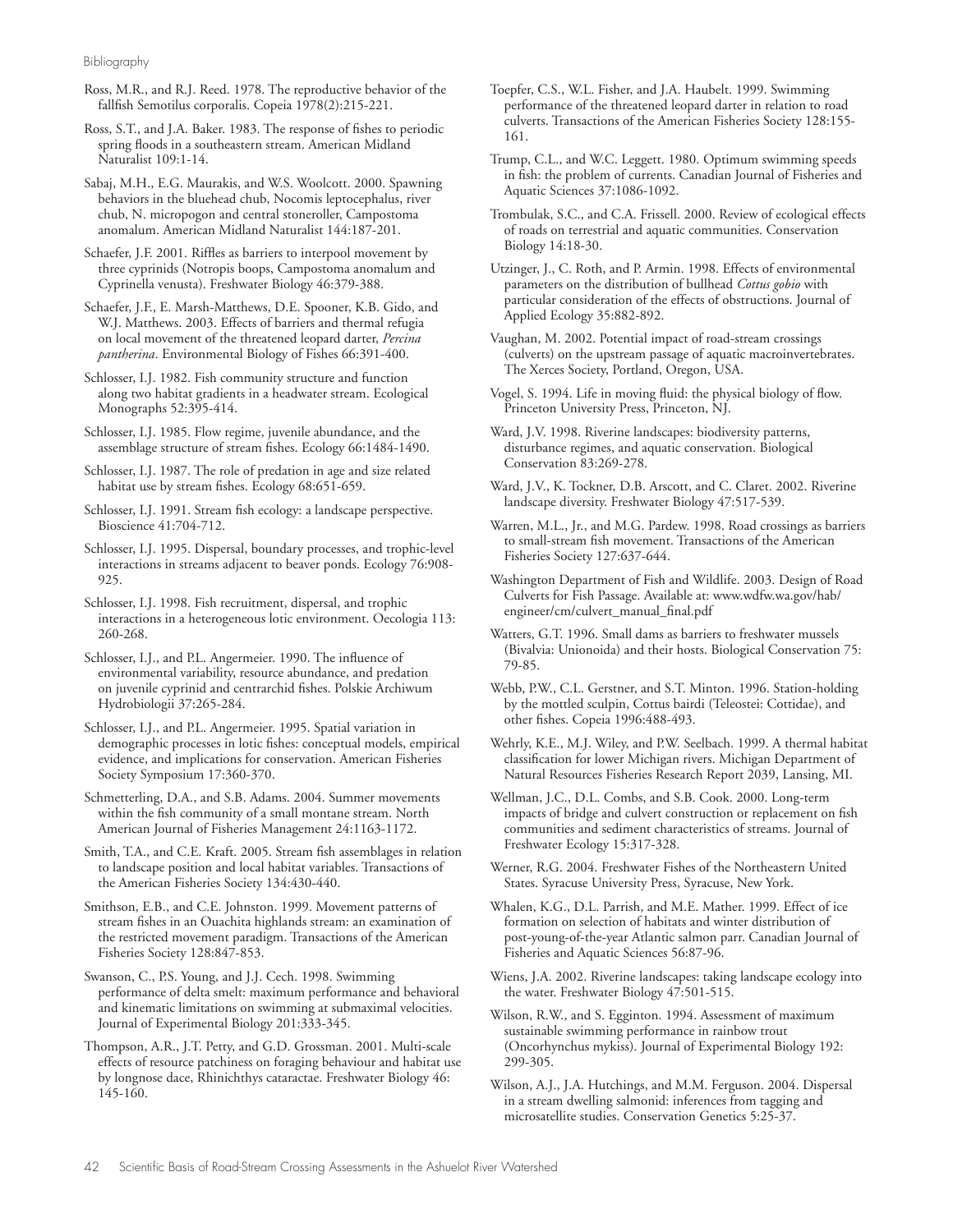Bibliography

Ross, M.R., and R.J. Reed. 1978. The reproductive behavior of the fallfish Semotilus corporalis. Copeia 1978(2):215-221.

Ross, S.T., and J.A. Baker. 1983. The response of fishes to periodic spring floods in a southeastern stream. American Midland Naturalist 109:1-14.

Sabaj, M.H., E.G. Maurakis, and W.S. Woolcott. 2000. Spawning behaviors in the bluehead chub, Nocomis leptocephalus, river chub, N. micropogon and central stoneroller, Campostoma anomalum. American Midland Naturalist 144:187-201.

Schaefer, J.F. 2001. Riffles as barriers to interpool movement by three cyprinids (Notropis boops, Campostoma anomalum and Cyprinella venusta). Freshwater Biology 46:379-388.

Schaefer, J.F., E. Marsh-Matthews, D.E. Spooner, K.B. Gido, and W.J. Matthews. 2003. Effects of barriers and thermal refugia on local movement of the threatened leopard darter, *Percina pantherina*. Environmental Biology of Fishes 66:391-400.

Schlosser, I.J. 1982. Fish community structure and function along two habitat gradients in a headwater stream. Ecological Monographs 52:395-414.

Schlosser, I.J. 1985. Flow regime, juvenile abundance, and the assemblage structure of stream fishes. Ecology 66:1484-1490.

Schlosser, I.J. 1987. The role of predation in age and size related habitat use by stream fishes. Ecology 68:651-659.

- Schlosser, I.J. 1991. Stream fish ecology: a landscape perspective. Bioscience 41:704-712.
- Schlosser, I.J. 1995. Dispersal, boundary processes, and trophic-level interactions in streams adjacent to beaver ponds. Ecology 76:908- 925.

Schlosser, I.J. 1998. Fish recruitment, dispersal, and trophic interactions in a heterogeneous lotic environment. Oecologia 113: 260-268.

Schlosser, I.J., and P.L. Angermeier. 1990. The influence of environmental variability, resource abundance, and predation on juvenile cyprinid and centrarchid fishes. Polskie Archiwum Hydrobiologii 37:265-284.

Schlosser, I.J., and P.L. Angermeier. 1995. Spatial variation in demographic processes in lotic fishes: conceptual models, empirical evidence, and implications for conservation. American Fisheries Society Symposium 17:360-370.

Schmetterling, D.A., and S.B. Adams. 2004. Summer movements within the fish community of a small montane stream. North American Journal of Fisheries Management 24:1163-1172.

Smith, T.A., and C.E. Kraft. 2005. Stream fish assemblages in relation to landscape position and local habitat variables. Transactions of the American Fisheries Society 134:430-440.

Smithson, E.B., and C.E. Johnston. 1999. Movement patterns of stream fishes in an Ouachita highlands stream: an examination of the restricted movement paradigm. Transactions of the American Fisheries Society 128:847-853.

Swanson, C., P.S. Young, and J.J. Cech. 1998. Swimming performance of delta smelt: maximum performance and behavioral and kinematic limitations on swimming at submaximal velocities. Journal of Experimental Biology 201:333-345.

Thompson, A.R., J.T. Petty, and G.D. Grossman. 2001. Multi-scale effects of resource patchiness on foraging behaviour and habitat use by longnose dace, Rhinichthys cataractae. Freshwater Biology 46: 145-160.

- Toepfer, C.S., W.L. Fisher, and J.A. Haubelt. 1999. Swimming performance of the threatened leopard darter in relation to road culverts. Transactions of the American Fisheries Society 128:155- 161.
- Trump, C.L., and W.C. Leggett. 1980. Optimum swimming speeds in fish: the problem of currents. Canadian Journal of Fisheries and Aquatic Sciences 37:1086-1092.
- Trombulak, S.C., and C.A. Frissell. 2000. Review of ecological effects of roads on terrestrial and aquatic communities. Conservation Biology 14:18-30.

Utzinger, J., C. Roth, and P. Armin. 1998. Effects of environmental parameters on the distribution of bullhead *Cottus gobio* with particular consideration of the effects of obstructions. Journal of Applied Ecology 35:882-892.

Vaughan, M. 2002. Potential impact of road-stream crossings (culverts) on the upstream passage of aquatic macroinvertebrates. The Xerces Society, Portland, Oregon, USA.

Vogel, S. 1994. Life in moving fluid: the physical biology of flow. Princeton University Press, Princeton, NJ.

Ward, J.V. 1998. Riverine landscapes: biodiversity patterns, disturbance regimes, and aquatic conservation. Biological Conservation 83:269-278.

Ward, J.V., K. Tockner, D.B. Arscott, and C. Claret. 2002. Riverine landscape diversity. Freshwater Biology 47:517-539.

Warren, M.L., Jr., and M.G. Pardew. 1998. Road crossings as barriers to small-stream fish movement. Transactions of the American Fisheries Society 127:637-644.

Washington Department of Fish and Wildlife. 2003. Design of Road Culverts for Fish Passage. Available at: www.wdfw.wa.gov/hab/ engineer/cm/culvert\_manual\_final.pdf

Watters, G.T. 1996. Small dams as barriers to freshwater mussels (Bivalvia: Unionoida) and their hosts. Biological Conservation 75: 79-85.

Webb, P.W., C.L. Gerstner, and S.T. Minton. 1996. Station-holding by the mottled sculpin, Cottus bairdi (Teleostei: Cottidae), and other fishes. Copeia 1996:488-493.

Wehrly, K.E., M.J. Wiley, and P.W. Seelbach. 1999. A thermal habitat classification for lower Michigan rivers. Michigan Department of Natural Resources Fisheries Research Report 2039, Lansing, MI.

Wellman, J.C., D.L. Combs, and S.B. Cook. 2000. Long-term impacts of bridge and culvert construction or replacement on fish communities and sediment characteristics of streams. Journal of Freshwater Ecology 15:317-328.

Werner, R.G. 2004. Freshwater Fishes of the Northeastern United States. Syracuse University Press, Syracuse, New York.

Whalen, K.G., D.L. Parrish, and M.E. Mather. 1999. Effect of ice formation on selection of habitats and winter distribution of post-young-of-the-year Atlantic salmon parr. Canadian Journal of Fisheries and Aquatic Sciences 56:87-96.

Wiens, J.A. 2002. Riverine landscapes: taking landscape ecology into the water. Freshwater Biology 47:501-515.

Wilson, R.W., and S. Egginton. 1994. Assessment of maximum sustainable swimming performance in rainbow trout (Oncorhynchus mykiss). Journal of Experimental Biology 192: 299-305.

Wilson, A.J., J.A. Hutchings, and M.M. Ferguson. 2004. Dispersal in a stream dwelling salmonid: inferences from tagging and microsatellite studies. Conservation Genetics 5:25-37.